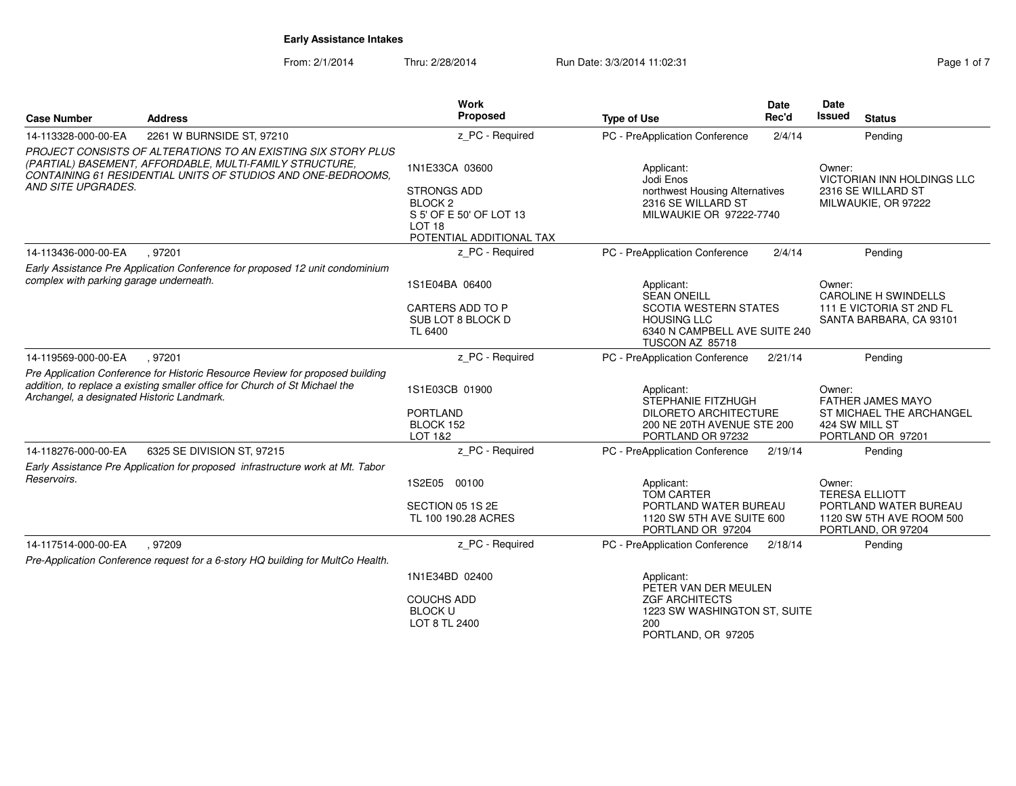| <b>Case Number</b>                         | <b>Address</b>                                                                                                                                                                           | <b>Work</b><br>Proposed                                                                                                                | <b>Type of Use</b>                                                                                                                         | <b>Date</b><br>Rec'd | <b>Date</b><br><b>Issued</b><br><b>Status</b>                                                              |
|--------------------------------------------|------------------------------------------------------------------------------------------------------------------------------------------------------------------------------------------|----------------------------------------------------------------------------------------------------------------------------------------|--------------------------------------------------------------------------------------------------------------------------------------------|----------------------|------------------------------------------------------------------------------------------------------------|
| 14-113328-000-00-EA                        | 2261 W BURNSIDE ST, 97210                                                                                                                                                                | z_PC - Required                                                                                                                        | PC - PreApplication Conference                                                                                                             | 2/4/14               | Pending                                                                                                    |
| AND SITE UPGRADES.                         | PROJECT CONSISTS OF ALTERATIONS TO AN EXISTING SIX STORY PLUS<br>(PARTIAL) BASEMENT, AFFORDABLE, MULTI-FAMILY STRUCTURE,<br>CONTAINING 61 RESIDENTIAL UNITS OF STUDIOS AND ONE-BEDROOMS, | 1N1E33CA 03600<br><b>STRONGS ADD</b><br>BLOCK <sub>2</sub><br>S 5' OF E 50' OF LOT 13<br>LOT <sub>18</sub><br>POTENTIAL ADDITIONAL TAX | Applicant:<br>Jodi Enos<br>northwest Housing Alternatives<br>2316 SE WILLARD ST<br>MILWAUKIE OR 97222-7740                                 |                      | Owner:<br>VICTORIAN INN HOLDINGS LLC<br>2316 SE WILLARD ST<br>MILWAUKIE, OR 97222                          |
| 14-113436-000-00-EA                        | .97201                                                                                                                                                                                   | z PC - Required                                                                                                                        | PC - PreApplication Conference                                                                                                             | 2/4/14               | Pending                                                                                                    |
| complex with parking garage underneath.    | Early Assistance Pre Application Conference for proposed 12 unit condominium                                                                                                             | 1S1E04BA 06400<br>CARTERS ADD TO P<br>SUB LOT 8 BLOCK D<br><b>TL 6400</b>                                                              | Applicant:<br><b>SEAN ONEILL</b><br><b>SCOTIA WESTERN STATES</b><br><b>HOUSING LLC</b><br>6340 N CAMPBELL AVE SUITE 240<br>TUSCON AZ 85718 |                      | Owner:<br><b>CAROLINE H SWINDELLS</b><br>111 E VICTORIA ST 2ND FL<br>SANTA BARBARA, CA 93101               |
| 14-119569-000-00-EA                        | .97201                                                                                                                                                                                   | z_PC - Required                                                                                                                        | PC - PreApplication Conference                                                                                                             | 2/21/14              | Pending                                                                                                    |
| Archangel, a designated Historic Landmark. | Pre Application Conference for Historic Resource Review for proposed building<br>addition, to replace a existing smaller office for Church of St Michael the                             | 1S1E03CB 01900<br><b>PORTLAND</b><br>BLOCK 152<br><b>LOT 1&amp;2</b>                                                                   | Applicant:<br>STEPHANIE FITZHUGH<br><b>DILORETO ARCHITECTURE</b><br>200 NE 20TH AVENUE STE 200<br>PORTLAND OR 97232                        |                      | Owner:<br><b>FATHER JAMES MAYO</b><br>ST MICHAEL THE ARCHANGEL<br>424 SW MILL ST<br>PORTLAND OR 97201      |
| 14-118276-000-00-EA                        | 6325 SE DIVISION ST, 97215                                                                                                                                                               | z PC - Required                                                                                                                        | PC - PreApplication Conference                                                                                                             | 2/19/14              | Pending                                                                                                    |
| Reservoirs.                                | Early Assistance Pre Application for proposed infrastructure work at Mt. Tabor                                                                                                           | 1S2E05 00100<br>SECTION 05 1S 2E<br>TL 100 190.28 ACRES                                                                                | Applicant:<br><b>TOM CARTER</b><br>PORTLAND WATER BUREAU<br>1120 SW 5TH AVE SUITE 600<br>PORTLAND OR 97204                                 |                      | Owner:<br><b>TERESA ELLIOTT</b><br>PORTLAND WATER BUREAU<br>1120 SW 5TH AVE ROOM 500<br>PORTLAND, OR 97204 |
| 14-117514-000-00-EA                        | .97209                                                                                                                                                                                   | z_PC - Required                                                                                                                        | PC - PreApplication Conference                                                                                                             | 2/18/14              | Pending                                                                                                    |
|                                            | Pre-Application Conference request for a 6-story HQ building for MultCo Health.                                                                                                          |                                                                                                                                        |                                                                                                                                            |                      |                                                                                                            |
|                                            |                                                                                                                                                                                          | 1N1E34BD 02400<br><b>COUCHS ADD</b><br><b>BLOCK U</b><br>LOT 8 TL 2400                                                                 | Applicant:<br>PETER VAN DER MEULEN<br><b>ZGF ARCHITECTS</b><br>1223 SW WASHINGTON ST, SUITE<br>200                                         |                      |                                                                                                            |
|                                            |                                                                                                                                                                                          |                                                                                                                                        | PORTLAND, OR 97205                                                                                                                         |                      |                                                                                                            |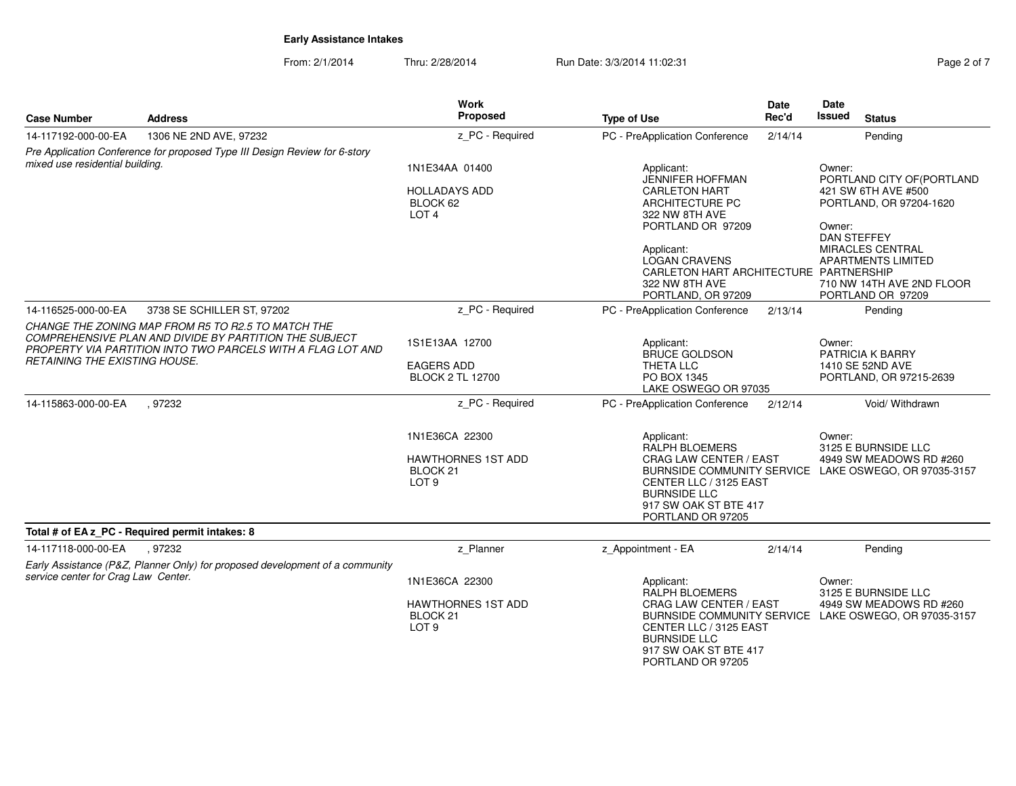| ane 2 | ١t |  |
|-------|----|--|
|       |    |  |

| <b>Case Number</b>                   | <b>Address</b>                                                                                                                                                              | Work<br>Proposed                                                                       | <b>Type of Use</b>                                                                                                                                                                                                                              | <b>Date</b><br>Rec'd | Date<br>Issued<br><b>Status</b>                                                                                                                                                                                                  |
|--------------------------------------|-----------------------------------------------------------------------------------------------------------------------------------------------------------------------------|----------------------------------------------------------------------------------------|-------------------------------------------------------------------------------------------------------------------------------------------------------------------------------------------------------------------------------------------------|----------------------|----------------------------------------------------------------------------------------------------------------------------------------------------------------------------------------------------------------------------------|
| 14-117192-000-00-EA                  | 1306 NE 2ND AVE, 97232                                                                                                                                                      | z_PC - Required                                                                        | PC - PreApplication Conference                                                                                                                                                                                                                  | 2/14/14              | Pending                                                                                                                                                                                                                          |
| mixed use residential building.      | Pre Application Conference for proposed Type III Design Review for 6-story                                                                                                  | 1N1E34AA 01400<br><b>HOLLADAYS ADD</b><br>BLOCK 62<br>LOT <sub>4</sub>                 | Applicant:<br><b>JENNIFER HOFFMAN</b><br><b>CARLETON HART</b><br>ARCHITECTURE PC<br>322 NW 8TH AVE<br>PORTLAND OR 97209<br>Applicant:<br><b>LOGAN CRAVENS</b><br>CARLETON HART ARCHITECTURE PARTNERSHIP<br>322 NW 8TH AVE<br>PORTLAND, OR 97209 |                      | Owner:<br>PORTLAND CITY OF (PORTLAND<br>421 SW 6TH AVE #500<br>PORTLAND, OR 97204-1620<br>Owner:<br><b>DAN STEFFEY</b><br><b>MIRACLES CENTRAL</b><br><b>APARTMENTS LIMITED</b><br>710 NW 14TH AVE 2ND FLOOR<br>PORTLAND OR 97209 |
| 14-116525-000-00-EA                  | 3738 SE SCHILLER ST, 97202                                                                                                                                                  | z_PC - Required                                                                        | PC - PreApplication Conference                                                                                                                                                                                                                  | 2/13/14              | Pending                                                                                                                                                                                                                          |
| <b>RETAINING THE EXISTING HOUSE.</b> | CHANGE THE ZONING MAP FROM R5 TO R2.5 TO MATCH THE<br>COMPREHENSIVE PLAN AND DIVIDE BY PARTITION THE SUBJECT<br>PROPERTY VIA PARTITION INTO TWO PARCELS WITH A FLAG LOT AND | 1S1E13AA 12700<br><b>EAGERS ADD</b><br><b>BLOCK 2 TL 12700</b>                         | Applicant:<br><b>BRUCE GOLDSON</b><br>THETA LLC<br>PO BOX 1345<br>LAKE OSWEGO OR 97035                                                                                                                                                          |                      | Owner:<br>PATRICIA K BARRY<br>1410 SE 52ND AVE<br>PORTLAND, OR 97215-2639                                                                                                                                                        |
| 14-115863-000-00-EA                  | , 97232                                                                                                                                                                     | z PC - Required                                                                        | PC - PreApplication Conference                                                                                                                                                                                                                  | 2/12/14              | Void/ Withdrawn                                                                                                                                                                                                                  |
|                                      |                                                                                                                                                                             | 1N1E36CA 22300<br><b>HAWTHORNES 1ST ADD</b><br>BLOCK <sub>21</sub><br>LOT <sub>9</sub> | Applicant:<br>RALPH BLOEMERS<br>CRAG LAW CENTER / EAST<br>CENTER LLC / 3125 EAST<br><b>BURNSIDE LLC</b><br>917 SW OAK ST BTE 417<br>PORTLAND OR 97205                                                                                           |                      | Owner:<br>3125 E BURNSIDE LLC<br>4949 SW MEADOWS RD #260<br>BURNSIDE COMMUNITY SERVICE LAKE OSWEGO, OR 97035-3157                                                                                                                |
|                                      | Total # of EA z_PC - Required permit intakes: 8                                                                                                                             |                                                                                        |                                                                                                                                                                                                                                                 |                      |                                                                                                                                                                                                                                  |
| 14-117118-000-00-EA                  | .97232<br>Early Assistance (P&Z, Planner Only) for proposed development of a community                                                                                      | z_Planner                                                                              | z Appointment - EA                                                                                                                                                                                                                              | 2/14/14              | Pending                                                                                                                                                                                                                          |
| service center for Crag Law Center.  |                                                                                                                                                                             | 1N1E36CA 22300<br><b>HAWTHORNES 1ST ADD</b><br>BLOCK 21<br>LOT <sub>9</sub>            | Applicant:<br><b>RALPH BLOEMERS</b><br>CRAG LAW CENTER / EAST<br>CENTER LLC / 3125 EAST<br><b>BURNSIDE LLC</b><br>917 SW OAK ST BTE 417<br>PORTLAND OR 97205                                                                                    |                      | Owner:<br>3125 E BURNSIDE LLC<br>4949 SW MEADOWS RD #260<br>BURNSIDE COMMUNITY SERVICE LAKE OSWEGO, OR 97035-3157                                                                                                                |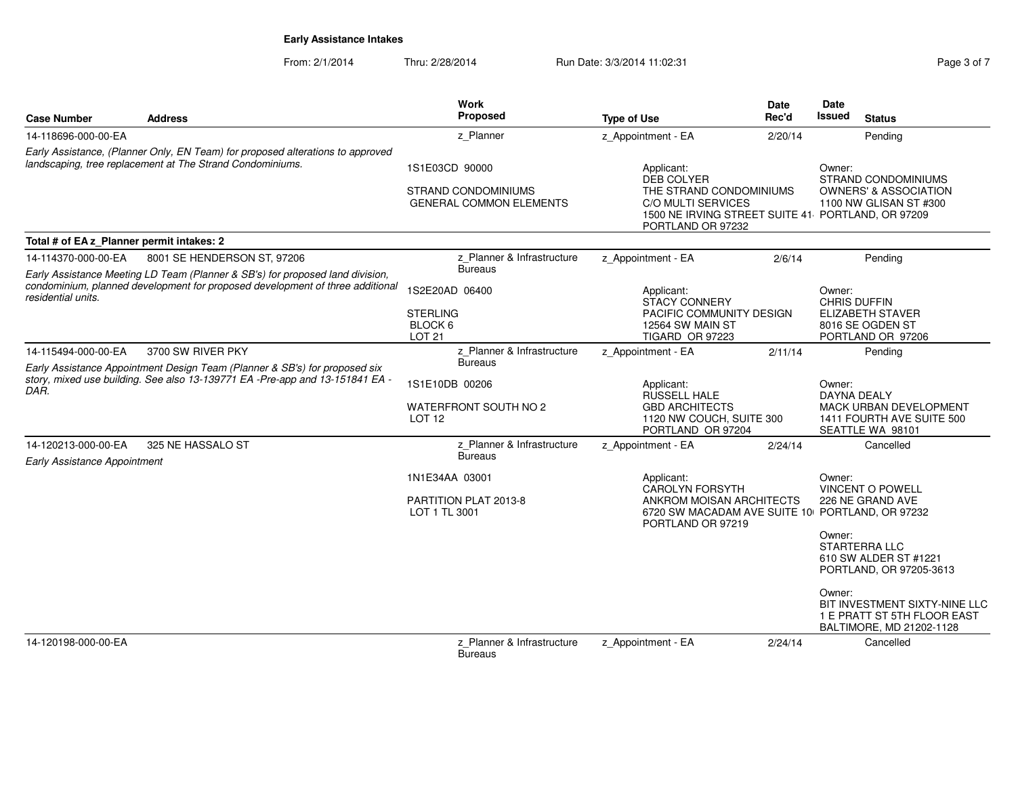| <b>Case Number</b>                                                                                                                                                                   | <b>Address</b>                         | Work<br>Proposed                                                               | <b>Type of Use</b>                                                                                           | <b>Date</b><br>Rec'd | Date<br>Issued<br><b>Status</b>                                                                                                                         |  |
|--------------------------------------------------------------------------------------------------------------------------------------------------------------------------------------|----------------------------------------|--------------------------------------------------------------------------------|--------------------------------------------------------------------------------------------------------------|----------------------|---------------------------------------------------------------------------------------------------------------------------------------------------------|--|
| 14-118696-000-00-EA                                                                                                                                                                  |                                        | z Planner                                                                      | z Appointment - EA                                                                                           | 2/20/14              | Pending                                                                                                                                                 |  |
| Early Assistance, (Planner Only, EN Team) for proposed alterations to approved<br>landscaping, tree replacement at The Strand Condominiums.                                          |                                        | 1S1E03CD 90000<br><b>STRAND CONDOMINIUMS</b><br><b>GENERAL COMMON ELEMENTS</b> | Applicant:<br><b>DEB COLYER</b><br>THE STRAND CONDOMINIUMS<br><b>C/O MULTI SERVICES</b><br>PORTLAND OR 97232 |                      | Owner:<br><b>STRAND CONDOMINIUMS</b><br><b>OWNERS' &amp; ASSOCIATION</b><br>1100 NW GLISAN ST #300<br>1500 NE IRVING STREET SUITE 41 PORTLAND, OR 97209 |  |
| Total # of EA z Planner permit intakes: 2                                                                                                                                            |                                        |                                                                                |                                                                                                              |                      |                                                                                                                                                         |  |
| 14-114370-000-00-EA                                                                                                                                                                  | 8001 SE HENDERSON ST, 97206            | z Planner & Infrastructure                                                     | z Appointment - EA                                                                                           | 2/6/14               | Pending                                                                                                                                                 |  |
| Early Assistance Meeting LD Team (Planner & SB's) for proposed land division,<br>condominium, planned development for proposed development of three additional<br>residential units. |                                        | <b>Bureaus</b><br>1S2E20AD 06400<br><b>STERLING</b>                            | Applicant:<br><b>STACY CONNERY</b><br>PACIFIC COMMUNITY DESIGN                                               |                      | Owner:<br>CHRIS DUFFIN<br><b>ELIZABETH STAVER</b>                                                                                                       |  |
|                                                                                                                                                                                      |                                        | BLOCK 6<br><b>LOT 21</b>                                                       | 12564 SW MAIN ST<br><b>TIGARD OR 97223</b>                                                                   |                      | 8016 SE OGDEN ST<br>PORTLAND OR 97206                                                                                                                   |  |
| 14-115494-000-00-EA                                                                                                                                                                  | 3700 SW RIVER PKY                      | z Planner & Infrastructure                                                     | z_Appointment - EA                                                                                           | 2/11/14              | Pending                                                                                                                                                 |  |
| Early Assistance Appointment Design Team (Planner & SB's) for proposed six<br>story, mixed use building. See also 13-139771 EA -Pre-app and 13-151841 EA -<br>DAR.                   |                                        | <b>Bureaus</b>                                                                 |                                                                                                              |                      |                                                                                                                                                         |  |
|                                                                                                                                                                                      |                                        | 1S1E10DB 00206                                                                 | Applicant:<br><b>RUSSELL HALE</b>                                                                            |                      | Owner:<br><b>DAYNA DEALY</b>                                                                                                                            |  |
|                                                                                                                                                                                      | WATERFRONT SOUTH NO 2<br><b>LOT 12</b> |                                                                                | <b>GBD ARCHITECTS</b><br>1120 NW COUCH, SUITE 300<br>PORTLAND OR 97204                                       |                      | MACK URBAN DEVELOPMENT<br>1411 FOURTH AVE SUITE 500<br>SEATTLE WA 98101                                                                                 |  |
| 14-120213-000-00-EA<br>Early Assistance Appointment                                                                                                                                  | 325 NE HASSALO ST                      | z Planner & Infrastructure<br><b>Bureaus</b>                                   | z Appointment - EA                                                                                           | 2/24/14              | Cancelled                                                                                                                                               |  |
|                                                                                                                                                                                      |                                        | 1N1E34AA 03001                                                                 | Applicant:<br>CAROLYN FORSYTH                                                                                |                      | Owner:<br><b>VINCENT O POWELL</b>                                                                                                                       |  |
|                                                                                                                                                                                      |                                        | PARTITION PLAT 2013-8<br>LOT 1 TL 3001                                         | ANKROM MOISAN ARCHITECTS<br>PORTLAND OR 97219                                                                |                      | 226 NE GRAND AVE<br>6720 SW MACADAM AVE SUITE 10 PORTLAND, OR 97232                                                                                     |  |
|                                                                                                                                                                                      |                                        |                                                                                |                                                                                                              |                      | Owner:<br><b>STARTERRA LLC</b><br>610 SW ALDER ST #1221<br>PORTLAND, OR 97205-3613                                                                      |  |
|                                                                                                                                                                                      |                                        |                                                                                |                                                                                                              |                      | Owner:<br>BIT INVESTMENT SIXTY-NINE LLC<br>1 E PRATT ST 5TH FLOOR EAST<br>BALTIMORE, MD 21202-1128                                                      |  |
| 14-120198-000-00-EA                                                                                                                                                                  |                                        | z Planner & Infrastructure<br><b>Bureaus</b>                                   | z Appointment - EA                                                                                           | 2/24/14              | Cancelled                                                                                                                                               |  |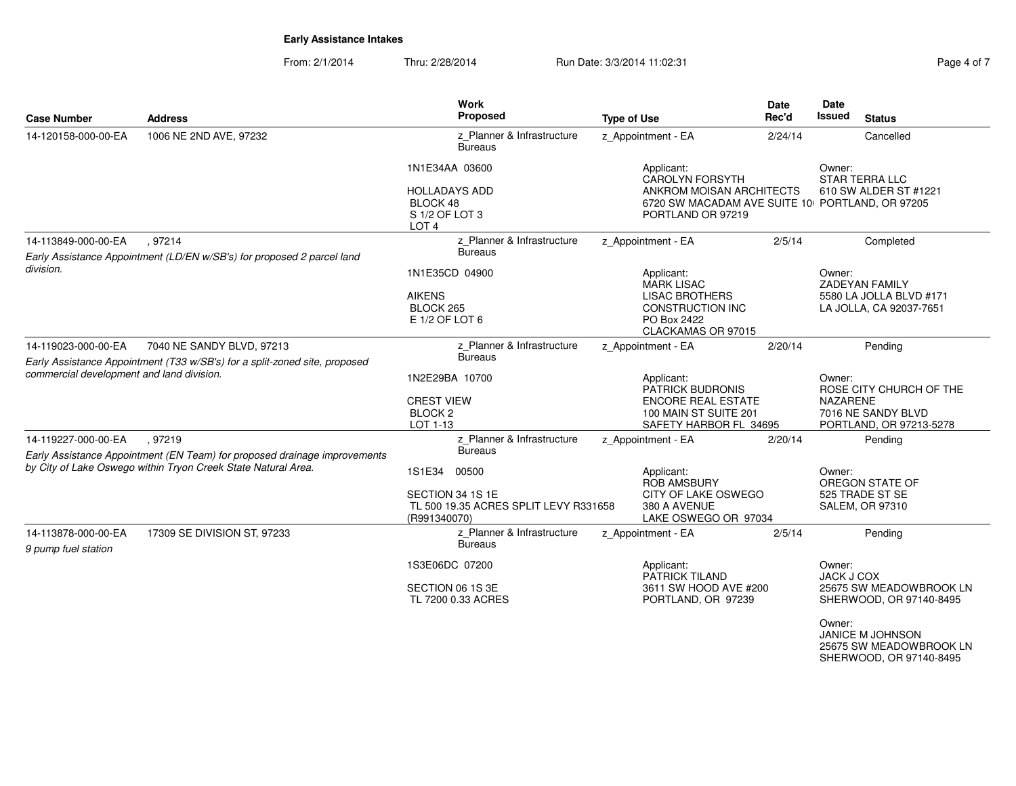From: 2/1/2014Thru: 2/28/2014 Run Date: 3/3/2014 11:02:31 Rege 4 of 7

| <b>Case Number</b>                         | <b>Address</b>                                                                                          | <b>Work</b><br>Proposed                                                                      | <b>Type of Use</b>                                                                               | Date<br>Rec'd            | Date<br>Issued<br><b>Status</b>                                        |
|--------------------------------------------|---------------------------------------------------------------------------------------------------------|----------------------------------------------------------------------------------------------|--------------------------------------------------------------------------------------------------|--------------------------|------------------------------------------------------------------------|
| 14-120158-000-00-EA                        | 1006 NE 2ND AVE, 97232                                                                                  | z Planner & Infrastructure<br><b>Bureaus</b>                                                 | z_Appointment - EA                                                                               | 2/24/14                  | Cancelled                                                              |
|                                            |                                                                                                         | 1N1E34AA 03600                                                                               | Applicant:<br>CAROLYN FORSYTH                                                                    | Owner:<br>STAR TERRA LLC |                                                                        |
|                                            |                                                                                                         | <b>HOLLADAYS ADD</b><br>BLOCK 48<br>S 1/2 OF LOT 3<br>LOT <sub>4</sub>                       | ANKROM MOISAN ARCHITECTS<br>6720 SW MACADAM AVE SUITE 10 PORTLAND, OR 97205<br>PORTLAND OR 97219 |                          | 610 SW ALDER ST #1221                                                  |
| 14-113849-000-00-EA                        | .97214<br>Early Assistance Appointment (LD/EN w/SB's) for proposed 2 parcel land                        | z Planner & Infrastructure<br><b>Bureaus</b>                                                 | z_Appointment - EA                                                                               | 2/5/14                   | Completed                                                              |
| division.                                  |                                                                                                         | 1N1E35CD 04900                                                                               | Applicant:<br>MARK LISAC                                                                         |                          | Owner:<br><b>ZADEYAN FAMILY</b>                                        |
|                                            |                                                                                                         | <b>AIKENS</b><br>BLOCK 265<br>E 1/2 OF LOT 6                                                 | <b>LISAC BROTHERS</b><br><b>CONSTRUCTION INC</b><br>PO Box 2422<br>CLACKAMAS OR 97015            |                          | 5580 LA JOLLA BLVD #171<br>LA JOLLA, CA 92037-7651                     |
| 14-119023-000-00-EA                        | 7040 NE SANDY BLVD, 97213<br>Early Assistance Appointment (T33 w/SB's) for a split-zoned site, proposed | z Planner & Infrastructure<br><b>Bureaus</b>                                                 | z Appointment - EA                                                                               | 2/20/14                  | Pending                                                                |
| commercial development and land division.  |                                                                                                         | 1N2E29BA 10700                                                                               | Applicant:<br><b>PATRICK BUDRONIS</b>                                                            |                          | Owner:<br>ROSE CITY CHURCH OF THE                                      |
|                                            |                                                                                                         | <b>CREST VIEW</b><br><b>BLOCK2</b><br>LOT 1-13                                               | <b>ENCORE REAL ESTATE</b><br>100 MAIN ST SUITE 201<br>SAFETY HARBOR FL 34695                     |                          | <b>NAZARENE</b><br>7016 NE SANDY BLVD<br>PORTLAND, OR 97213-5278       |
| 14-119227-000-00-EA                        | , 97219                                                                                                 | z_Planner & Infrastructure                                                                   | z_Appointment - EA                                                                               | 2/20/14                  | Pending                                                                |
|                                            | Early Assistance Appointment (EN Team) for proposed drainage improvements                               | <b>Bureaus</b>                                                                               |                                                                                                  |                          |                                                                        |
|                                            | by City of Lake Oswego within Tryon Creek State Natural Area.                                           | 1S1E34<br>00500<br>SECTION 34 1S 1E<br>TL 500 19.35 ACRES SPLIT LEVY R331658<br>(R991340070) | Applicant:<br><b>ROB AMSBURY</b><br>CITY OF LAKE OSWEGO<br>380 A AVENUE<br>LAKE OSWEGO OR 97034  |                          | Owner:<br>OREGON STATE OF<br>525 TRADE ST SE<br><b>SALEM, OR 97310</b> |
| 14-113878-000-00-EA<br>9 pump fuel station | 17309 SE DIVISION ST, 97233                                                                             | z_Planner & Infrastructure<br><b>Bureaus</b>                                                 | z_Appointment - EA                                                                               | 2/5/14                   | Pending                                                                |
|                                            |                                                                                                         | 1S3E06DC 07200                                                                               | Applicant:<br><b>PATRICK TILAND</b>                                                              |                          | Owner:<br><b>JACK J COX</b>                                            |
|                                            |                                                                                                         | SECTION 06 1S 3E<br>TL 7200 0.33 ACRES                                                       | 3611 SW HOOD AVE #200<br>PORTLAND, OR 97239                                                      |                          | 25675 SW MEADOWBROOK LN<br>SHERWOOD, OR 97140-8495                     |
|                                            |                                                                                                         |                                                                                              |                                                                                                  |                          | Owner:                                                                 |

 JANICE M JOHNSON25675 SW MEADOWBROOK LN SHERWOOD, OR 97140-8495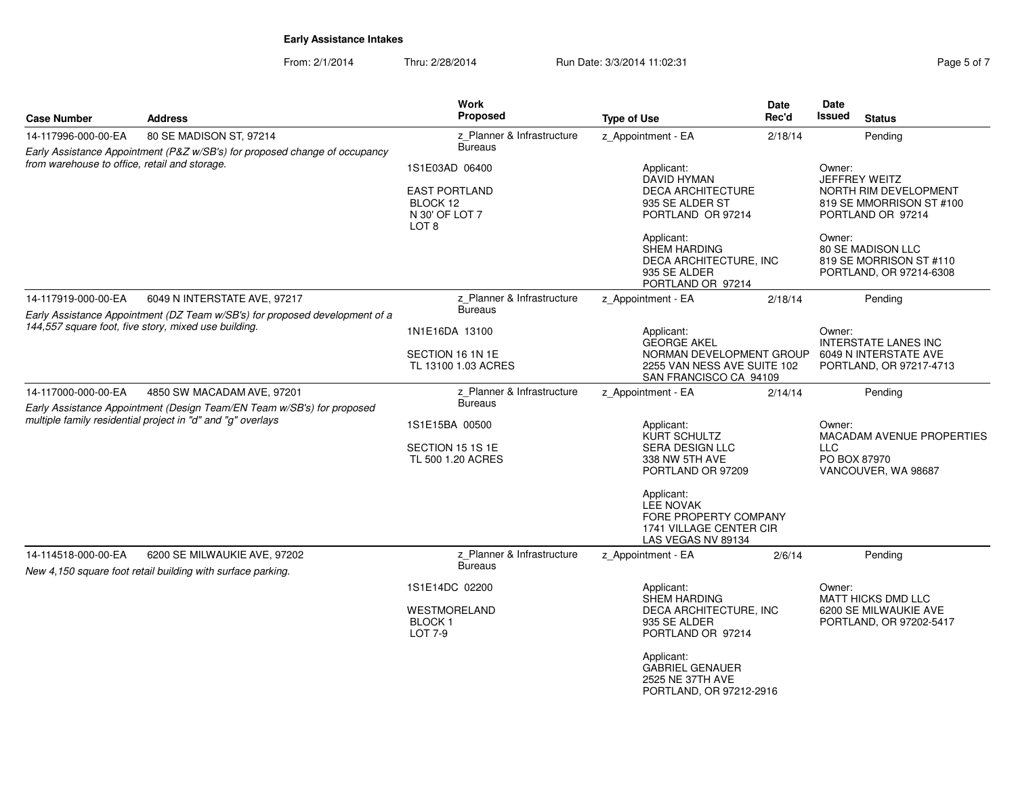| Page 5 of 7 |  |  |
|-------------|--|--|
|             |  |  |

| <b>Case Number</b>                                   | <b>Address</b>                                                                                        | <b>Work</b><br><b>Proposed</b>                                                           | <b>Type of Use</b>                                                                                       | <b>Date</b><br>Rec'd | Date<br><b>Issued</b>                                                                             | <b>Status</b>                                                           |
|------------------------------------------------------|-------------------------------------------------------------------------------------------------------|------------------------------------------------------------------------------------------|----------------------------------------------------------------------------------------------------------|----------------------|---------------------------------------------------------------------------------------------------|-------------------------------------------------------------------------|
| 14-117996-000-00-EA                                  | 80 SE MADISON ST, 97214<br>Early Assistance Appointment (P&Z w/SB's) for proposed change of occupancy | z Planner & Infrastructure<br><b>Bureaus</b>                                             | z Appointment - EA                                                                                       | 2/18/14              |                                                                                                   | Pending                                                                 |
| from warehouse to office, retail and storage.        |                                                                                                       | 1S1E03AD 06400<br><b>EAST PORTLAND</b><br>BLOCK 12<br>N 30' OF LOT 7<br>LOT <sub>8</sub> | Applicant:<br><b>DAVID HYMAN</b><br><b>DECA ARCHITECTURE</b><br>935 SE ALDER ST<br>PORTLAND OR 97214     |                      | Owner:<br>JEFFREY WEITZ<br>NORTH RIM DEVELOPMENT<br>819 SE MMORRISON ST #100<br>PORTLAND OR 97214 |                                                                         |
|                                                      |                                                                                                       |                                                                                          | Applicant:<br><b>SHEM HARDING</b><br>DECA ARCHITECTURE, INC<br>935 SE ALDER<br>PORTLAND OR 97214         |                      | Owner:                                                                                            | 80 SE MADISON LLC<br>819 SE MORRISON ST #110<br>PORTLAND, OR 97214-6308 |
| 14-117919-000-00-EA                                  | 6049 N INTERSTATE AVE, 97217                                                                          | z Planner & Infrastructure                                                               | z_Appointment - EA                                                                                       | 2/18/14              |                                                                                                   | Pending                                                                 |
|                                                      | Early Assistance Appointment (DZ Team w/SB's) for proposed development of a                           | <b>Bureaus</b>                                                                           |                                                                                                          |                      |                                                                                                   |                                                                         |
| 144,557 square foot, five story, mixed use building. |                                                                                                       | 1N1E16DA 13100<br>SECTION 16 1N 1E                                                       | Applicant:<br><b>GEORGE AKEL</b><br>NORMAN DEVELOPMENT GROUP                                             |                      | Owner:<br><b>INTERSTATE LANES INC</b><br>6049 N INTERSTATE AVE                                    |                                                                         |
|                                                      |                                                                                                       | TL 13100 1.03 ACRES                                                                      | 2255 VAN NESS AVE SUITE 102<br>SAN FRANCISCO CA 94109                                                    |                      |                                                                                                   | PORTLAND, OR 97217-4713                                                 |
| 14-117000-000-00-EA                                  | 4850 SW MACADAM AVE, 97201<br>Early Assistance Appointment (Design Team/EN Team w/SB's) for proposed  | z_Planner & Infrastructure<br><b>Bureaus</b>                                             | z_Appointment - EA                                                                                       | 2/14/14              |                                                                                                   | Pending                                                                 |
|                                                      | multiple family residential project in "d" and "g" overlays                                           | 1S1E15BA 00500                                                                           | Applicant:<br><b>KURT SCHULTZ</b>                                                                        |                      | Owner:<br><b>MACADAM AVENUE PROPERTIES</b>                                                        |                                                                         |
|                                                      |                                                                                                       | SECTION 15 1S 1E<br>TL 500 1.20 ACRES                                                    | <b>SERA DESIGN LLC</b><br>338 NW 5TH AVE<br>PORTLAND OR 97209                                            |                      | <b>LLC</b><br>PO BOX 87970<br>VANCOUVER, WA 98687                                                 |                                                                         |
|                                                      |                                                                                                       |                                                                                          | Applicant:<br><b>LEE NOVAK</b><br>FORE PROPERTY COMPANY<br>1741 VILLAGE CENTER CIR<br>LAS VEGAS NV 89134 |                      |                                                                                                   |                                                                         |
| 14-114518-000-00-EA                                  | 6200 SE MILWAUKIE AVE, 97202<br>New 4,150 square foot retail building with surface parking.           | z Planner & Infrastructure<br><b>Bureaus</b>                                             | z Appointment - EA                                                                                       | 2/6/14               |                                                                                                   | Pending                                                                 |
|                                                      |                                                                                                       | 1S1E14DC 02200                                                                           | Applicant:<br><b>SHEM HARDING</b>                                                                        |                      | Owner:                                                                                            | <b>MATT HICKS DMD LLC</b>                                               |
|                                                      |                                                                                                       | WESTMORELAND<br><b>BLOCK1</b><br><b>LOT 7-9</b>                                          | DECA ARCHITECTURE, INC<br>935 SE ALDER<br>PORTLAND OR 97214                                              |                      | 6200 SE MILWAUKIE AVE<br>PORTLAND, OR 97202-5417                                                  |                                                                         |
|                                                      |                                                                                                       |                                                                                          | Applicant:<br><b>GABRIEL GENAUER</b><br>2525 NE 37TH AVE<br>PORTLAND, OR 97212-2916                      |                      |                                                                                                   |                                                                         |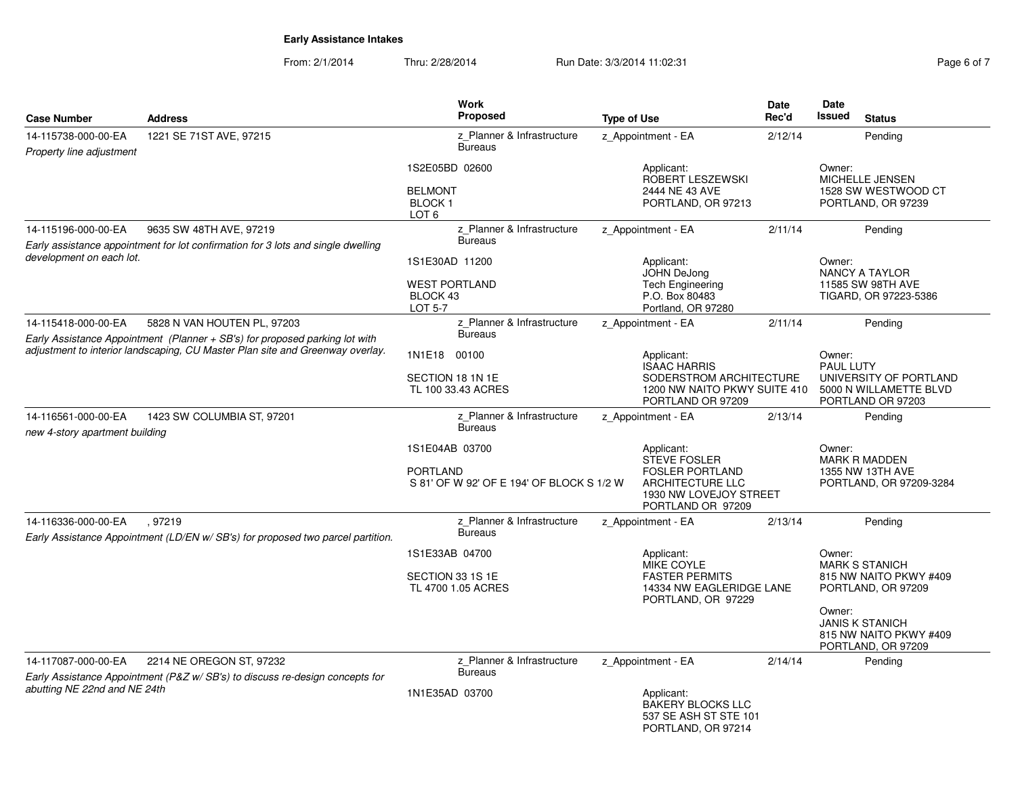| Page 6 of 7 |  |  |  |
|-------------|--|--|--|
|-------------|--|--|--|

| <b>Case Number</b>                                                            | <b>Address</b>                                                                                             | Work<br><b>Proposed</b>                                                        | <b>Type of Use</b>                                                                                                             | Date<br>Rec'd | <b>Date</b><br><b>Issued</b><br><b>Status</b>                                                       |
|-------------------------------------------------------------------------------|------------------------------------------------------------------------------------------------------------|--------------------------------------------------------------------------------|--------------------------------------------------------------------------------------------------------------------------------|---------------|-----------------------------------------------------------------------------------------------------|
| 14-115738-000-00-EA<br>Property line adjustment                               | 1221 SE 71ST AVE, 97215                                                                                    | z Planner & Infrastructure<br><b>Bureaus</b>                                   | z_Appointment - EA                                                                                                             | 2/12/14       | Pending                                                                                             |
|                                                                               |                                                                                                            | 1S2E05BD 02600<br><b>BELMONT</b><br><b>BLOCK1</b><br>LOT <sub>6</sub>          | Applicant:<br>ROBERT LESZEWSKI<br>2444 NE 43 AVE<br>PORTLAND, OR 97213                                                         |               | Owner:<br>MICHELLE JENSEN<br>1528 SW WESTWOOD CT<br>PORTLAND, OR 97239                              |
| 14-115196-000-00-EA                                                           | 9635 SW 48TH AVE, 97219                                                                                    | z Planner & Infrastructure                                                     | z_Appointment - EA                                                                                                             | 2/11/14       | Pending                                                                                             |
| development on each lot.                                                      | Early assistance appointment for lot confirmation for 3 lots and single dwelling                           | <b>Bureaus</b><br>1S1E30AD 11200<br><b>WEST PORTLAND</b><br>BLOCK 43           | Applicant:<br>JOHN DeJong<br>Tech Engineering<br>P.O. Box 80483                                                                |               | Owner:<br><b>NANCY A TAYLOR</b><br>11585 SW 98TH AVE<br>TIGARD, OR 97223-5386                       |
|                                                                               |                                                                                                            | <b>LOT 5-7</b>                                                                 | Portland, OR 97280                                                                                                             |               |                                                                                                     |
| 14-115418-000-00-EA                                                           | 5828 N VAN HOUTEN PL, 97203<br>Early Assistance Appointment (Planner + SB's) for proposed parking lot with | z Planner & Infrastructure<br><b>Bureaus</b>                                   | z Appointment - EA                                                                                                             | 2/11/14       | Pending                                                                                             |
| adjustment to interior landscaping, CU Master Plan site and Greenway overlay. |                                                                                                            | 1N1E18 00100<br>SECTION 18 1N 1E<br>TL 100 33.43 ACRES                         | Applicant:<br><b>ISAAC HARRIS</b><br>SODERSTROM ARCHITECTURE<br>1200 NW NAITO PKWY SUITE 410<br>PORTLAND OR 97209              |               | Owner:<br><b>PAUL LUTY</b><br>UNIVERSITY OF PORTLAND<br>5000 N WILLAMETTE BLVD<br>PORTLAND OR 97203 |
| 14-116561-000-00-EA<br>new 4-story apartment building                         | 1423 SW COLUMBIA ST, 97201                                                                                 | z Planner & Infrastructure<br><b>Bureaus</b>                                   | z_Appointment - EA                                                                                                             | 2/13/14       | Pending                                                                                             |
|                                                                               |                                                                                                            | 1S1E04AB 03700<br><b>PORTLAND</b><br>S 81' OF W 92' OF E 194' OF BLOCK S 1/2 W | Applicant:<br>STEVE FOSLER<br><b>FOSLER PORTLAND</b><br><b>ARCHITECTURE LLC</b><br>1930 NW LOVEJOY STREET<br>PORTLAND OR 97209 |               | Owner:<br><b>MARK R MADDEN</b><br>1355 NW 13TH AVE<br>PORTLAND, OR 97209-3284                       |
| 14-116336-000-00-EA                                                           | .97219<br>Early Assistance Appointment (LD/EN w/ SB's) for proposed two parcel partition.                  | z Planner & Infrastructure<br><b>Bureaus</b>                                   | z Appointment - EA                                                                                                             | 2/13/14       | Pending                                                                                             |
|                                                                               |                                                                                                            | 1S1E33AB 04700<br>SECTION 33 1S 1E<br>TL 4700 1.05 ACRES                       | Applicant:<br>MIKE COYLE<br><b>FASTER PERMITS</b><br>14334 NW EAGLERIDGE LANE<br>PORTLAND, OR 97229                            |               | Owner:<br><b>MARK S STANICH</b><br>815 NW NAITO PKWY #409<br>PORTLAND, OR 97209                     |
|                                                                               |                                                                                                            |                                                                                |                                                                                                                                |               | Owner:<br><b>JANIS K STANICH</b><br>815 NW NAITO PKWY #409<br>PORTLAND, OR 97209                    |
| 14-117087-000-00-EA                                                           | 2214 NE OREGON ST, 97232<br>Early Assistance Appointment (P&Z w/ SB's) to discuss re-design concepts for   | z Planner & Infrastructure<br><b>Bureaus</b>                                   | z Appointment - EA                                                                                                             | 2/14/14       | Pending                                                                                             |
| abutting NE 22nd and NE 24th                                                  |                                                                                                            | 1N1E35AD 03700                                                                 | Applicant:<br><b>BAKERY BLOCKS LLC</b><br>537 SE ASH ST STE 101<br>PORTLAND, OR 97214                                          |               |                                                                                                     |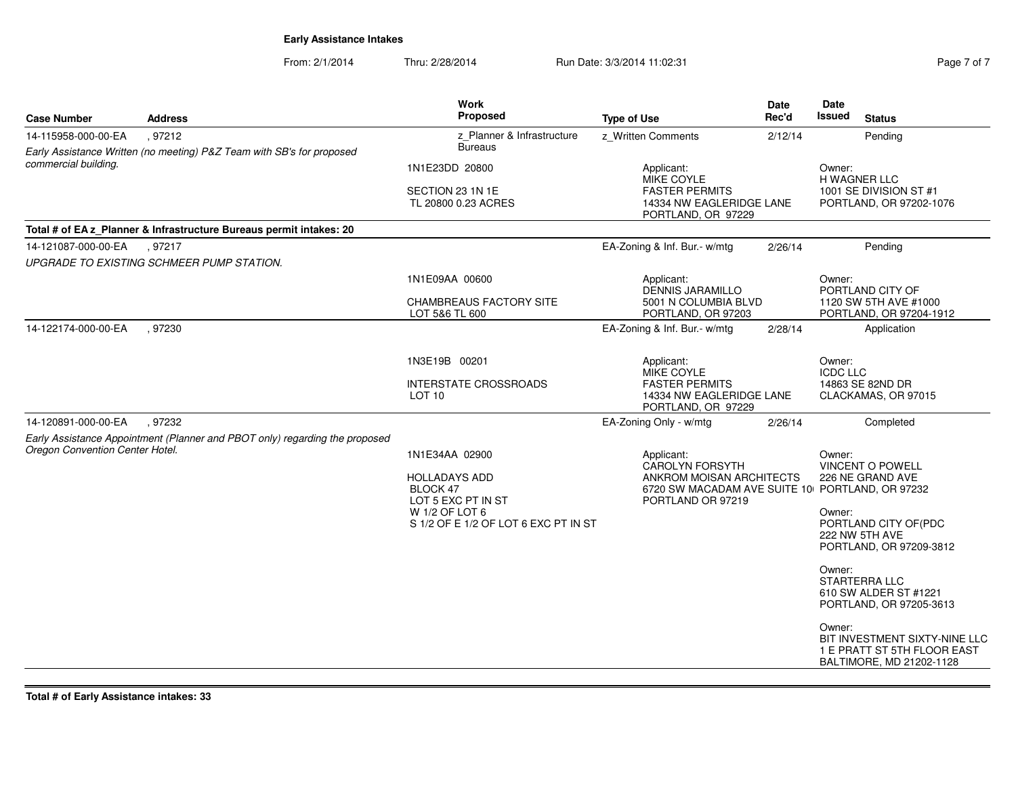From: 2/1/2014Thru: 2/28/2014 Run Date: 3/3/2014 11:02:31

| Page 7 of 7 |  |  |
|-------------|--|--|
|             |  |  |

| <b>Case Number</b>              | <b>Address</b>                                                                   | <b>Work</b><br><b>Proposed</b>                    | <b>Type of Use</b>                                                      | Date<br>Rec'd | Date<br><b>Issued</b><br><b>Status</b>                                                             |
|---------------------------------|----------------------------------------------------------------------------------|---------------------------------------------------|-------------------------------------------------------------------------|---------------|----------------------------------------------------------------------------------------------------|
| 14-115958-000-00-EA             | , 97212<br>Early Assistance Written (no meeting) P&Z Team with SB's for proposed | z_Planner & Infrastructure<br><b>Bureaus</b>      | z_Written Comments                                                      | 2/12/14       | Pending                                                                                            |
| commercial building.            |                                                                                  | 1N1E23DD 20800                                    | Applicant:<br>MIKE COYLE                                                |               | Owner:<br>H WAGNER LLC                                                                             |
|                                 |                                                                                  | SECTION 23 1N 1E<br>TL 20800 0.23 ACRES           | <b>FASTER PERMITS</b><br>14334 NW EAGLERIDGE LANE<br>PORTLAND, OR 97229 |               | 1001 SE DIVISION ST #1<br>PORTLAND, OR 97202-1076                                                  |
|                                 | Total # of EA z_Planner & Infrastructure Bureaus permit intakes: 20              |                                                   |                                                                         |               |                                                                                                    |
| 14-121087-000-00-EA             | .97217                                                                           |                                                   | EA-Zoning & Inf. Bur.- w/mtg                                            | 2/26/14       | Pending                                                                                            |
|                                 | UPGRADE TO EXISTING SCHMEER PUMP STATION.                                        |                                                   |                                                                         |               |                                                                                                    |
|                                 |                                                                                  | 1N1E09AA 00600                                    | Applicant:<br><b>DENNIS JARAMILLO</b>                                   |               | Owner:<br>PORTLAND CITY OF                                                                         |
|                                 |                                                                                  | <b>CHAMBREAUS FACTORY SITE</b><br>LOT 5&6 TL 600  | 5001 N COLUMBIA BLVD<br>PORTLAND, OR 97203                              |               | 1120 SW 5TH AVE #1000<br>PORTLAND, OR 97204-1912                                                   |
| 14-122174-000-00-EA             | .97230                                                                           |                                                   | EA-Zoning & Inf. Bur.- w/mtg                                            | 2/28/14       | Application                                                                                        |
|                                 |                                                                                  | 1N3E19B 00201                                     | Applicant:<br>MIKE COYLE                                                |               | Owner:<br><b>ICDC LLC</b>                                                                          |
|                                 |                                                                                  | <b>INTERSTATE CROSSROADS</b><br>LOT <sub>10</sub> | <b>FASTER PERMITS</b><br>14334 NW EAGLERIDGE LANE<br>PORTLAND, OR 97229 |               | 14863 SE 82ND DR<br>CLACKAMAS, OR 97015                                                            |
| 14-120891-000-00-EA             | .97232                                                                           |                                                   | EA-Zoning Only - w/mtg                                                  | 2/26/14       | Completed                                                                                          |
|                                 | Early Assistance Appointment (Planner and PBOT only) regarding the proposed      |                                                   |                                                                         |               |                                                                                                    |
| Oregon Convention Center Hotel. |                                                                                  | 1N1E34AA 02900                                    | Applicant:                                                              |               | Owner:                                                                                             |
|                                 |                                                                                  | <b>HOLLADAYS ADD</b>                              | CAROLYN FORSYTH<br>ANKROM MOISAN ARCHITECTS                             |               | <b>VINCENT O POWELL</b><br>226 NE GRAND AVE                                                        |
|                                 |                                                                                  | BLOCK 47<br>LOT 5 EXC PT IN ST                    | PORTLAND OR 97219                                                       |               | 6720 SW MACADAM AVE SUITE 10 PORTLAND, OR 97232                                                    |
|                                 |                                                                                  | W 1/2 OF LOT 6                                    |                                                                         |               | Owner:                                                                                             |
|                                 |                                                                                  | S 1/2 OF E 1/2 OF LOT 6 EXC PT IN ST              |                                                                         |               | PORTLAND CITY OF(PDC<br>222 NW 5TH AVE<br>PORTLAND, OR 97209-3812                                  |
|                                 |                                                                                  |                                                   |                                                                         |               | Owner:<br>STARTERRA LLC<br>610 SW ALDER ST #1221<br>PORTLAND, OR 97205-3613                        |
|                                 |                                                                                  |                                                   |                                                                         |               | Owner:<br>BIT INVESTMENT SIXTY-NINE LLC<br>1 E PRATT ST 5TH FLOOR EAST<br>BALTIMORE, MD 21202-1128 |

**Total # of Early Assistance intakes: 33**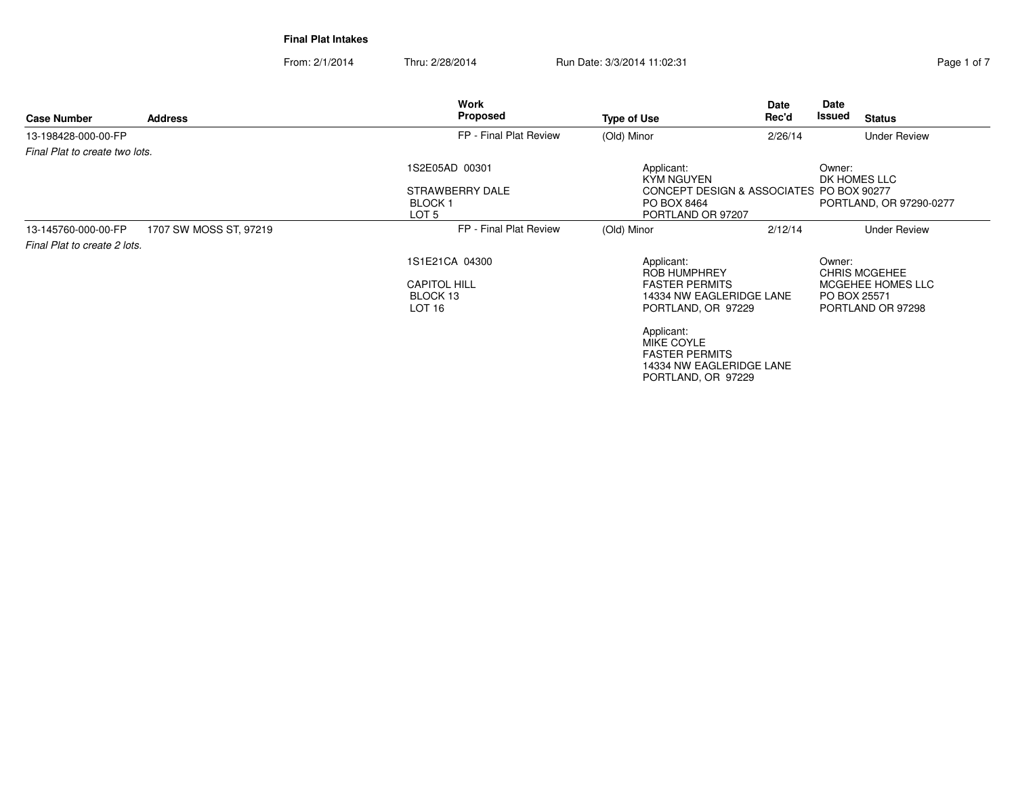| <b>Case Number</b>             | <b>Address</b>         | Work<br>Proposed                                                       | <b>Type of Use</b>                                                                                              | Date<br>Rec'd | Date<br>Issued<br><b>Status</b>                                                          |
|--------------------------------|------------------------|------------------------------------------------------------------------|-----------------------------------------------------------------------------------------------------------------|---------------|------------------------------------------------------------------------------------------|
| 13-198428-000-00-FP            |                        | FP - Final Plat Review                                                 | (Old) Minor                                                                                                     | 2/26/14       | <b>Under Review</b>                                                                      |
| Final Plat to create two lots. |                        |                                                                        |                                                                                                                 |               |                                                                                          |
|                                |                        | 1S2E05AD 00301<br>STRAWBERRY DALE<br>BLOCK 1<br>LOT <sub>5</sub>       | Applicant:<br><b>KYM NGUYEN</b><br>CONCEPT DESIGN & ASSOCIATES PO BOX 90277<br>PO BOX 8464<br>PORTLAND OR 97207 |               | Owner:<br>DK HOMES LLC<br>PORTLAND, OR 97290-0277                                        |
| 13-145760-000-00-FP            | 1707 SW MOSS ST, 97219 | FP - Final Plat Review                                                 | (Old) Minor                                                                                                     | 2/12/14       | <b>Under Review</b>                                                                      |
| Final Plat to create 2 lots.   |                        |                                                                        |                                                                                                                 |               |                                                                                          |
|                                |                        | 1S1E21CA 04300<br><b>CAPITOL HILL</b><br>BLOCK 13<br>LOT <sub>16</sub> | Applicant:<br><b>ROB HUMPHREY</b><br><b>FASTER PERMITS</b><br>14334 NW EAGLERIDGE LANE<br>PORTLAND, OR 97229    |               | Owner:<br><b>CHRIS MCGEHEE</b><br>MCGEHEE HOMES LLC<br>PO BOX 25571<br>PORTLAND OR 97298 |
|                                |                        |                                                                        | Applicant:<br>MIKE COYLE<br><b>FASTER PERMITS</b><br>14334 NW EAGLERIDGE LANE<br>PORTLAND, OR 97229             |               |                                                                                          |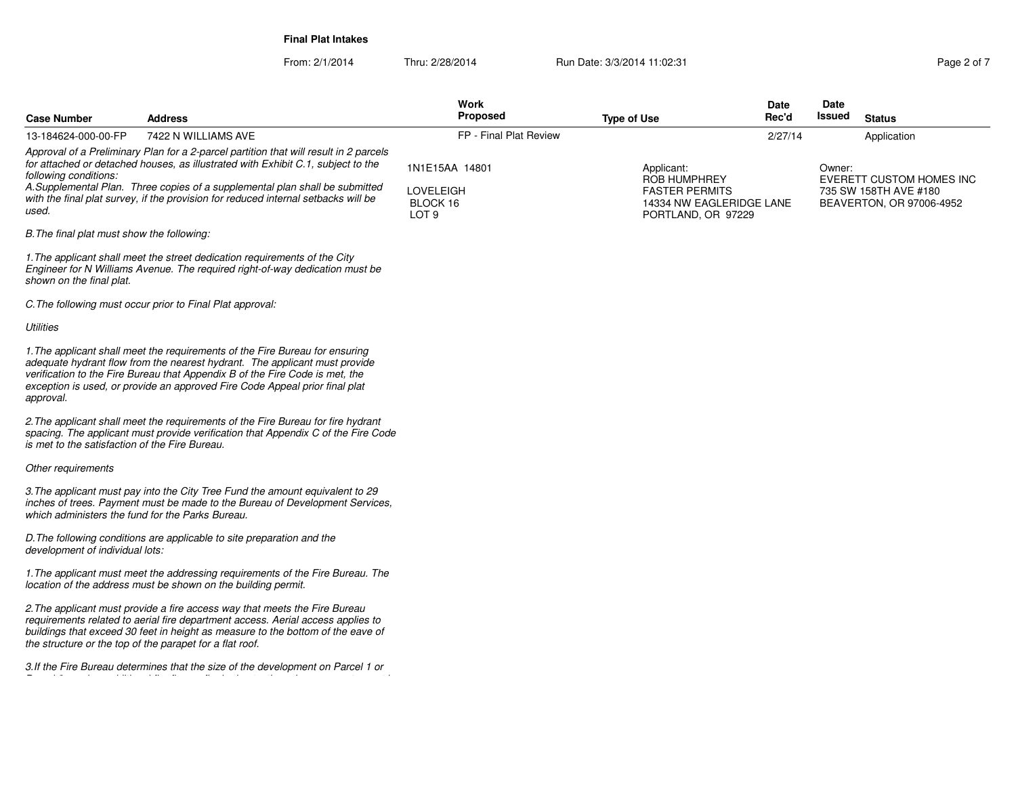From: 2/1/2014Thru: 2/28/2014 **Run Date: 3/3/2014 11:02:31 Run Date: 3/3/2014 11:02:31 Page 2 of 7** 

**Case NumberWork** Proposed **AddressS** Proposed **Rec'dIssued Type of Use Issued Status** *Approval of a Preliminary Plan for a 2-parcel partition that will result in 2 parcelsfor attached or detached houses, as illustrated with Exhibit C.1, subject to thefollowing conditions: A.Supplemental Plan. Three copies of a supplemental plan shall be submitted with the final plat survey, if the provision for reduced internal setbacks will beused.B.The final plat must show the following:1.The applicant shall meet the street dedication requirements of the City Engineer for N Williams Avenue. The required right-of-way dedication must beshown on the final plat.C.The following must occur prior to Final Plat approval:Utilities1.The applicant shall meet the requirements of the Fire Bureau for ensuring adequate hydrant flow from the nearest hydrant. The applicant must provideverification to the Fire Bureau that Appendix B of the Fire Code is met, the exception is used, or provide an approved Fire Code Appeal prior final platapproval.2.The applicant shall meet the requirements of the Fire Bureau for fire hydrant spacing. The applicant must provide verification that Appendix C of the Fire Codeis met to the satisfaction of the Fire Bureau.Other requirements3.The applicant must pay into the City Tree Fund the amount equivalent to 29 inches of trees. Payment must be made to the Bureau of Development Services,which administers the fund for the Parks Bureau.D.The following conditions are applicable to site preparation and thedevelopment of individual lots:1.The applicant must meet the addressing requirements of the Fire Bureau. Thelocation of the address must be shown on the building permit.2.The applicant must provide a fire access way that meets the Fire Bureau requirements related to aerial fire department access. Aerial access applies to buildings that exceed 30 feet in height as measure to the bottom of the eave ofthe structure or the top of the parapet for a flat roof.3.If the Fire Bureau determines that the size of the development on Parcel 1 orParcel 2 requires additional fire flow or fire hydrants, those improvements must be*13-184624-000-00-FP7422 N WILLIAMS AVE **FRAUGHT AND STATE ASSAULT AT A CONSTRUCT AND FRAUGHT AND FRAUGHT AND THE REVIEW** 1N1E15AA 14801LOVELEIGH BLOCK 16 LOT 9Applicant: ROB HUMPHREY FASTER PERMITS 14334 NW EAGLERIDGE LANEPORTLAND, OR 97229Owner: EVERETT CUSTOM HOMES INC735 SW 158TH AVE #180 BEAVERTON, OR 97006-49522/27/14Application

**Date**

**Date**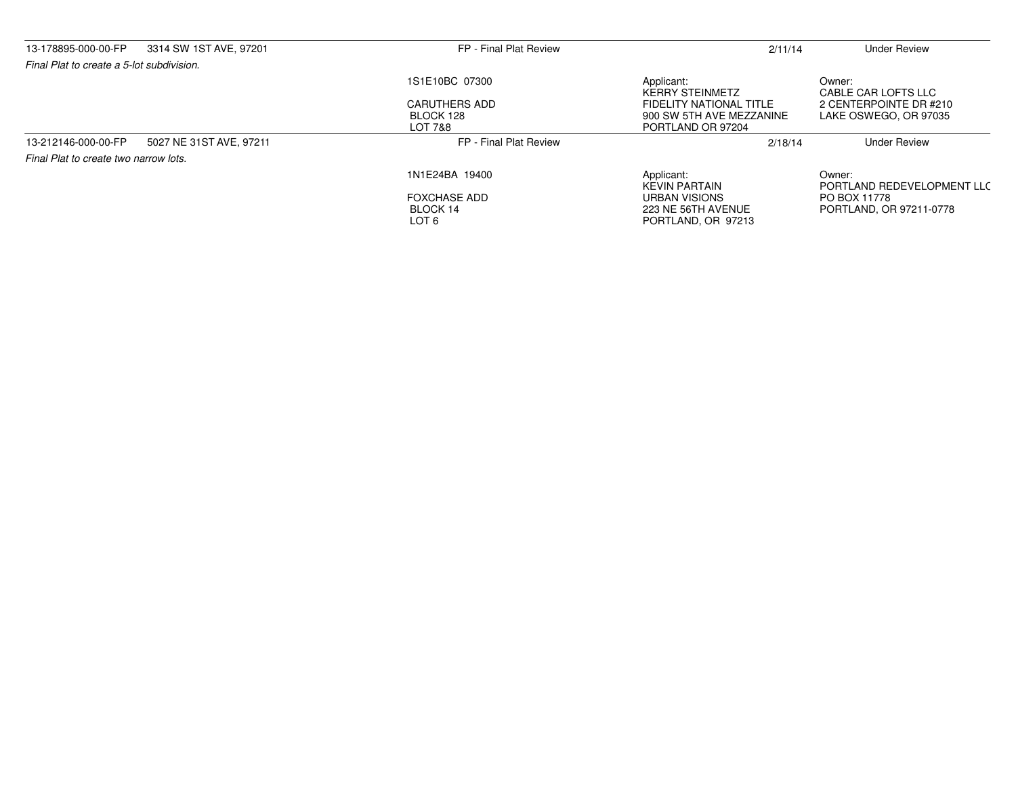| 13-178895-000-00-FP                       | 3314 SW 1ST AVE, 97201  | FP - Final Plat Review                       | 2/11/14                                                                  | <b>Under Review</b>                             |
|-------------------------------------------|-------------------------|----------------------------------------------|--------------------------------------------------------------------------|-------------------------------------------------|
| Final Plat to create a 5-lot subdivision. |                         |                                              |                                                                          |                                                 |
|                                           |                         | 1S1E10BC 07300                               | Applicant:<br><b>KERRY STEINMETZ</b>                                     | Owner:<br>CABLE CAR LOFTS LLC                   |
|                                           |                         | <b>CARUTHERS ADD</b><br>BLOCK 128<br>LOT 7&8 | FIDELITY NATIONAL TITLE<br>900 SW 5TH AVE MEZZANINE<br>PORTLAND OR 97204 | 2 CENTERPOINTE DR #210<br>LAKE OSWEGO, OR 97035 |
| 13-212146-000-00-FP                       | 5027 NE 31ST AVE, 97211 | FP - Final Plat Review                       | 2/18/14                                                                  | <b>Under Review</b>                             |
| Final Plat to create two narrow lots.     |                         |                                              |                                                                          |                                                 |
|                                           |                         | 1N1E24BA 19400                               | Applicant:<br><b>KEVIN PARTAIN</b>                                       | Owner:<br>PORTLAND REDEVELOPMENT LLC            |
|                                           |                         | <b>FOXCHASE ADD</b><br>BLOCK 14<br>LOT 6     | URBAN VISIONS<br>223 NE 56TH AVENUE<br>PORTLAND, OR 97213                | PO BOX 11778<br>PORTLAND, OR 97211-0778         |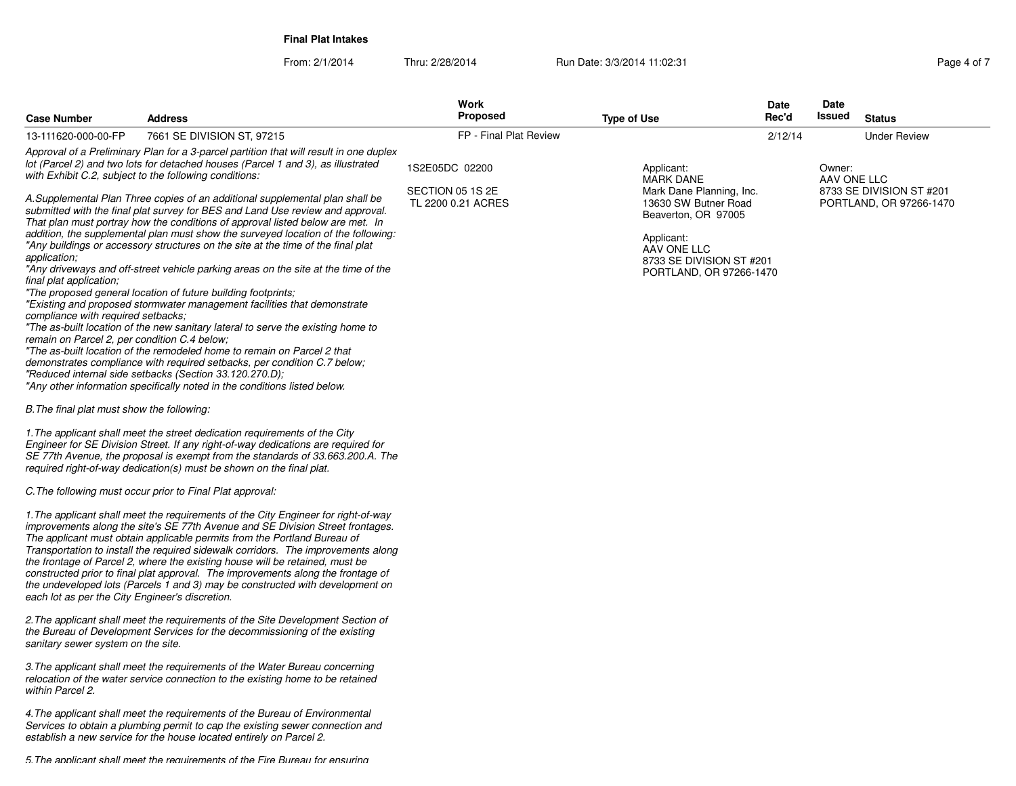From: 2/1/2014Thru: 2/28/2014 **Run Date: 3/3/2014 11:02:31 Run Page 4 of 7/3/2014 11:02:31 Page 4 of 7/3/2014 11:02:31** 

| Page 4 of |  |  |
|-----------|--|--|

| <b>Case Number</b><br><b>Address</b>                                                                                                                                                                                                                                                                                                                                                                                                                                                                                                                                                                                                                                                                                                                                                                                                                                                                                                                                                                                                                                                                                                                                                                                                                                                                                                                                                                                                                                                                                                                                                                                                                                                                                                                                                                                                                                                                                                                                                                                                                                                                                                                                                                                                                                                                                                                                                                                                                                                                                                                                                                                                                                                                                                                                                                                                                                                                                                                                   | <b>Work</b><br><b>Proposed</b>         | <b>Type of Use</b>                                                                                                                                                              | Date<br>Rec'd | Date<br>Issued | <b>Status</b>                                       |
|------------------------------------------------------------------------------------------------------------------------------------------------------------------------------------------------------------------------------------------------------------------------------------------------------------------------------------------------------------------------------------------------------------------------------------------------------------------------------------------------------------------------------------------------------------------------------------------------------------------------------------------------------------------------------------------------------------------------------------------------------------------------------------------------------------------------------------------------------------------------------------------------------------------------------------------------------------------------------------------------------------------------------------------------------------------------------------------------------------------------------------------------------------------------------------------------------------------------------------------------------------------------------------------------------------------------------------------------------------------------------------------------------------------------------------------------------------------------------------------------------------------------------------------------------------------------------------------------------------------------------------------------------------------------------------------------------------------------------------------------------------------------------------------------------------------------------------------------------------------------------------------------------------------------------------------------------------------------------------------------------------------------------------------------------------------------------------------------------------------------------------------------------------------------------------------------------------------------------------------------------------------------------------------------------------------------------------------------------------------------------------------------------------------------------------------------------------------------------------------------------------------------------------------------------------------------------------------------------------------------------------------------------------------------------------------------------------------------------------------------------------------------------------------------------------------------------------------------------------------------------------------------------------------------------------------------------------------------|----------------------------------------|---------------------------------------------------------------------------------------------------------------------------------------------------------------------------------|---------------|----------------|-----------------------------------------------------|
| 7661 SE DIVISION ST, 97215<br>13-111620-000-00-FP                                                                                                                                                                                                                                                                                                                                                                                                                                                                                                                                                                                                                                                                                                                                                                                                                                                                                                                                                                                                                                                                                                                                                                                                                                                                                                                                                                                                                                                                                                                                                                                                                                                                                                                                                                                                                                                                                                                                                                                                                                                                                                                                                                                                                                                                                                                                                                                                                                                                                                                                                                                                                                                                                                                                                                                                                                                                                                                      | FP - Final Plat Review                 |                                                                                                                                                                                 | 2/12/14       |                | <b>Under Review</b>                                 |
| Approval of a Preliminary Plan for a 3-parcel partition that will result in one duplex<br>lot (Parcel 2) and two lots for detached houses (Parcel 1 and 3), as illustrated                                                                                                                                                                                                                                                                                                                                                                                                                                                                                                                                                                                                                                                                                                                                                                                                                                                                                                                                                                                                                                                                                                                                                                                                                                                                                                                                                                                                                                                                                                                                                                                                                                                                                                                                                                                                                                                                                                                                                                                                                                                                                                                                                                                                                                                                                                                                                                                                                                                                                                                                                                                                                                                                                                                                                                                             | 1S2E05DC 02200                         | Applicant:                                                                                                                                                                      |               | Owner:         |                                                     |
| with Exhibit C.2, subject to the following conditions:<br>A.Supplemental Plan Three copies of an additional supplemental plan shall be<br>submitted with the final plat survey for BES and Land Use review and approval.<br>That plan must portray how the conditions of approval listed below are met. In<br>addition, the supplemental plan must show the surveyed location of the following:<br>"Any buildings or accessory structures on the site at the time of the final plat<br>application;<br>"Any driveways and off-street vehicle parking areas on the site at the time of the<br>final plat application:<br>"The proposed general location of future building footprints;<br>"Existing and proposed stormwater management facilities that demonstrate<br>compliance with required setbacks;<br>"The as-built location of the new sanitary lateral to serve the existing home to<br>remain on Parcel 2, per condition C.4 below;<br>"The as-built location of the remodeled home to remain on Parcel 2 that<br>demonstrates compliance with required setbacks, per condition C.7 below;<br>"Reduced internal side setbacks (Section 33.120.270.D);<br>"Any other information specifically noted in the conditions listed below.<br>B. The final plat must show the following:<br>1. The applicant shall meet the street dedication requirements of the City<br>Engineer for SE Division Street. If any right-of-way dedications are required for<br>SE 77th Avenue, the proposal is exempt from the standards of 33.663.200.A. The<br>required right-of-way dedication(s) must be shown on the final plat.<br>C. The following must occur prior to Final Plat approval:<br>1. The applicant shall meet the requirements of the City Engineer for right-of-way<br>improvements along the site's SE 77th Avenue and SE Division Street frontages.<br>The applicant must obtain applicable permits from the Portland Bureau of<br>Transportation to install the required sidewalk corridors. The improvements along<br>the frontage of Parcel 2, where the existing house will be retained, must be<br>constructed prior to final plat approval. The improvements along the frontage of<br>the undeveloped lots (Parcels 1 and 3) may be constructed with development on<br>each lot as per the City Engineer's discretion.<br>2. The applicant shall meet the requirements of the Site Development Section of<br>the Bureau of Development Services for the decommissioning of the existing<br>sanitary sewer system on the site.<br>3. The applicant shall meet the requirements of the Water Bureau concerning<br>relocation of the water service connection to the existing home to be retained<br>within Parcel 2.<br>4. The applicant shall meet the requirements of the Bureau of Environmental<br>Services to obtain a plumbing permit to cap the existing sewer connection and<br>establish a new service for the house located entirely on Parcel 2. | SECTION 05 1S 2E<br>TL 2200 0.21 ACRES | <b>MARK DANE</b><br>Mark Dane Planning, Inc.<br>13630 SW Butner Road<br>Beaverton, OR 97005<br>Applicant:<br>AAV ONE LLC<br>8733 SE DIVISION ST #201<br>PORTLAND, OR 97266-1470 |               | AAV ONE LLC    | 8733 SE DIVISION ST #201<br>PORTLAND, OR 97266-1470 |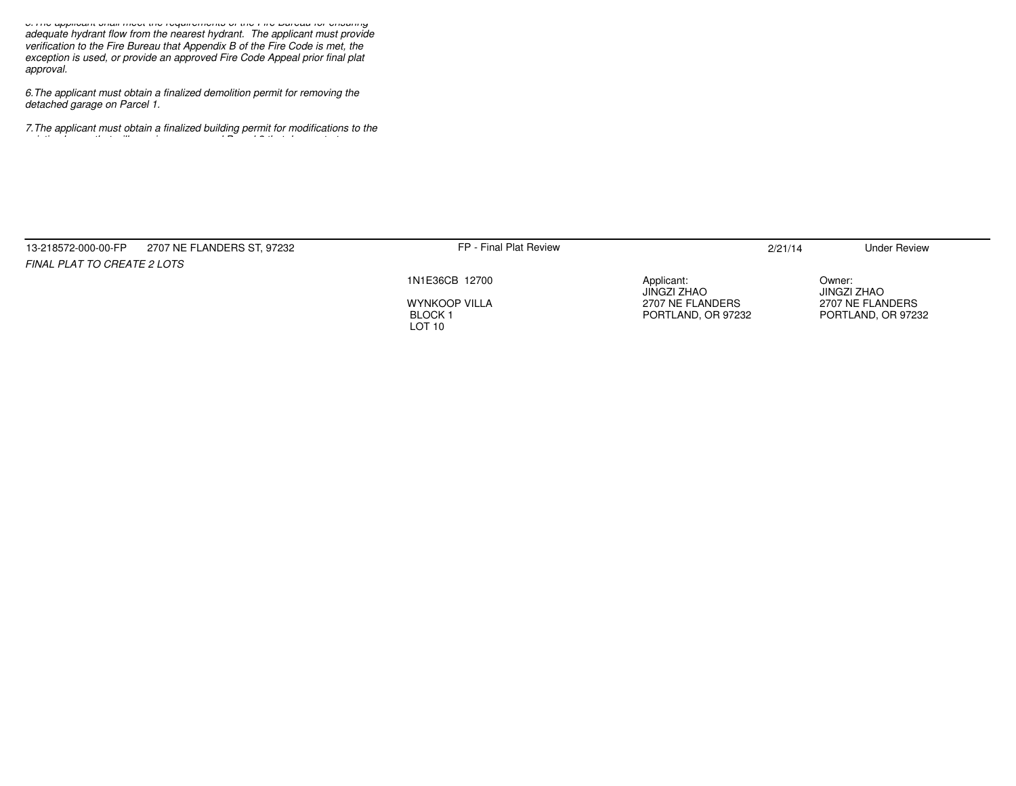*5.The applicant shall meet the requirements of the Fire Bureau for ensuring adequate hydrant flow from the nearest hydrant. The applicant must provideverification to the Fire Bureau that Appendix B of the Fire Code is met, the exception is used, or provide an approved Fire Code Appeal prior final plat approval.*

*6.The applicant must obtain a finalized demolition permit for removing thedetached garage on Parcel 1.*

*existing house that will remain on proposed Parcel 2 that demonstrates*

*7.The applicant must obtain a finalized building permit for modifications to the*

| 2707 NE FLANDERS ST, 97232<br>13-218572-000-00-FP | FP - Final Plat Review             |                           | 2/21/14 | <b>Under Review</b>   |
|---------------------------------------------------|------------------------------------|---------------------------|---------|-----------------------|
| <b>FINAL PLAT TO CREATE 2 LOTS</b>                |                                    |                           |         |                       |
|                                                   | 1N1E36CB 12700                     | Applicant:<br>JINGZI ZHAO |         | Owner:<br>JINGZI ZHAO |
|                                                   | <b>WYNKOOP VILLA</b>               | 2707 NE FLANDERS          |         | 2707 NE FLANDERS      |
|                                                   | <b>BLOCK1</b><br>LOT <sub>10</sub> | PORTLAND, OR 97232        |         | PORTLAND, OR 97232    |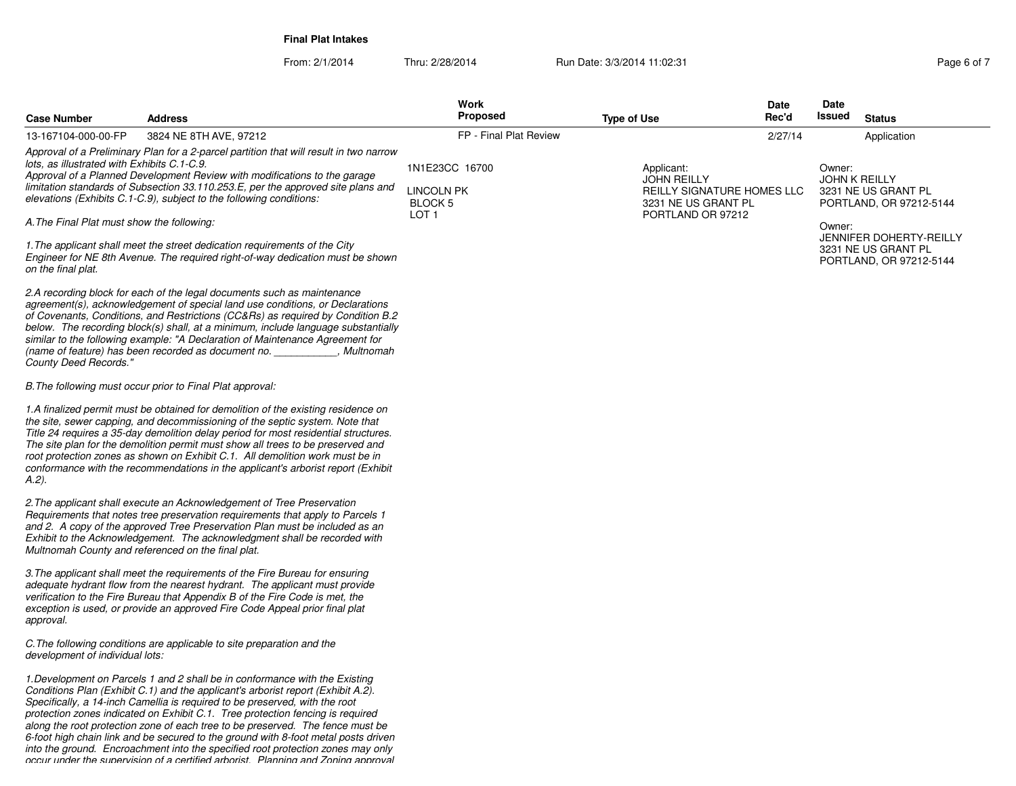From: 2/1/2014Thru: 2/28/2014 **Run Date: 3/3/2014 11:02:31 Run Date: 3/3/2014 11:02:31 Page 6 of 7** 

| <b>Case Number</b>                                                                        | <b>Address</b>                                                                                                                                                                                                                                                                                                                                                                                                                                                                                                                                                                                                                                                                    | <b>Work</b><br>Proposed                                                   | <b>Type of Use</b>                                                                                         | Date<br>Rec'd | Date<br>Issued<br><b>Status</b>                                                            |
|-------------------------------------------------------------------------------------------|-----------------------------------------------------------------------------------------------------------------------------------------------------------------------------------------------------------------------------------------------------------------------------------------------------------------------------------------------------------------------------------------------------------------------------------------------------------------------------------------------------------------------------------------------------------------------------------------------------------------------------------------------------------------------------------|---------------------------------------------------------------------------|------------------------------------------------------------------------------------------------------------|---------------|--------------------------------------------------------------------------------------------|
| 13-167104-000-00-FP                                                                       | 3824 NE 8TH AVE, 97212                                                                                                                                                                                                                                                                                                                                                                                                                                                                                                                                                                                                                                                            | FP - Final Plat Review                                                    |                                                                                                            | 2/27/14       | Application                                                                                |
| lots, as illustrated with Exhibits C.1-C.9.<br>A. The Final Plat must show the following: | Approval of a Preliminary Plan for a 2-parcel partition that will result in two narrow<br>Approval of a Planned Development Review with modifications to the garage<br>limitation standards of Subsection 33.110.253.E, per the approved site plans and<br>elevations (Exhibits C.1-C.9), subject to the following conditions:                                                                                                                                                                                                                                                                                                                                                    | 1N1E23CC 16700<br><b>LINCOLN PK</b><br><b>BLOCK 5</b><br>LOT <sub>1</sub> | Applicant:<br><b>JOHN REILLY</b><br>REILLY SIGNATURE HOMES LLC<br>3231 NE US GRANT PL<br>PORTLAND OR 97212 |               | Owner:<br><b>JOHN K REILLY</b><br>3231 NE US GRANT PL<br>PORTLAND, OR 97212-5144<br>Owner: |
| on the final plat.                                                                        | 1. The applicant shall meet the street dedication requirements of the City<br>Engineer for NE 8th Avenue. The required right-of-way dedication must be shown                                                                                                                                                                                                                                                                                                                                                                                                                                                                                                                      |                                                                           |                                                                                                            |               | <b>JENNIFER DOHERTY-REILLY</b><br>3231 NE US GRANT PL<br>PORTLAND, OR 97212-5144           |
| County Deed Records."                                                                     | 2.A recording block for each of the legal documents such as maintenance<br>agreement(s), acknowledgement of special land use conditions, or Declarations<br>of Covenants, Conditions, and Restrictions (CC&Rs) as required by Condition B.2<br>below. The recording block(s) shall, at a minimum, include language substantially<br>similar to the following example: "A Declaration of Maintenance Agreement for<br>(name of feature) has been recorded as document no. ____________, Multnomah                                                                                                                                                                                  |                                                                           |                                                                                                            |               |                                                                                            |
|                                                                                           | B. The following must occur prior to Final Plat approval:                                                                                                                                                                                                                                                                                                                                                                                                                                                                                                                                                                                                                         |                                                                           |                                                                                                            |               |                                                                                            |
| A.2).                                                                                     | 1.A finalized permit must be obtained for demolition of the existing residence on<br>the site, sewer capping, and decommissioning of the septic system. Note that<br>Title 24 requires a 35-day demolition delay period for most residential structures.<br>The site plan for the demolition permit must show all trees to be preserved and<br>root protection zones as shown on Exhibit C.1. All demolition work must be in<br>conformance with the recommendations in the applicant's arborist report (Exhibit                                                                                                                                                                  |                                                                           |                                                                                                            |               |                                                                                            |
|                                                                                           | 2. The applicant shall execute an Acknowledgement of Tree Preservation<br>Requirements that notes tree preservation requirements that apply to Parcels 1<br>and 2. A copy of the approved Tree Preservation Plan must be included as an<br>Exhibit to the Acknowledgement. The acknowledgment shall be recorded with<br>Multnomah County and referenced on the final plat.                                                                                                                                                                                                                                                                                                        |                                                                           |                                                                                                            |               |                                                                                            |
| approval.                                                                                 | 3. The applicant shall meet the requirements of the Fire Bureau for ensuring<br>adequate hydrant flow from the nearest hydrant. The applicant must provide<br>verification to the Fire Bureau that Appendix B of the Fire Code is met, the<br>exception is used, or provide an approved Fire Code Appeal prior final plat                                                                                                                                                                                                                                                                                                                                                         |                                                                           |                                                                                                            |               |                                                                                            |
| development of individual lots:                                                           | C. The following conditions are applicable to site preparation and the                                                                                                                                                                                                                                                                                                                                                                                                                                                                                                                                                                                                            |                                                                           |                                                                                                            |               |                                                                                            |
|                                                                                           | 1. Development on Parcels 1 and 2 shall be in conformance with the Existing<br>Conditions Plan (Exhibit C.1) and the applicant's arborist report (Exhibit A.2).<br>Specifically, a 14-inch Camellia is required to be preserved, with the root<br>protection zones indicated on Exhibit C.1. Tree protection fencing is required<br>along the root protection zone of each tree to be preserved. The fence must be<br>6-foot high chain link and be secured to the ground with 8-foot metal posts driven<br>into the ground. Encroachment into the specified root protection zones may only<br>occur under the sunervision of a certified arborist - Planning and Zoning annroval |                                                                           |                                                                                                            |               |                                                                                            |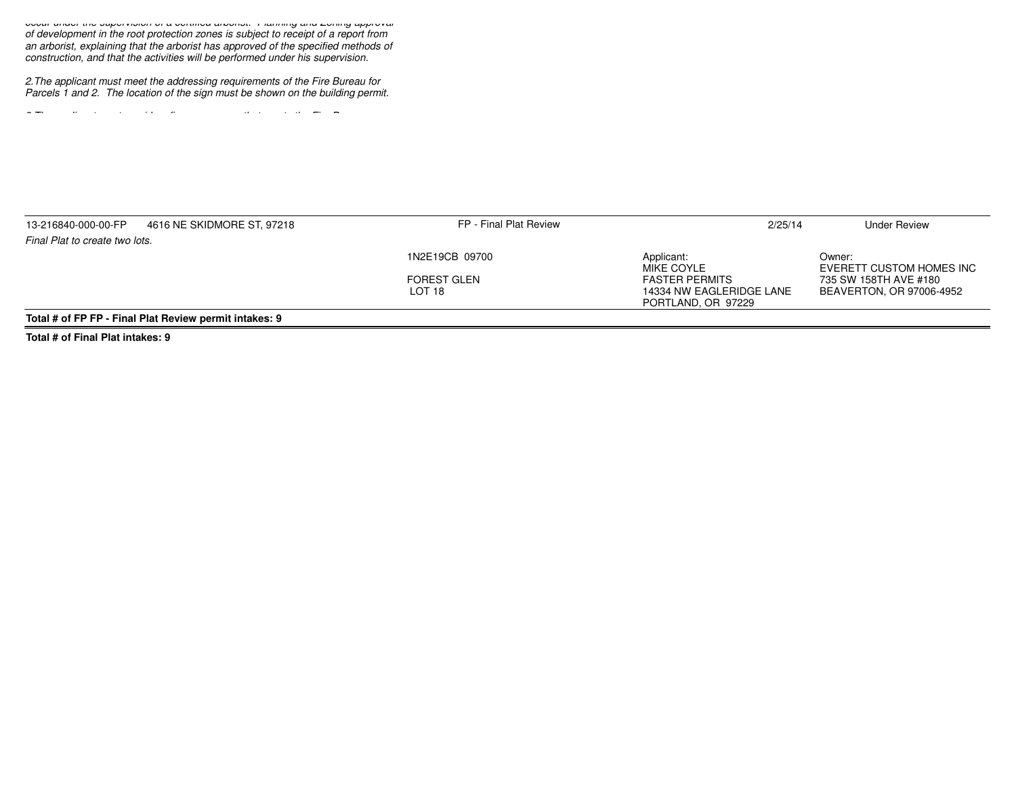*occur under the supervision of a certified arborist. Planning and Zoning approval of development in the root protection zones is subject to receipt of a report froman arborist, explaining that the arborist has approved of the specified methods of construction, and that the activities will be performed under his supervision.*

*2.The applicant must meet the addressing requirements of the Fire Bureau forParcels 1 and 2. The location of the sign must be shown on the building permit.*

*3.The applicant must provide a fire access way that meets the Fire Bureau*

| 13-216840-000-00-FP            | 4616 NE SKIDMORE ST, 97218                             | FP - Final Plat Review | 2/25/14                  | <b>Under Review</b>                |
|--------------------------------|--------------------------------------------------------|------------------------|--------------------------|------------------------------------|
| Final Plat to create two lots. |                                                        |                        |                          |                                    |
|                                |                                                        | 1N2E19CB 09700         | Applicant:<br>MIKE COYLE | Owner:<br>EVERETT CUSTOM HOMES INC |
|                                |                                                        | <b>FOREST GLEN</b>     | <b>FASTER PERMITS</b>    | 735 SW 158TH AVE #180              |
|                                |                                                        | LOT 18                 | 14334 NW EAGLERIDGE LANE | BEAVERTON, OR 97006-4952           |
|                                |                                                        |                        | PORTLAND, OR 97229       |                                    |
|                                | Total # of FP FP - Final Plat Review permit intakes: 9 |                        |                          |                                    |

**Total # of Final Plat intakes: 9**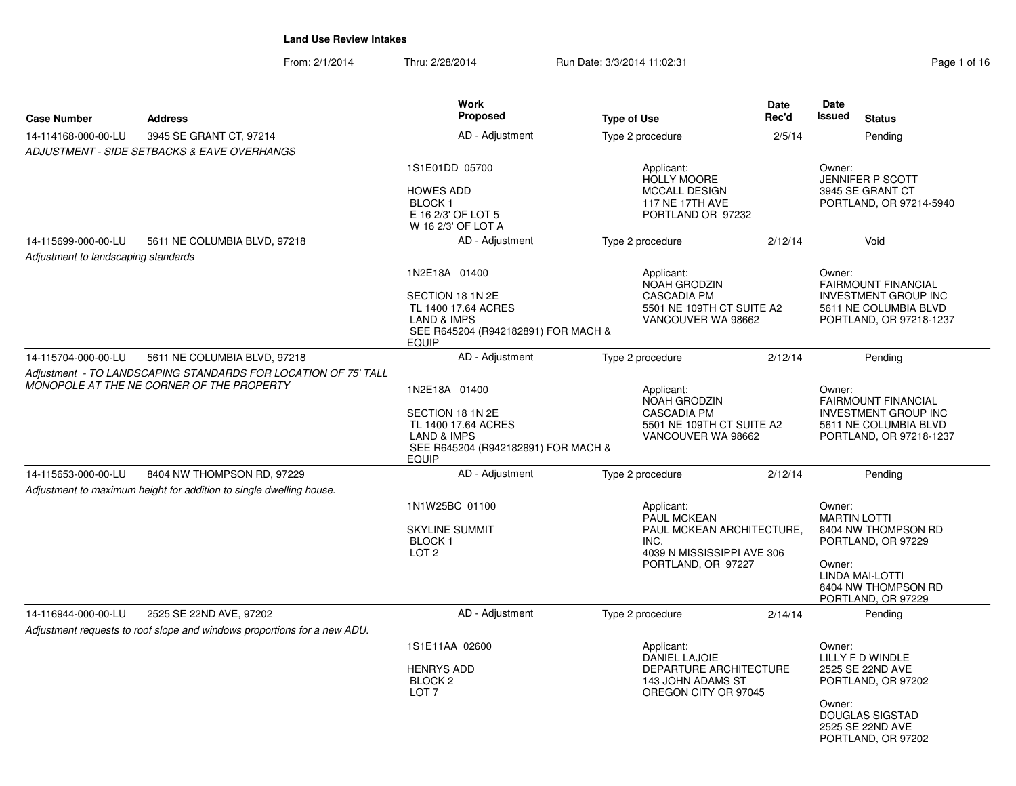| Page 1 of 16 |  |  |
|--------------|--|--|
|              |  |  |

| <b>Case Number</b>                  | <b>Address</b>                                                                                              | Work<br>Proposed                                                                                                                          | <b>Type of Use</b>                                                                                                        | Date<br>Rec'd | Date<br><b>Issued</b><br><b>Status</b>                                                                                                               |
|-------------------------------------|-------------------------------------------------------------------------------------------------------------|-------------------------------------------------------------------------------------------------------------------------------------------|---------------------------------------------------------------------------------------------------------------------------|---------------|------------------------------------------------------------------------------------------------------------------------------------------------------|
| 14-114168-000-00-LU                 | 3945 SE GRANT CT, 97214                                                                                     | AD - Adjustment                                                                                                                           | Type 2 procedure                                                                                                          | 2/5/14        | Pending                                                                                                                                              |
|                                     | ADJUSTMENT - SIDE SETBACKS & EAVE OVERHANGS                                                                 |                                                                                                                                           |                                                                                                                           |               |                                                                                                                                                      |
|                                     |                                                                                                             | 1S1E01DD 05700<br><b>HOWES ADD</b><br><b>BLOCK1</b><br>E 16 2/3' OF LOT 5<br>W 16 2/3' OF LOT A                                           | Applicant:<br><b>HOLLY MOORE</b><br><b>MCCALL DESIGN</b><br><b>117 NE 17TH AVE</b><br>PORTLAND OR 97232                   |               | Owner:<br><b>JENNIFER P SCOTT</b><br>3945 SE GRANT CT<br>PORTLAND, OR 97214-5940                                                                     |
| 14-115699-000-00-LU                 | 5611 NE COLUMBIA BLVD, 97218                                                                                | AD - Adjustment                                                                                                                           | Type 2 procedure                                                                                                          | 2/12/14       | Void                                                                                                                                                 |
| Adjustment to landscaping standards |                                                                                                             |                                                                                                                                           |                                                                                                                           |               |                                                                                                                                                      |
|                                     |                                                                                                             | 1N2E18A 01400<br>SECTION 18 1N 2E<br>TL 1400 17.64 ACRES<br>LAND & IMPS<br>SEE R645204 (R942182891) FOR MACH &<br><b>EQUIP</b>            | Applicant:<br>NOAH GRODZIN<br>CASCADIA PM<br>5501 NE 109TH CT SUITE A2<br>VANCOUVER WA 98662                              |               | Owner:<br>FAIRMOUNT FINANCIAL<br><b>INVESTMENT GROUP INC</b><br>5611 NE COLUMBIA BLVD<br>PORTLAND, OR 97218-1237                                     |
| 14-115704-000-00-LU                 | 5611 NE COLUMBIA BLVD, 97218                                                                                | AD - Adjustment                                                                                                                           | Type 2 procedure                                                                                                          | 2/12/14       | Pending                                                                                                                                              |
|                                     | Adjustment - TO LANDSCAPING STANDARDS FOR LOCATION OF 75' TALL<br>MONOPOLE AT THE NE CORNER OF THE PROPERTY | 1N2E18A 01400<br>SECTION 18 1N 2E<br>TL 1400 17.64 ACRES<br><b>LAND &amp; IMPS</b><br>SEE R645204 (R942182891) FOR MACH &<br><b>EQUIP</b> | Applicant:<br>NOAH GRODZIN<br><b>CASCADIA PM</b><br>5501 NE 109TH CT SUITE A2<br>VANCOUVER WA 98662                       |               | Owner:<br><b>FAIRMOUNT FINANCIAL</b><br><b>INVESTMENT GROUP INC</b><br>5611 NE COLUMBIA BLVD<br>PORTLAND, OR 97218-1237                              |
| 14-115653-000-00-LU                 | 8404 NW THOMPSON RD, 97229                                                                                  | AD - Adjustment                                                                                                                           | Type 2 procedure                                                                                                          | 2/12/14       | Pending                                                                                                                                              |
|                                     | Adjustment to maximum height for addition to single dwelling house.                                         |                                                                                                                                           |                                                                                                                           |               |                                                                                                                                                      |
|                                     |                                                                                                             | 1N1W25BC 01100<br><b>SKYLINE SUMMIT</b><br><b>BLOCK1</b><br>LOT <sub>2</sub>                                                              | Applicant:<br><b>PAUL MCKEAN</b><br>PAUL MCKEAN ARCHITECTURE,<br>INC.<br>4039 N MISSISSIPPI AVE 306<br>PORTLAND, OR 97227 |               | Owner:<br><b>MARTIN LOTTI</b><br>8404 NW THOMPSON RD<br>PORTLAND, OR 97229<br>Owner:<br>LINDA MAI-LOTTI<br>8404 NW THOMPSON RD<br>PORTLAND, OR 97229 |
| 14-116944-000-00-LU                 | 2525 SE 22ND AVE, 97202                                                                                     | AD - Adjustment                                                                                                                           | Type 2 procedure                                                                                                          | 2/14/14       | Pending                                                                                                                                              |
|                                     | Adjustment requests to roof slope and windows proportions for a new ADU.                                    |                                                                                                                                           |                                                                                                                           |               |                                                                                                                                                      |
|                                     |                                                                                                             | 1S1E11AA 02600<br><b>HENRYS ADD</b><br>BLOCK <sub>2</sub><br>LOT <sub>7</sub>                                                             | Applicant:<br><b>DANIEL LAJOIE</b><br>DEPARTURE ARCHITECTURE<br>143 JOHN ADAMS ST<br>OREGON CITY OR 97045                 |               | Owner:<br>LILLY F D WINDLE<br>2525 SE 22ND AVE<br>PORTLAND, OR 97202<br>Owner:<br><b>DOUGLAS SIGSTAD</b><br>2525 SE 22ND AVE<br>PORTLAND, OR 97202   |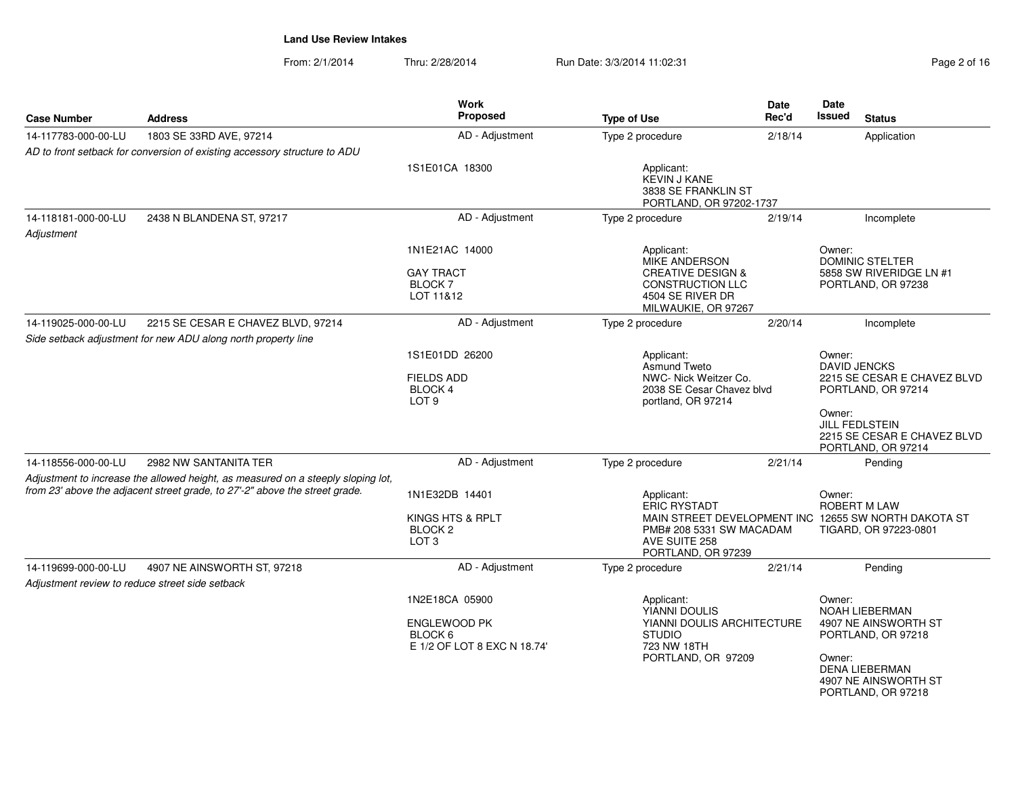| Page 2 of 16 |  |
|--------------|--|
|--------------|--|

| <b>Case Number</b>                              | <b>Address</b>                                                                                                                                                  | <b>Work</b><br>Proposed                                                         | <b>Type of Use</b>                                                                                              | <b>Date</b><br>Rec'd | Date<br><b>Issued</b><br><b>Status</b>                                                                                                                  |
|-------------------------------------------------|-----------------------------------------------------------------------------------------------------------------------------------------------------------------|---------------------------------------------------------------------------------|-----------------------------------------------------------------------------------------------------------------|----------------------|---------------------------------------------------------------------------------------------------------------------------------------------------------|
| 14-117783-000-00-LU                             | 1803 SE 33RD AVE, 97214                                                                                                                                         | AD - Adjustment                                                                 | Type 2 procedure                                                                                                | 2/18/14              | Application                                                                                                                                             |
|                                                 | AD to front setback for conversion of existing accessory structure to ADU                                                                                       |                                                                                 |                                                                                                                 |                      |                                                                                                                                                         |
|                                                 |                                                                                                                                                                 | 1S1E01CA 18300                                                                  | Applicant:<br><b>KEVIN J KANE</b><br>3838 SE FRANKLIN ST<br>PORTLAND, OR 97202-1737                             |                      |                                                                                                                                                         |
| 14-118181-000-00-LU                             | 2438 N BLANDENA ST, 97217                                                                                                                                       | AD - Adjustment                                                                 | Type 2 procedure                                                                                                | 2/19/14              | Incomplete                                                                                                                                              |
| Adjustment                                      |                                                                                                                                                                 |                                                                                 |                                                                                                                 |                      |                                                                                                                                                         |
|                                                 |                                                                                                                                                                 | 1N1E21AC 14000                                                                  | Applicant:<br>MIKE ANDERSON                                                                                     |                      | Owner:<br><b>DOMINIC STELTER</b>                                                                                                                        |
|                                                 |                                                                                                                                                                 | <b>GAY TRACT</b><br><b>BLOCK7</b><br>LOT 11&12                                  | <b>CREATIVE DESIGN &amp;</b><br><b>CONSTRUCTION LLC</b><br>4504 SE RIVER DR<br>MILWAUKIE, OR 97267              |                      | 5858 SW RIVERIDGE LN #1<br>PORTLAND, OR 97238                                                                                                           |
| 14-119025-000-00-LU                             | 2215 SE CESAR E CHAVEZ BLVD, 97214                                                                                                                              | AD - Adjustment                                                                 | Type 2 procedure                                                                                                | 2/20/14              | Incomplete                                                                                                                                              |
|                                                 | Side setback adjustment for new ADU along north property line                                                                                                   |                                                                                 |                                                                                                                 |                      |                                                                                                                                                         |
|                                                 |                                                                                                                                                                 | 1S1E01DD 26200<br><b>FIELDS ADD</b><br><b>BLOCK4</b><br>LOT <sub>9</sub>        | Applicant:<br>Asmund Tweto<br>NWC- Nick Weitzer Co.<br>2038 SE Cesar Chavez blvd<br>portland, OR 97214          |                      | Owner:<br><b>DAVID JENCKS</b><br>2215 SE CESAR E CHAVEZ BLVD<br>PORTLAND, OR 97214                                                                      |
|                                                 |                                                                                                                                                                 |                                                                                 |                                                                                                                 |                      | Owner:<br><b>JILL FEDLSTEIN</b><br>2215 SE CESAR E CHAVEZ BLVD<br>PORTLAND, OR 97214                                                                    |
| 14-118556-000-00-LU                             | 2982 NW SANTANITA TER                                                                                                                                           | AD - Adjustment                                                                 | Type 2 procedure                                                                                                | 2/21/14              | Pending                                                                                                                                                 |
|                                                 | Adjustment to increase the allowed height, as measured on a steeply sloping lot,<br>from 23' above the adjacent street grade, to 27'-2" above the street grade. | 1N1E32DB 14401<br>KINGS HTS & RPLT<br>BLOCK <sub>2</sub><br>LOT <sub>3</sub>    | Applicant:<br><b>ERIC RYSTADT</b><br>PMB# 208 5331 SW MACADAM<br>AVE SUITE 258<br>PORTLAND, OR 97239            |                      | Owner:<br><b>ROBERT M LAW</b><br>MAIN STREET DEVELOPMENT INC 12655 SW NORTH DAKOTA ST<br>TIGARD, OR 97223-0801                                          |
| 14-119699-000-00-LU                             | 4907 NE AINSWORTH ST, 97218                                                                                                                                     | AD - Adjustment                                                                 | Type 2 procedure                                                                                                | 2/21/14              | Pending                                                                                                                                                 |
| Adjustment review to reduce street side setback |                                                                                                                                                                 |                                                                                 |                                                                                                                 |                      |                                                                                                                                                         |
|                                                 |                                                                                                                                                                 | 1N2E18CA 05900<br><b>ENGLEWOOD PK</b><br>BLOCK 6<br>E 1/2 OF LOT 8 EXC N 18.74' | Applicant:<br>YIANNI DOULIS<br>YIANNI DOULIS ARCHITECTURE<br><b>STUDIO</b><br>723 NW 18TH<br>PORTLAND, OR 97209 |                      | Owner:<br>NOAH LIEBERMAN<br>4907 NE AINSWORTH ST<br>PORTLAND, OR 97218<br>Owner:<br><b>DENA LIEBERMAN</b><br>4907 NE AINSWORTH ST<br>PORTLAND, OR 97218 |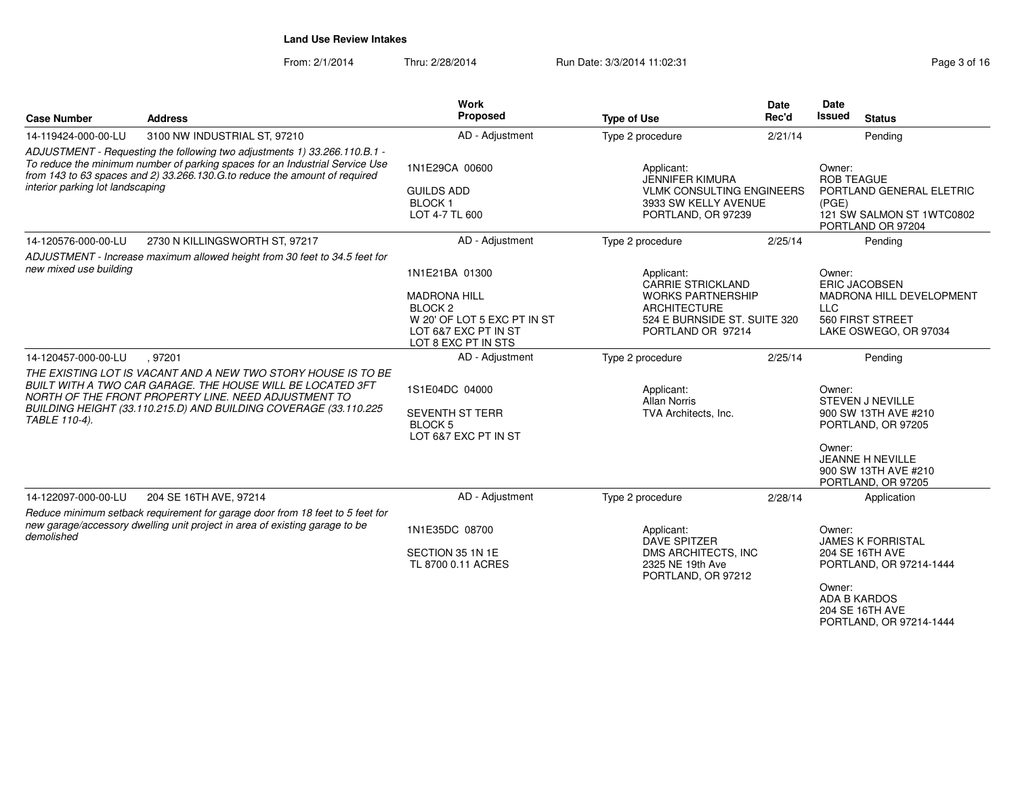From: 2/1/2014Thru: 2/28/2014 Run Date: 3/3/2014 11:02:31 Page 3 of 16

| <b>Case Number</b>                                                                                                                                                                                                                                                          | <b>Address</b>                                                                                                                                                                                                                                          | Work<br>Proposed                                                                                                                          | <b>Type of Use</b>                                                                                                                             | Date<br>Rec'd | Date<br><b>Issued</b><br><b>Status</b>                                                                                                                             |
|-----------------------------------------------------------------------------------------------------------------------------------------------------------------------------------------------------------------------------------------------------------------------------|---------------------------------------------------------------------------------------------------------------------------------------------------------------------------------------------------------------------------------------------------------|-------------------------------------------------------------------------------------------------------------------------------------------|------------------------------------------------------------------------------------------------------------------------------------------------|---------------|--------------------------------------------------------------------------------------------------------------------------------------------------------------------|
| 14-119424-000-00-LU                                                                                                                                                                                                                                                         | 3100 NW INDUSTRIAL ST, 97210                                                                                                                                                                                                                            | AD - Adjustment                                                                                                                           | Type 2 procedure                                                                                                                               | 2/21/14       | Pending                                                                                                                                                            |
| ADJUSTMENT - Requesting the following two adjustments 1) 33.266.110.B.1 -<br>To reduce the minimum number of parking spaces for an Industrial Service Use<br>from 143 to 63 spaces and 2) 33.266.130.G.to reduce the amount of required<br>interior parking lot landscaping |                                                                                                                                                                                                                                                         | 1N1E29CA 00600<br><b>GUILDS ADD</b><br><b>BLOCK1</b><br>LOT 4-7 TL 600                                                                    | Applicant:<br><b>JENNIFER KIMURA</b><br><b>VLMK CONSULTING ENGINEERS</b><br>3933 SW KELLY AVENUE<br>PORTLAND, OR 97239                         |               | Owner:<br><b>ROB TEAGUE</b><br>PORTLAND GENERAL ELETRIC<br>(PGE)<br>121 SW SALMON ST 1WTC0802<br>PORTLAND OR 97204                                                 |
| 14-120576-000-00-LU                                                                                                                                                                                                                                                         | 2730 N KILLINGSWORTH ST, 97217                                                                                                                                                                                                                          | AD - Adjustment                                                                                                                           | Type 2 procedure                                                                                                                               | 2/25/14       | Pending                                                                                                                                                            |
| new mixed use building                                                                                                                                                                                                                                                      | ADJUSTMENT - Increase maximum allowed height from 30 feet to 34.5 feet for                                                                                                                                                                              | 1N1E21BA 01300<br><b>MADRONA HILL</b><br>BLOCK <sub>2</sub><br>W 20' OF LOT 5 EXC PT IN ST<br>LOT 6&7 EXC PT IN ST<br>LOT 8 EXC PT IN STS | Applicant:<br><b>CARRIE STRICKLAND</b><br><b>WORKS PARTNERSHIP</b><br><b>ARCHITECTURE</b><br>524 E BURNSIDE ST. SUITE 320<br>PORTLAND OR 97214 |               | Owner:<br><b>ERIC JACOBSEN</b><br>MADRONA HILL DEVELOPMENT<br><b>LLC</b><br>560 FIRST STREET<br>LAKE OSWEGO, OR 97034                                              |
| 14-120457-000-00-LU                                                                                                                                                                                                                                                         | .97201                                                                                                                                                                                                                                                  | AD - Adjustment                                                                                                                           | Type 2 procedure                                                                                                                               | 2/25/14       | Pendina                                                                                                                                                            |
| TABLE 110-4).                                                                                                                                                                                                                                                               | THE EXISTING LOT IS VACANT AND A NEW TWO STORY HOUSE IS TO BE<br>BUILT WITH A TWO CAR GARAGE. THE HOUSE WILL BE LOCATED 3FT<br>NORTH OF THE FRONT PROPERTY LINE. NEED ADJUSTMENT TO<br>BUILDING HEIGHT (33.110.215.D) AND BUILDING COVERAGE (33.110.225 | 1S1E04DC 04000<br><b>SEVENTH ST TERR</b><br><b>BLOCK 5</b><br>LOT 6&7 EXC PT IN ST                                                        | Applicant:<br><b>Allan Norris</b><br>TVA Architects, Inc.                                                                                      |               | Owner:<br><b>STEVEN J NEVILLE</b><br>900 SW 13TH AVE #210<br>PORTLAND, OR 97205<br>Owner:<br><b>JEANNE H NEVILLE</b><br>900 SW 13TH AVE #210<br>PORTLAND, OR 97205 |
| 14-122097-000-00-LU                                                                                                                                                                                                                                                         | 204 SE 16TH AVE, 97214                                                                                                                                                                                                                                  | AD - Adjustment                                                                                                                           | Type 2 procedure                                                                                                                               | 2/28/14       | Application                                                                                                                                                        |
| demolished                                                                                                                                                                                                                                                                  | Reduce minimum setback requirement for garage door from 18 feet to 5 feet for<br>new garage/accessory dwelling unit project in area of existing garage to be                                                                                            | 1N1E35DC 08700<br>SECTION 35 1N 1E<br>TL 8700 0.11 ACRES                                                                                  | Applicant:<br><b>DAVE SPITZER</b><br>DMS ARCHITECTS, INC<br>2325 NE 19th Ave<br>PORTLAND, OR 97212                                             |               | Owner:<br><b>JAMES K FORRISTAL</b><br>204 SE 16TH AVE<br>PORTLAND, OR 97214-1444<br>Owner:<br><b>ADA B KARDOS</b>                                                  |

 204 SE 16TH AVEPORTLAND, OR 97214-1444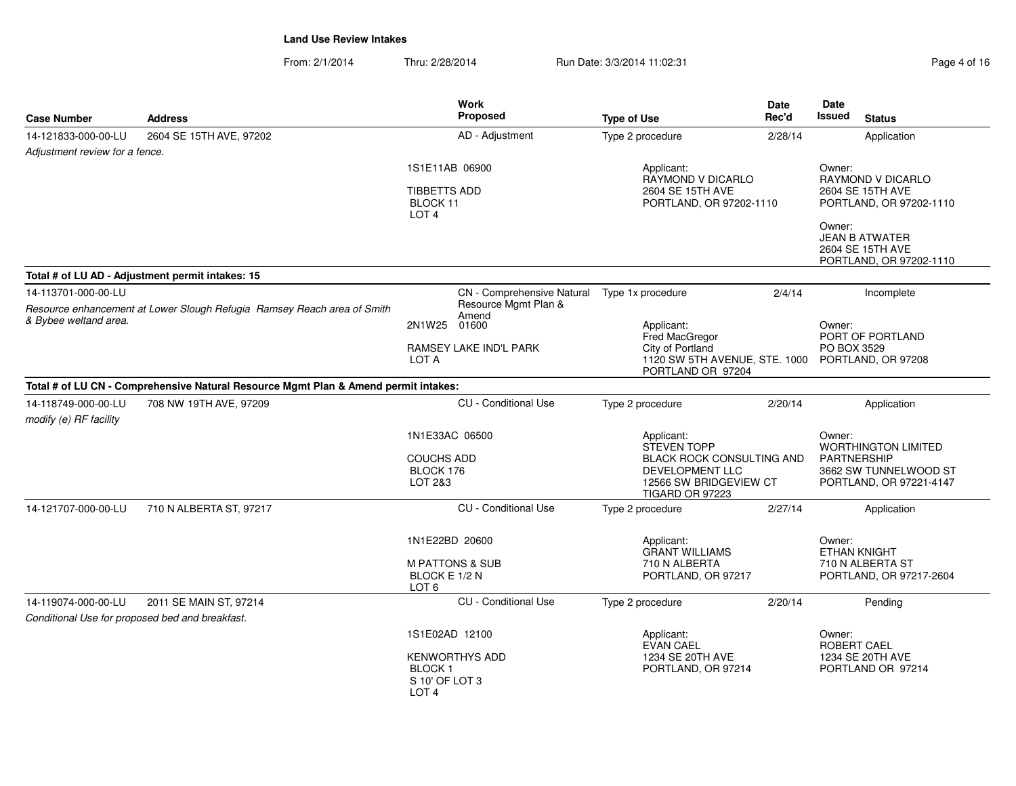| <b>Case Number</b>                                                                             | <b>Address</b>                                                                      | Work<br>Proposed                                                                                   | <b>Type of Use</b>                                                                                                                          | <b>Date</b><br>Rec'd | Date<br>Issued<br><b>Status</b>                                                                                |  |
|------------------------------------------------------------------------------------------------|-------------------------------------------------------------------------------------|----------------------------------------------------------------------------------------------------|---------------------------------------------------------------------------------------------------------------------------------------------|----------------------|----------------------------------------------------------------------------------------------------------------|--|
| 14-121833-000-00-LU                                                                            | 2604 SE 15TH AVE, 97202                                                             | AD - Adjustment                                                                                    | Type 2 procedure                                                                                                                            | 2/28/14              | Application                                                                                                    |  |
| Adjustment review for a fence.                                                                 |                                                                                     |                                                                                                    |                                                                                                                                             |                      |                                                                                                                |  |
|                                                                                                |                                                                                     | 1S1E11AB 06900                                                                                     | Applicant:<br>RAYMOND V DICARLO                                                                                                             |                      | Owner:<br>RAYMOND V DICARLO                                                                                    |  |
|                                                                                                |                                                                                     | <b>TIBBETTS ADD</b><br>2604 SE 15TH AVE<br>BLOCK 11<br>PORTLAND, OR 97202-1110<br>LOT <sub>4</sub> |                                                                                                                                             |                      | 2604 SE 15TH AVE<br>PORTLAND, OR 97202-1110<br>Owner:                                                          |  |
|                                                                                                |                                                                                     |                                                                                                    |                                                                                                                                             |                      | <b>JEAN B ATWATER</b><br>2604 SE 15TH AVE<br>PORTLAND, OR 97202-1110                                           |  |
|                                                                                                | Total # of LU AD - Adjustment permit intakes: 15                                    |                                                                                                    |                                                                                                                                             |                      |                                                                                                                |  |
| 14-113701-000-00-LU<br>Resource enhancement at Lower Slough Refugia Ramsey Reach area of Smith | CN - Comprehensive Natural<br>Resource Mgmt Plan &<br>Amend                         | Type 1x procedure                                                                                  | 2/4/14                                                                                                                                      | Incomplete           |                                                                                                                |  |
| & Bybee weltand area.                                                                          |                                                                                     | 2N1W25 01600                                                                                       | Applicant:<br>Fred MacGregor                                                                                                                |                      | Owner:<br>PORT OF PORTLAND                                                                                     |  |
|                                                                                                |                                                                                     | RAMSEY LAKE IND'L PARK<br>LOT A                                                                    | City of Portland<br>1120 SW 5TH AVENUE, STE. 1000<br>PORTLAND OR 97204                                                                      |                      | PO BOX 3529<br>PORTLAND, OR 97208                                                                              |  |
|                                                                                                | Total # of LU CN - Comprehensive Natural Resource Mgmt Plan & Amend permit intakes: |                                                                                                    |                                                                                                                                             |                      |                                                                                                                |  |
| 14-118749-000-00-LU<br>708 NW 19TH AVE, 97209<br>modify (e) RF facility                        | <b>CU</b> - Conditional Use                                                         | Type 2 procedure                                                                                   | 2/20/14                                                                                                                                     | Application          |                                                                                                                |  |
|                                                                                                |                                                                                     | 1N1E33AC 06500<br><b>COUCHS ADD</b><br>BLOCK 176<br>LOT 2&3                                        | Applicant:<br><b>STEVEN TOPP</b><br><b>BLACK ROCK CONSULTING AND</b><br><b>DEVELOPMENT LLC</b><br>12566 SW BRIDGEVIEW CT<br>TIGARD OR 97223 |                      | Owner:<br><b>WORTHINGTON LIMITED</b><br><b>PARTNERSHIP</b><br>3662 SW TUNNELWOOD ST<br>PORTLAND, OR 97221-4147 |  |
| 14-121707-000-00-LU                                                                            | 710 N ALBERTA ST, 97217                                                             | CU - Conditional Use                                                                               | Type 2 procedure                                                                                                                            | 2/27/14              | Application                                                                                                    |  |
|                                                                                                |                                                                                     | 1N1E22BD 20600                                                                                     | Applicant:<br><b>GRANT WILLIAMS</b>                                                                                                         |                      | Owner:<br><b>ETHAN KNIGHT</b>                                                                                  |  |
|                                                                                                |                                                                                     | <b>M PATTONS &amp; SUB</b><br>BLOCK E 1/2 N<br>LOT <sub>6</sub>                                    | 710 N ALBERTA<br>PORTLAND, OR 97217                                                                                                         |                      | 710 N ALBERTA ST<br>PORTLAND, OR 97217-2604                                                                    |  |
| 14-119074-000-00-LU                                                                            | 2011 SE MAIN ST, 97214                                                              | <b>CU</b> - Conditional Use                                                                        | Type 2 procedure                                                                                                                            | 2/20/14              | Pending                                                                                                        |  |
|                                                                                                | Conditional Use for proposed bed and breakfast.                                     |                                                                                                    |                                                                                                                                             |                      |                                                                                                                |  |
|                                                                                                |                                                                                     | 1S1E02AD 12100                                                                                     | Applicant:<br>EVAN CAEL                                                                                                                     |                      | Owner:<br>ROBERT CAEL                                                                                          |  |
|                                                                                                |                                                                                     | <b>KENWORTHYS ADD</b><br>BLOCK <sub>1</sub><br>S 10' OF LOT 3<br>LOT <sub>4</sub>                  | 1234 SE 20TH AVE<br>PORTLAND, OR 97214                                                                                                      |                      | 1234 SE 20TH AVE<br>PORTLAND OR 97214                                                                          |  |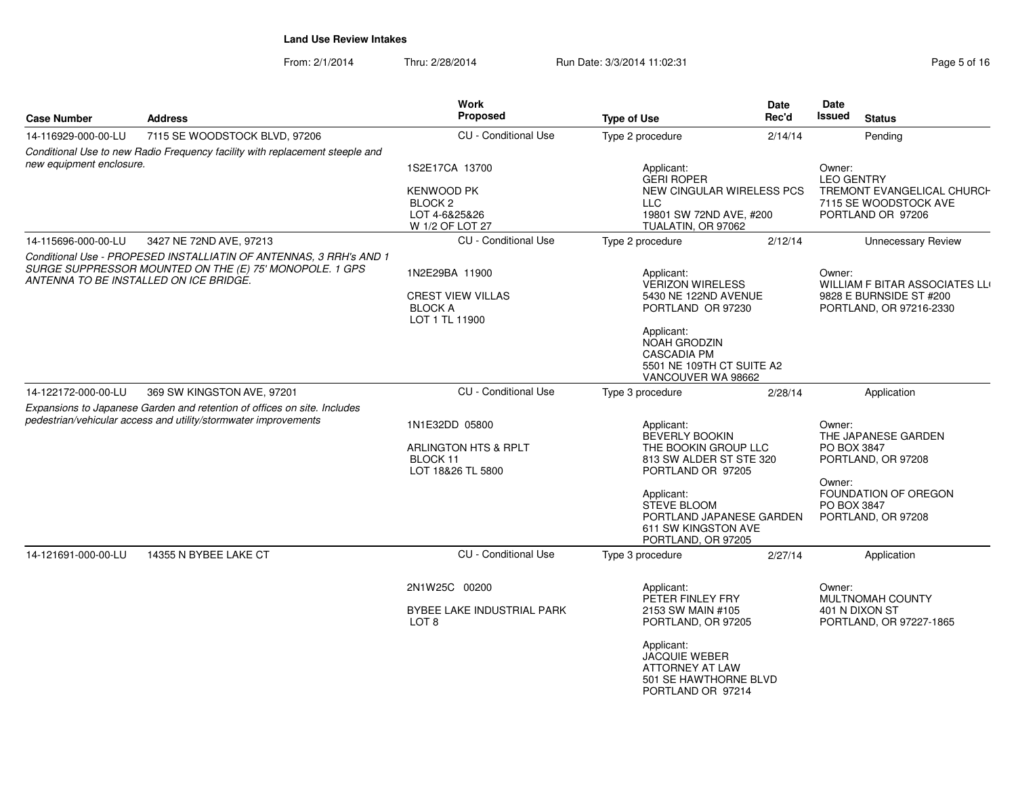| <b>Case Number</b>                                                                                                                          | <b>Address</b>                                                                                    | <b>Work</b><br>Proposed                        | <b>Type of Use</b>                                                                                  | Date<br>Rec'd | <b>Date</b><br>Issued                    | <b>Status</b>                                       |
|---------------------------------------------------------------------------------------------------------------------------------------------|---------------------------------------------------------------------------------------------------|------------------------------------------------|-----------------------------------------------------------------------------------------------------|---------------|------------------------------------------|-----------------------------------------------------|
| 14-116929-000-00-LU                                                                                                                         | 7115 SE WOODSTOCK BLVD, 97206                                                                     | <b>CU</b> - Conditional Use                    | Type 2 procedure                                                                                    | 2/14/14       |                                          | Pending                                             |
| new equipment enclosure.                                                                                                                    | Conditional Use to new Radio Frequency facility with replacement steeple and                      |                                                |                                                                                                     |               |                                          |                                                     |
|                                                                                                                                             |                                                                                                   | 1S2E17CA 13700                                 | Applicant:<br><b>GERI ROPER</b>                                                                     |               | Owner:<br><b>LEO GENTRY</b>              |                                                     |
|                                                                                                                                             |                                                                                                   | <b>KENWOOD PK</b><br>BLOCK <sub>2</sub>        | <b>NEW CINGULAR WIRELESS PCS</b><br>LLC                                                             |               |                                          | TREMONT EVANGELICAL CHURCH<br>7115 SE WOODSTOCK AVE |
|                                                                                                                                             |                                                                                                   | LOT 4-6&25&26                                  | 19801 SW 72ND AVE, #200                                                                             |               |                                          | PORTLAND OR 97206                                   |
|                                                                                                                                             |                                                                                                   | W 1/2 OF LOT 27                                | TUALATIN, OR 97062                                                                                  |               |                                          |                                                     |
| 14-115696-000-00-LU                                                                                                                         | 3427 NE 72ND AVE, 97213                                                                           | <b>CU</b> - Conditional Use                    | Type 2 procedure                                                                                    | 2/12/14       |                                          | <b>Unnecessary Review</b>                           |
|                                                                                                                                             | Conditional Use - PROPESED INSTALLIATIN OF ANTENNAS, 3 RRH's AND 1                                |                                                |                                                                                                     |               |                                          |                                                     |
|                                                                                                                                             | SURGE SUPPRESSOR MOUNTED ON THE (E) 75' MONOPOLE. 1 GPS<br>ANTENNA TO BE INSTALLED ON ICE BRIDGE. | 1N2E29BA 11900                                 | Applicant:<br><b>VERIZON WIRELESS</b>                                                               |               | Owner:<br>WILLIAM F BITAR ASSOCIATES LLI |                                                     |
|                                                                                                                                             |                                                                                                   | <b>CREST VIEW VILLAS</b>                       | 5430 NE 122ND AVENUE                                                                                |               |                                          | 9828 E BURNSIDE ST #200                             |
|                                                                                                                                             |                                                                                                   | <b>BLOCK A</b><br>LOT 1 TL 11900               | PORTLAND OR 97230                                                                                   |               |                                          | PORTLAND, OR 97216-2330                             |
|                                                                                                                                             |                                                                                                   |                                                | Applicant:                                                                                          |               |                                          |                                                     |
|                                                                                                                                             |                                                                                                   |                                                | <b>NOAH GRODZIN</b><br><b>CASCADIA PM</b>                                                           |               |                                          |                                                     |
|                                                                                                                                             |                                                                                                   |                                                | 5501 NE 109TH CT SUITE A2                                                                           |               |                                          |                                                     |
|                                                                                                                                             |                                                                                                   |                                                | VANCOUVER WA 98662                                                                                  |               |                                          |                                                     |
| 14-122172-000-00-LU                                                                                                                         | 369 SW KINGSTON AVE, 97201                                                                        | <b>CU</b> - Conditional Use                    | Type 3 procedure                                                                                    | 2/28/14       |                                          | Application                                         |
|                                                                                                                                             |                                                                                                   |                                                |                                                                                                     |               |                                          |                                                     |
| Expansions to Japanese Garden and retention of offices on site. Includes<br>pedestrian/vehicular access and utility/stormwater improvements | 1N1E32DD 05800                                                                                    | Applicant:<br>BEVERLY BOOKIN                   |                                                                                                     | Owner:        | THE JAPANESE GARDEN                      |                                                     |
|                                                                                                                                             |                                                                                                   | ARLINGTON HTS & RPLT                           | THE BOOKIN GROUP LLC                                                                                |               | PO BOX 3847                              |                                                     |
|                                                                                                                                             |                                                                                                   | BLOCK <sub>11</sub><br>LOT 18&26 TL 5800       | 813 SW ALDER ST STE 320<br>PORTLAND OR 97205                                                        |               |                                          | PORTLAND, OR 97208                                  |
|                                                                                                                                             |                                                                                                   |                                                | Applicant:                                                                                          |               | Owner:                                   | FOUNDATION OF OREGON                                |
|                                                                                                                                             |                                                                                                   |                                                | <b>STEVE BLOOM</b>                                                                                  |               | PO BOX 3847                              |                                                     |
|                                                                                                                                             |                                                                                                   |                                                | PORTLAND JAPANESE GARDEN                                                                            |               |                                          | PORTLAND, OR 97208                                  |
|                                                                                                                                             |                                                                                                   |                                                | 611 SW KINGSTON AVE<br>PORTLAND, OR 97205                                                           |               |                                          |                                                     |
| 14-121691-000-00-LU                                                                                                                         | 14355 N BYBEE LAKE CT                                                                             | <b>CU</b> - Conditional Use                    | Type 3 procedure                                                                                    | 2/27/14       |                                          | Application                                         |
|                                                                                                                                             |                                                                                                   | 2N1W25C 00200                                  | Applicant:                                                                                          |               | Owner:                                   |                                                     |
|                                                                                                                                             |                                                                                                   |                                                | PETER FINLEY FRY                                                                                    |               |                                          | MULTNOMAH COUNTY                                    |
|                                                                                                                                             |                                                                                                   | BYBEE LAKE INDUSTRIAL PARK<br>LOT <sub>8</sub> | 2153 SW MAIN #105<br>PORTLAND, OR 97205                                                             |               |                                          | 401 N DIXON ST<br>PORTLAND, OR 97227-1865           |
|                                                                                                                                             |                                                                                                   |                                                | Applicant:<br><b>JACQUIE WEBER</b><br>ATTORNEY AT LAW<br>501 SE HAWTHORNE BLVD<br>PORTLAND OR 97214 |               |                                          |                                                     |
|                                                                                                                                             |                                                                                                   |                                                |                                                                                                     |               |                                          |                                                     |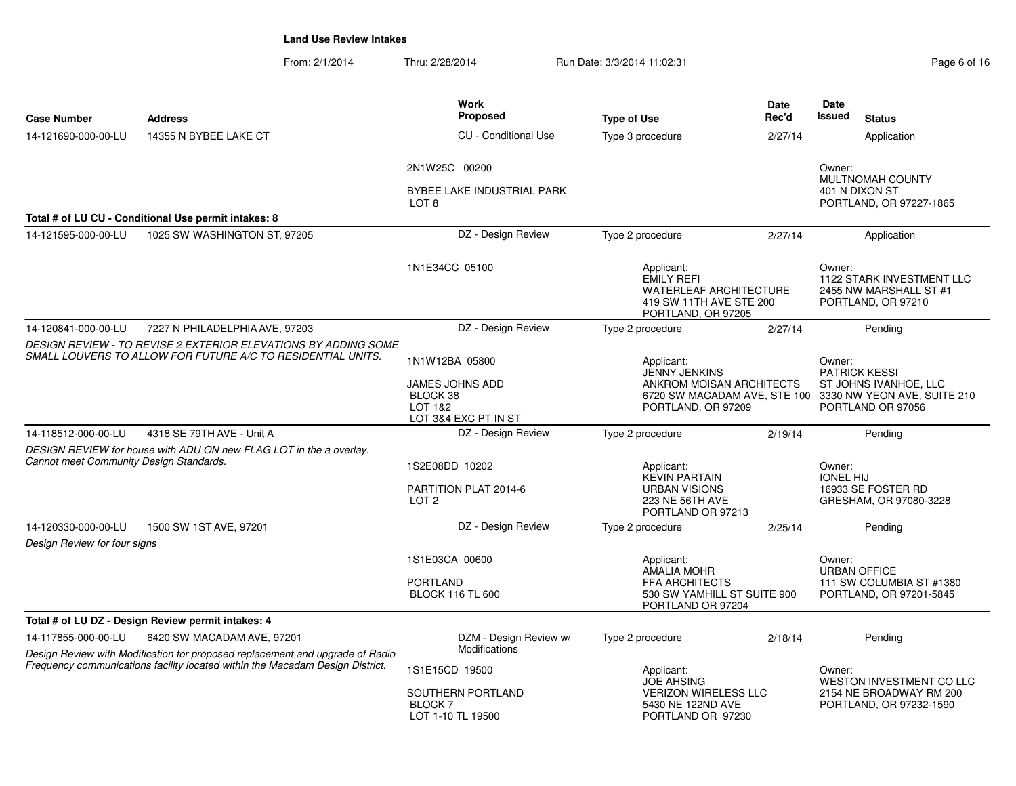| Page 6 of 16 |  |  |
|--------------|--|--|
|              |  |  |

| <b>Case Number</b>                                                                                                            | <b>Address</b>                                                                                              | <b>Work</b><br>Proposed                                               | <b>Type of Use</b>                                                                                                | <b>Date</b><br>Rec'd | Date<br><b>Issued</b><br><b>Status</b>                                                                 |
|-------------------------------------------------------------------------------------------------------------------------------|-------------------------------------------------------------------------------------------------------------|-----------------------------------------------------------------------|-------------------------------------------------------------------------------------------------------------------|----------------------|--------------------------------------------------------------------------------------------------------|
| 14-121690-000-00-LU                                                                                                           | 14355 N BYBEE LAKE CT                                                                                       | <b>CU</b> - Conditional Use                                           | Type 3 procedure                                                                                                  | 2/27/14              | Application                                                                                            |
|                                                                                                                               |                                                                                                             | 2N1W25C 00200                                                         |                                                                                                                   |                      | Owner:<br>MULTNOMAH COUNTY                                                                             |
|                                                                                                                               |                                                                                                             | BYBEE LAKE INDUSTRIAL PARK<br>LOT <sub>8</sub>                        |                                                                                                                   |                      | 401 N DIXON ST<br>PORTLAND, OR 97227-1865                                                              |
|                                                                                                                               | Total # of LU CU - Conditional Use permit intakes: 8                                                        |                                                                       |                                                                                                                   |                      |                                                                                                        |
| 14-121595-000-00-LU                                                                                                           | 1025 SW WASHINGTON ST, 97205                                                                                | DZ - Design Review                                                    | Type 2 procedure                                                                                                  | 2/27/14              | Application                                                                                            |
|                                                                                                                               |                                                                                                             | 1N1E34CC 05100                                                        | Applicant:<br><b>EMILY REFI</b><br><b>WATERLEAF ARCHITECTURE</b><br>419 SW 11TH AVE STE 200<br>PORTLAND, OR 97205 |                      | Owner:<br>1122 STARK INVESTMENT LLC<br>2455 NW MARSHALL ST #1<br>PORTLAND, OR 97210                    |
| 14-120841-000-00-LU                                                                                                           | 7227 N PHILADELPHIA AVE, 97203                                                                              | DZ - Design Review                                                    | Type 2 procedure                                                                                                  | 2/27/14              | Pending                                                                                                |
| DESIGN REVIEW - TO REVISE 2 EXTERIOR ELEVATIONS BY ADDING SOME<br>SMALL LOUVERS TO ALLOW FOR FUTURE A/C TO RESIDENTIAL UNITS. |                                                                                                             | 1N1W12BA 05800                                                        | Applicant:<br><b>JENNY JENKINS</b>                                                                                |                      | Owner:<br><b>PATRICK KESSI</b>                                                                         |
|                                                                                                                               |                                                                                                             | <b>JAMES JOHNS ADD</b><br>BLOCK 38<br>LOT 1&2<br>LOT 3&4 EXC PT IN ST | ANKROM MOISAN ARCHITECTS<br>PORTLAND, OR 97209                                                                    |                      | ST JOHNS IVANHOE, LLC<br>6720 SW MACADAM AVE, STE 100 3330 NW YEON AVE, SUITE 210<br>PORTLAND OR 97056 |
| 14-118512-000-00-LU                                                                                                           | 4318 SE 79TH AVE - Unit A                                                                                   | DZ - Design Review                                                    | Type 2 procedure                                                                                                  | 2/19/14              | Pending                                                                                                |
|                                                                                                                               | DESIGN REVIEW for house with ADU ON new FLAG LOT in the a overlay.                                          |                                                                       |                                                                                                                   |                      |                                                                                                        |
| Cannot meet Community Design Standards.                                                                                       |                                                                                                             | 1S2E08DD 10202                                                        | Applicant:                                                                                                        |                      | Owner:<br><b>IONEL HIJ</b>                                                                             |
|                                                                                                                               |                                                                                                             | PARTITION PLAT 2014-6<br>LOT <sub>2</sub>                             | <b>KEVIN PARTAIN</b><br><b>URBAN VISIONS</b><br>223 NE 56TH AVE<br>PORTLAND OR 97213                              |                      | 16933 SE FOSTER RD<br>GRESHAM, OR 97080-3228                                                           |
| 14-120330-000-00-LU                                                                                                           | 1500 SW 1ST AVE, 97201                                                                                      | DZ - Design Review                                                    | Type 2 procedure                                                                                                  | 2/25/14              | Pending                                                                                                |
| Design Review for four signs                                                                                                  |                                                                                                             |                                                                       |                                                                                                                   |                      |                                                                                                        |
|                                                                                                                               |                                                                                                             | 1S1E03CA 00600                                                        | Applicant:<br>AMALIA MOHR                                                                                         |                      | Owner:<br><b>URBAN OFFICE</b>                                                                          |
|                                                                                                                               |                                                                                                             | <b>PORTLAND</b><br><b>BLOCK 116 TL 600</b>                            | FFA ARCHITECTS<br>530 SW YAMHILL ST SUITE 900<br>PORTLAND OR 97204                                                |                      | 111 SW COLUMBIA ST #1380<br>PORTLAND, OR 97201-5845                                                    |
|                                                                                                                               | Total # of LU DZ - Design Review permit intakes: 4                                                          |                                                                       |                                                                                                                   |                      |                                                                                                        |
| 14-117855-000-00-LU                                                                                                           | 6420 SW MACADAM AVE, 97201<br>Design Review with Modification for proposed replacement and upgrade of Radio | DZM - Design Review w/<br><b>Modifications</b>                        | Type 2 procedure                                                                                                  | 2/18/14              | Pending                                                                                                |
|                                                                                                                               | Frequency communications facility located within the Macadam Design District.                               | 1S1E15CD 19500                                                        | Applicant:<br><b>JOE AHSING</b>                                                                                   |                      | Owner:<br><b>WESTON INVESTMENT CO LLC</b>                                                              |
|                                                                                                                               |                                                                                                             | SOUTHERN PORTLAND<br><b>BLOCK7</b><br>LOT 1-10 TL 19500               | <b>VERIZON WIRELESS LLC</b><br>5430 NE 122ND AVE<br>PORTLAND OR 97230                                             |                      | 2154 NE BROADWAY RM 200<br>PORTLAND, OR 97232-1590                                                     |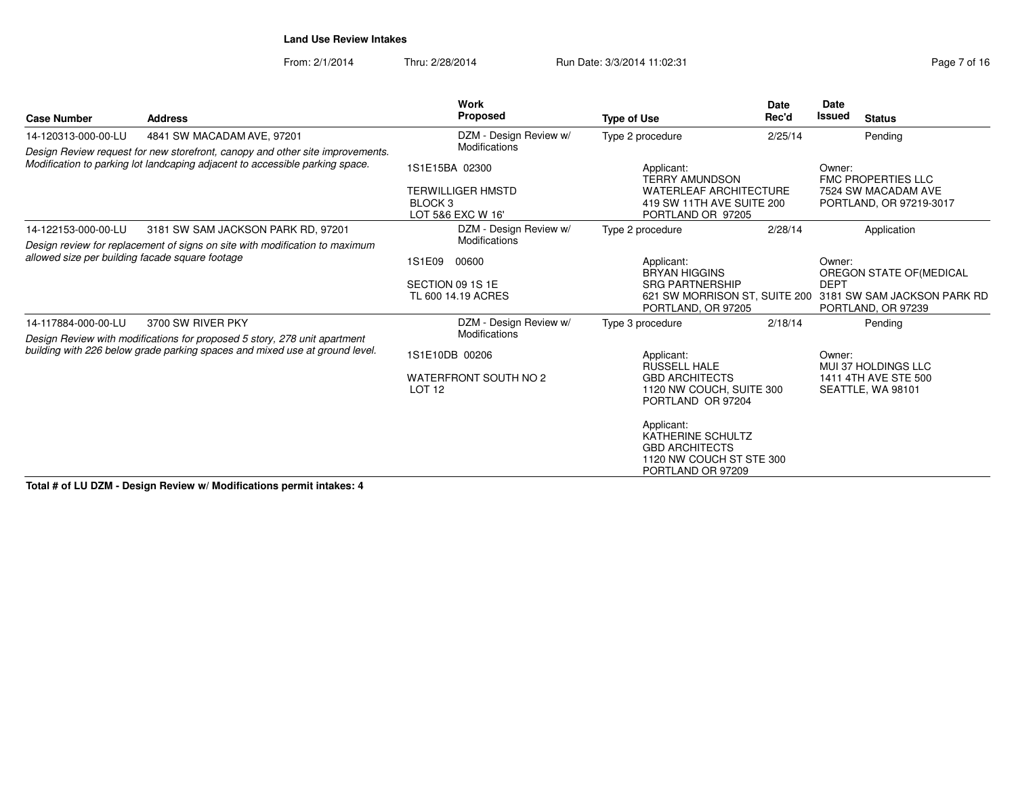From: 2/1/2014Thru: 2/28/2014 Run Date: 3/3/2014 11:02:31

| Page 7 of 16 |  |  |  |
|--------------|--|--|--|
|--------------|--|--|--|

| <b>Case Number</b>                                                                                                                                            | <b>Address</b>                                                              | <b>Work</b><br>Proposed                                                               |                                        | <b>Type of Use</b>                                                                                                     | <b>Date</b><br>Rec'd | <b>Date</b><br>Issued                                                            | <b>Status</b>                                                           |
|---------------------------------------------------------------------------------------------------------------------------------------------------------------|-----------------------------------------------------------------------------|---------------------------------------------------------------------------------------|----------------------------------------|------------------------------------------------------------------------------------------------------------------------|----------------------|----------------------------------------------------------------------------------|-------------------------------------------------------------------------|
| 14-120313-000-00-LU                                                                                                                                           | 4841 SW MACADAM AVE, 97201                                                  |                                                                                       | DZM - Design Review w/                 | Type 2 procedure                                                                                                       | 2/25/14              |                                                                                  | Pending                                                                 |
| Design Review request for new storefront, canopy and other site improvements.<br>Modification to parking lot landcaping adjacent to accessible parking space. |                                                                             | Modifications                                                                         |                                        |                                                                                                                        |                      | Owner:                                                                           |                                                                         |
|                                                                                                                                                               |                                                                             | 1S1E15BA 02300<br><b>TERWILLIGER HMSTD</b><br>BLOCK <sub>3</sub><br>LOT 5&6 EXC W 16' |                                        | Applicant:<br><b>TERRY AMUNDSON</b><br><b>WATERLEAF ARCHITECTURE</b><br>419 SW 11TH AVE SUITE 200<br>PORTLAND OR 97205 |                      | <b>FMC PROPERTIES LLC</b><br>7524 SW MACADAM AVE<br>PORTLAND, OR 97219-3017      |                                                                         |
| 14-122153-000-00-LU                                                                                                                                           | 3181 SW SAM JACKSON PARK RD, 97201                                          |                                                                                       | DZM - Design Review w/                 | Type 2 procedure                                                                                                       | 2/28/14              |                                                                                  | Application                                                             |
| Design review for replacement of signs on site with modification to maximum<br>allowed size per building facade square footage                                |                                                                             | Modifications<br>1S1E09 00600<br>SECTION 09 1S 1E<br>TL 600 14.19 ACRES               |                                        | Applicant:<br><b>BRYAN HIGGINS</b><br><b>SRG PARTNERSHIP</b><br>621 SW MORRISON ST, SUITE 200                          |                      | Owner:<br>OREGON STATE OF (MEDICAL<br><b>DEPT</b><br>3181 SW SAM JACKSON PARK RD |                                                                         |
| 14-117884-000-00-LU<br>3700 SW RIVER PKY<br>Design Review with modifications for proposed 5 story, 278 unit apartment                                         | Modifications                                                               | DZM - Design Review w/                                                                | PORTLAND, OR 97205<br>Type 3 procedure | 2/18/14                                                                                                                |                      | PORTLAND, OR 97239<br>Pendina                                                    |                                                                         |
|                                                                                                                                                               | building with 226 below grade parking spaces and mixed use at ground level. | 1S1E10DB 00206                                                                        |                                        | Applicant:<br><b>RUSSELL HALE</b>                                                                                      |                      |                                                                                  |                                                                         |
|                                                                                                                                                               |                                                                             | WATERFRONT SOUTH NO 2<br>LOT <sub>12</sub>                                            |                                        | <b>GBD ARCHITECTS</b><br>1120 NW COUCH, SUITE 300<br>PORTLAND OR 97204                                                 |                      |                                                                                  | <b>MUI 37 HOLDINGS LLC</b><br>1411 4TH AVE STE 500<br>SEATTLE, WA 98101 |
|                                                                                                                                                               |                                                                             |                                                                                       |                                        | Applicant:<br><b>KATHERINE SCHULTZ</b><br><b>GBD ARCHITECTS</b><br>1120 NW COUCH ST STE 300<br>PORTLAND OR 97209       |                      |                                                                                  |                                                                         |

**Total # of LU DZM - Design Review w/ Modifications permit intakes: 4**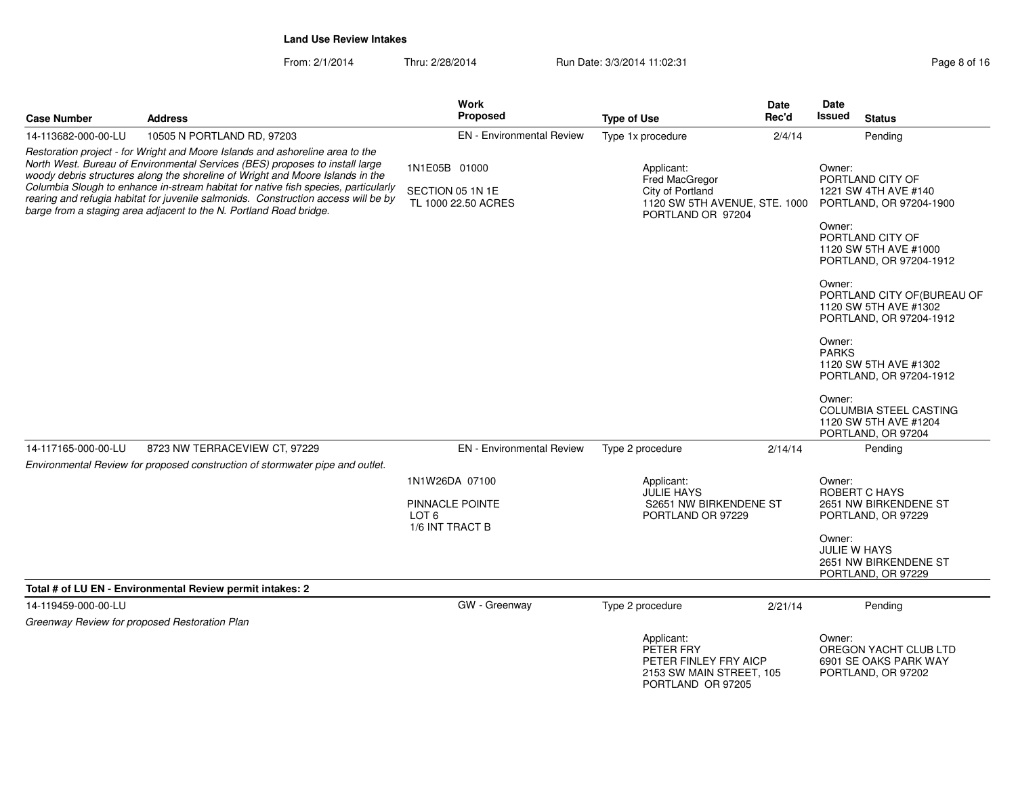From: 2/1/2014

Thru: 2/28/2014 Run Date: 3/3/2014 11:02:31 Page 8 of 16

| <b>Case Number</b>                                                                                                                                                                                                                                                                                                                                                                                                                                                                                | <b>Address</b>                                                                | <b>Work</b><br><b>Proposed</b>                           | <b>Type of Use</b>                                                                                            | Date<br>Rec'd | Date<br>Issued<br><b>Status</b>                                                           |
|---------------------------------------------------------------------------------------------------------------------------------------------------------------------------------------------------------------------------------------------------------------------------------------------------------------------------------------------------------------------------------------------------------------------------------------------------------------------------------------------------|-------------------------------------------------------------------------------|----------------------------------------------------------|---------------------------------------------------------------------------------------------------------------|---------------|-------------------------------------------------------------------------------------------|
| 14-113682-000-00-LU                                                                                                                                                                                                                                                                                                                                                                                                                                                                               | 10505 N PORTLAND RD, 97203                                                    | <b>EN</b> - Environmental Review                         | Type 1x procedure                                                                                             | 2/4/14        | Pending                                                                                   |
| Restoration project - for Wright and Moore Islands and ashoreline area to the<br>North West. Bureau of Environmental Services (BES) proposes to install large<br>woody debris structures along the shoreline of Wright and Moore Islands in the<br>Columbia Slough to enhance in-stream habitat for native fish species, particularly<br>rearing and refugia habitat for juvenile salmonids. Construction access will be by<br>barge from a staging area adjacent to the N. Portland Road bridge. |                                                                               | 1N1E05B 01000<br>SECTION 05 1N 1E<br>TL 1000 22.50 ACRES | Applicant:<br><b>Fred MacGregor</b><br>City of Portland<br>1120 SW 5TH AVENUE, STE. 1000<br>PORTLAND OR 97204 |               | Owner:<br>PORTLAND CITY OF<br>1221 SW 4TH AVE #140<br>PORTLAND, OR 97204-1900<br>Owner:   |
|                                                                                                                                                                                                                                                                                                                                                                                                                                                                                                   |                                                                               |                                                          |                                                                                                               |               | PORTLAND CITY OF<br>1120 SW 5TH AVE #1000<br>PORTLAND, OR 97204-1912                      |
|                                                                                                                                                                                                                                                                                                                                                                                                                                                                                                   |                                                                               |                                                          |                                                                                                               |               | Owner:<br>PORTLAND CITY OF (BUREAU OF<br>1120 SW 5TH AVE #1302<br>PORTLAND, OR 97204-1912 |
|                                                                                                                                                                                                                                                                                                                                                                                                                                                                                                   |                                                                               |                                                          |                                                                                                               |               | Owner:<br><b>PARKS</b><br>1120 SW 5TH AVE #1302<br>PORTLAND, OR 97204-1912                |
|                                                                                                                                                                                                                                                                                                                                                                                                                                                                                                   |                                                                               |                                                          |                                                                                                               |               | Owner:<br>COLUMBIA STEEL CASTING<br>1120 SW 5TH AVE #1204<br>PORTLAND, OR 97204           |
| 14-117165-000-00-LU                                                                                                                                                                                                                                                                                                                                                                                                                                                                               | 8723 NW TERRACEVIEW CT, 97229                                                 | EN - Environmental Review                                | Type 2 procedure                                                                                              | 2/14/14       | Pending                                                                                   |
|                                                                                                                                                                                                                                                                                                                                                                                                                                                                                                   | Environmental Review for proposed construction of stormwater pipe and outlet. |                                                          |                                                                                                               |               |                                                                                           |
|                                                                                                                                                                                                                                                                                                                                                                                                                                                                                                   |                                                                               | 1N1W26DA 07100                                           | Applicant:                                                                                                    |               | Owner:                                                                                    |
|                                                                                                                                                                                                                                                                                                                                                                                                                                                                                                   |                                                                               | PINNACLE POINTE<br>LOT 6<br>1/6 INT TRACT B              | <b>JULIE HAYS</b><br>S2651 NW BIRKENDENE ST<br>PORTLAND OR 97229                                              |               | ROBERT C HAYS<br>2651 NW BIRKENDENE ST<br>PORTLAND, OR 97229                              |
|                                                                                                                                                                                                                                                                                                                                                                                                                                                                                                   |                                                                               |                                                          |                                                                                                               |               | Owner:<br><b>JULIE W HAYS</b><br>2651 NW BIRKENDENE ST<br>PORTLAND, OR 97229              |
|                                                                                                                                                                                                                                                                                                                                                                                                                                                                                                   | Total # of LU EN - Environmental Review permit intakes: 2                     |                                                          |                                                                                                               |               |                                                                                           |
| 14-119459-000-00-LU                                                                                                                                                                                                                                                                                                                                                                                                                                                                               |                                                                               | GW - Greenway                                            | Type 2 procedure                                                                                              | 2/21/14       | Pending                                                                                   |
| Greenway Review for proposed Restoration Plan                                                                                                                                                                                                                                                                                                                                                                                                                                                     |                                                                               |                                                          |                                                                                                               |               |                                                                                           |
|                                                                                                                                                                                                                                                                                                                                                                                                                                                                                                   |                                                                               |                                                          | Applicant:<br>PETER FRY<br>PETER FINLEY FRY AICP<br>2153 SW MAIN STREET, 105<br>PORTLAND OR 97205             |               | Owner:<br>OREGON YACHT CLUB LTD<br>6901 SE OAKS PARK WAY<br>PORTLAND, OR 97202            |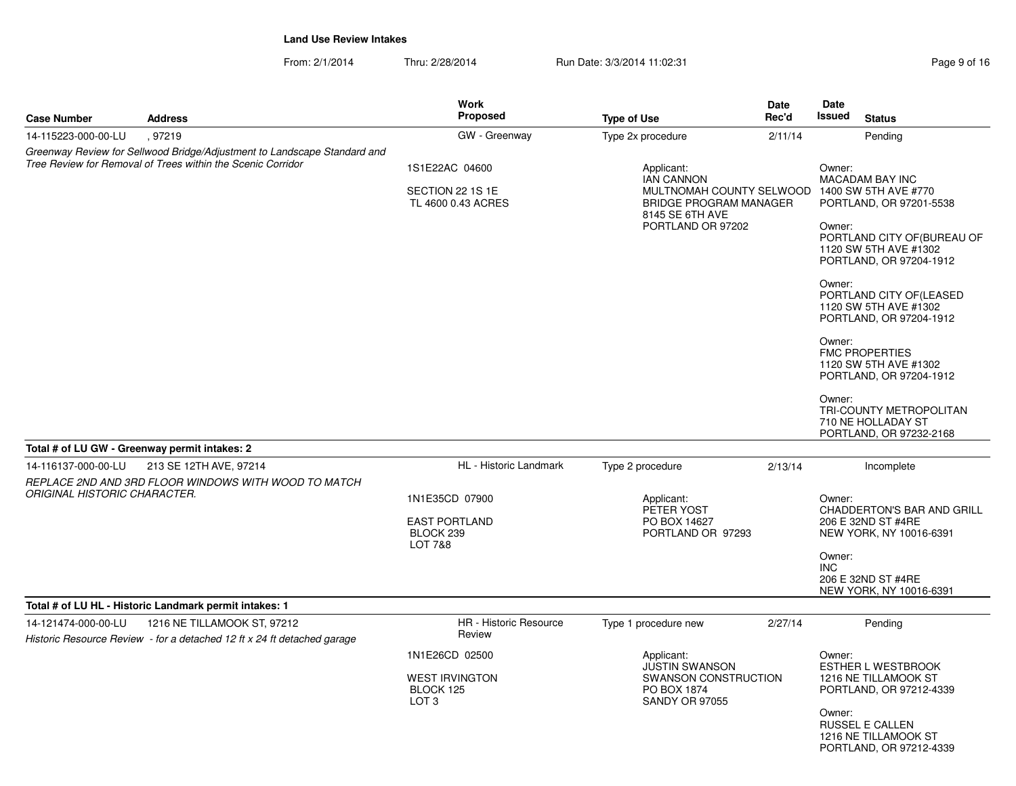From: 2/1/2014Thru: 2/28/2014 Run Date: 3/3/2014 11:02:31 Page 9 of 16

| <b>Case Number</b>                  | <b>Address</b>                                                                                                                          | Work<br>Proposed                                                         | <b>Type of Use</b>                                                                                                     | <b>Date</b><br>Rec'd | Date<br>Issued<br><b>Status</b>                                                                                                                                                                                                                                                                                                                                                                                    |  |  |
|-------------------------------------|-----------------------------------------------------------------------------------------------------------------------------------------|--------------------------------------------------------------------------|------------------------------------------------------------------------------------------------------------------------|----------------------|--------------------------------------------------------------------------------------------------------------------------------------------------------------------------------------------------------------------------------------------------------------------------------------------------------------------------------------------------------------------------------------------------------------------|--|--|
| 14-115223-000-00-LU                 | .97219                                                                                                                                  | GW - Greenway                                                            | Type 2x procedure                                                                                                      | 2/11/14              | Pending                                                                                                                                                                                                                                                                                                                                                                                                            |  |  |
|                                     | Greenway Review for Sellwood Bridge/Adjustment to Landscape Standard and<br>Tree Review for Removal of Trees within the Scenic Corridor | 1S1E22AC 04600                                                           | Applicant:                                                                                                             |                      | Owner:                                                                                                                                                                                                                                                                                                                                                                                                             |  |  |
|                                     |                                                                                                                                         | SECTION 22 1S 1E<br>TL 4600 0.43 ACRES                                   | <b>IAN CANNON</b><br>MULTNOMAH COUNTY SELWOOD<br><b>BRIDGE PROGRAM MANAGER</b><br>8145 SE 6TH AVE<br>PORTLAND OR 97202 |                      | <b>MACADAM BAY INC</b><br>1400 SW 5TH AVE #770<br>PORTLAND, OR 97201-5538<br>Owner:<br>PORTLAND CITY OF (BUREAU OF<br>1120 SW 5TH AVE #1302<br>PORTLAND, OR 97204-1912<br>Owner:<br>PORTLAND CITY OF (LEASED<br>1120 SW 5TH AVE #1302<br>PORTLAND, OR 97204-1912<br>Owner:<br><b>FMC PROPERTIES</b><br>1120 SW 5TH AVE #1302<br>PORTLAND, OR 97204-1912<br>Owner:<br>TRI-COUNTY METROPOLITAN<br>710 NE HOLLADAY ST |  |  |
|                                     | Total # of LU GW - Greenway permit intakes: 2                                                                                           |                                                                          |                                                                                                                        |                      | PORTLAND, OR 97232-2168                                                                                                                                                                                                                                                                                                                                                                                            |  |  |
| 14-116137-000-00-LU                 | 213 SE 12TH AVE, 97214                                                                                                                  | HL - Historic Landmark                                                   | Type 2 procedure                                                                                                       | 2/13/14              | Incomplete                                                                                                                                                                                                                                                                                                                                                                                                         |  |  |
| <b>ORIGINAL HISTORIC CHARACTER.</b> | REPLACE 2ND AND 3RD FLOOR WINDOWS WITH WOOD TO MATCH                                                                                    | 1N1E35CD 07900<br><b>EAST PORTLAND</b><br>BLOCK 239<br>LOT 7&8           | Applicant:<br>PETER YOST<br>PO BOX 14627<br>PORTLAND OR 97293                                                          |                      | Owner:<br><b>CHADDERTON'S BAR AND GRILL</b><br>206 E 32ND ST #4RE<br>NEW YORK, NY 10016-6391<br>Owner:<br><b>INC</b><br>206 E 32ND ST #4RE<br>NEW YORK, NY 10016-6391                                                                                                                                                                                                                                              |  |  |
|                                     | Total # of LU HL - Historic Landmark permit intakes: 1                                                                                  |                                                                          |                                                                                                                        |                      |                                                                                                                                                                                                                                                                                                                                                                                                                    |  |  |
| 14-121474-000-00-LU                 | 1216 NE TILLAMOOK ST, 97212<br>Historic Resource Review - for a detached 12 ft x 24 ft detached garage                                  | HR - Historic Resource<br>Review                                         | Type 1 procedure new                                                                                                   | 2/27/14              | Pending                                                                                                                                                                                                                                                                                                                                                                                                            |  |  |
|                                     |                                                                                                                                         | 1N1E26CD 02500<br><b>WEST IRVINGTON</b><br>BLOCK 125<br>LOT <sub>3</sub> | Applicant:<br><b>JUSTIN SWANSON</b><br>SWANSON CONSTRUCTION<br>PO BOX 1874<br>SANDY OR 97055                           |                      | Owner:<br><b>ESTHER L WESTBROOK</b><br>1216 NE TILLAMOOK ST<br>PORTLAND, OR 97212-4339<br>Owner:<br><b>RUSSEL E CALLEN</b><br>1216 NE TILLAMOOK ST                                                                                                                                                                                                                                                                 |  |  |

PORTLAND, OR 97212-4339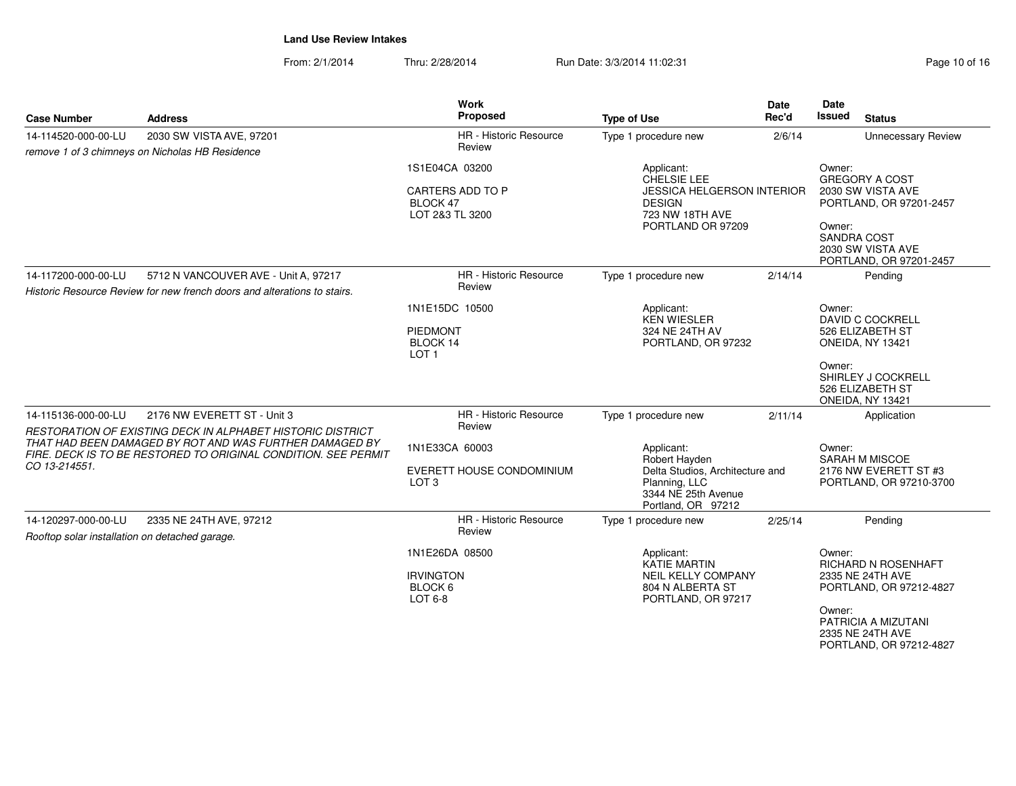From: 2/1/2014Thru: 2/28/2014 Run Date: 3/3/2014 11:02:31 Page 10 of 16

| <b>Case Number</b>                                                                                                                                                                                       | <b>Address</b>                                                                                                   | Work<br>Proposed                                                  | <b>Type of Use</b>                                                                                                           | <b>Date</b><br>Rec'd | <b>Date</b><br>Issued<br><b>Status</b>                                                                                                                          |  |
|----------------------------------------------------------------------------------------------------------------------------------------------------------------------------------------------------------|------------------------------------------------------------------------------------------------------------------|-------------------------------------------------------------------|------------------------------------------------------------------------------------------------------------------------------|----------------------|-----------------------------------------------------------------------------------------------------------------------------------------------------------------|--|
| 14-114520-000-00-LU                                                                                                                                                                                      | 2030 SW VISTA AVE, 97201<br>remove 1 of 3 chimneys on Nicholas HB Residence                                      | <b>HR</b> - Historic Resource<br>Review                           | Type 1 procedure new                                                                                                         | 2/6/14               | <b>Unnecessary Review</b>                                                                                                                                       |  |
|                                                                                                                                                                                                          |                                                                                                                  | 1S1E04CA 03200<br>CARTERS ADD TO P<br>BLOCK 47<br>LOT 2&3 TL 3200 | Applicant:<br>CHELSIE LEE<br>JESSICA HELGERSON INTERIOR<br><b>DESIGN</b><br>723 NW 18TH AVE<br>PORTLAND OR 97209             |                      | Owner:<br><b>GREGORY A COST</b><br>2030 SW VISTA AVE<br>PORTLAND, OR 97201-2457<br>Owner:<br><b>SANDRA COST</b><br>2030 SW VISTA AVE<br>PORTLAND, OR 97201-2457 |  |
| 14-117200-000-00-LU                                                                                                                                                                                      | 5712 N VANCOUVER AVE - Unit A, 97217<br>Historic Resource Review for new french doors and alterations to stairs. | <b>HR</b> - Historic Resource<br>Review                           | Type 1 procedure new                                                                                                         | 2/14/14              | Pending                                                                                                                                                         |  |
|                                                                                                                                                                                                          |                                                                                                                  | 1N1E15DC 10500<br>PIEDMONT<br>BLOCK 14<br>LOT <sub>1</sub>        | Applicant:<br><b>KEN WIESLER</b><br>324 NE 24TH AV<br>PORTLAND, OR 97232                                                     |                      | Owner:<br><b>DAVID C COCKRELL</b><br>526 ELIZABETH ST<br>ONEIDA, NY 13421                                                                                       |  |
|                                                                                                                                                                                                          |                                                                                                                  |                                                                   |                                                                                                                              |                      | Owner:<br>SHIRLEY J COCKRELL<br>526 ELIZABETH ST<br>ONEIDA, NY 13421                                                                                            |  |
| 14-115136-000-00-LU                                                                                                                                                                                      | 2176 NW EVERETT ST - Unit 3                                                                                      | <b>HR</b> - Historic Resource<br>Review                           | Type 1 procedure new                                                                                                         | 2/11/14              | Application                                                                                                                                                     |  |
| RESTORATION OF EXISTING DECK IN ALPHABET HISTORIC DISTRICT<br>THAT HAD BEEN DAMAGED BY ROT AND WAS FURTHER DAMAGED BY<br>FIRE. DECK IS TO BE RESTORED TO ORIGINAL CONDITION. SEE PERMIT<br>CO 13-214551. |                                                                                                                  | 1N1E33CA 60003<br>EVERETT HOUSE CONDOMINIUM<br>LOT <sub>3</sub>   | Applicant:<br>Robert Hayden<br>Delta Studios, Architecture and<br>Planning, LLC<br>3344 NE 25th Avenue<br>Portland, OR 97212 |                      | Owner:<br>SARAH M MISCOE<br>2176 NW EVERETT ST #3<br>PORTLAND, OR 97210-3700                                                                                    |  |
| 14-120297-000-00-LU                                                                                                                                                                                      | 2335 NE 24TH AVE, 97212                                                                                          | HR - Historic Resource<br>Review                                  | Type 1 procedure new                                                                                                         | 2/25/14              | Pending                                                                                                                                                         |  |
| Rooftop solar installation on detached garage.                                                                                                                                                           |                                                                                                                  | 1N1E26DA 08500<br><b>IRVINGTON</b><br>BLOCK 6<br>LOT 6-8          | Applicant:<br><b>KATIE MARTIN</b><br>NEIL KELLY COMPANY<br>804 N ALBERTA ST<br>PORTLAND, OR 97217                            |                      | Owner:<br>RICHARD N ROSENHAFT<br>2335 NE 24TH AVE<br>PORTLAND, OR 97212-4827<br>Owner:<br>PATRICIA A MIZUTANI<br>$0.005$ NIE $0.4$ TI I AVE                     |  |

2335 NE 24TH AVE PORTLAND, OR 97212-4827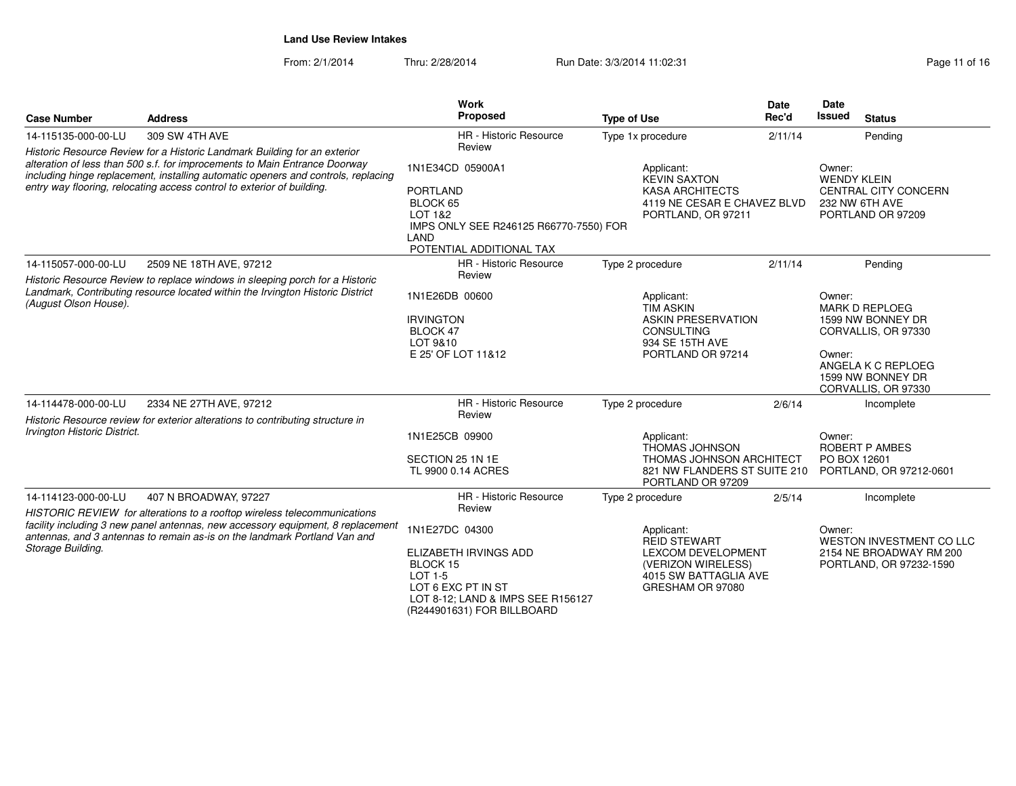| <b>Case Number</b>                                                                                                                                                                                                                                                                                                     | <b>Address</b>                                                                                                                                                                                                                           | Work<br>Proposed                                                                                                                                                  | <b>Type of Use</b>                                                                                                                | <b>Date</b><br>Rec'd                                                       | Date<br>Issued<br><b>Status</b>                                                                                                                         |
|------------------------------------------------------------------------------------------------------------------------------------------------------------------------------------------------------------------------------------------------------------------------------------------------------------------------|------------------------------------------------------------------------------------------------------------------------------------------------------------------------------------------------------------------------------------------|-------------------------------------------------------------------------------------------------------------------------------------------------------------------|-----------------------------------------------------------------------------------------------------------------------------------|----------------------------------------------------------------------------|---------------------------------------------------------------------------------------------------------------------------------------------------------|
| 14-115135-000-00-LU                                                                                                                                                                                                                                                                                                    | 309 SW 4TH AVE                                                                                                                                                                                                                           | HR - Historic Resource                                                                                                                                            | Type 1x procedure                                                                                                                 | 2/11/14                                                                    | Pending                                                                                                                                                 |
| Historic Resource Review for a Historic Landmark Building for an exterior<br>alteration of less than 500 s.f. for improcements to Main Entrance Doorway<br>including hinge replacement, installing automatic openers and controls, replacing<br>entry way flooring, relocating access control to exterior of building. |                                                                                                                                                                                                                                          | Review<br>1N1E34CD 05900A1<br><b>PORTLAND</b><br>BLOCK 65<br>LOT 1&2<br>IMPS ONLY SEE R246125 R66770-7550) FOR<br>LAND<br>POTENTIAL ADDITIONAL TAX                | Applicant:<br><b>KEVIN SAXTON</b><br><b>KASA ARCHITECTS</b><br>4119 NE CESAR E CHAVEZ BLVD<br>PORTLAND, OR 97211                  |                                                                            | Owner:<br><b>WENDY KLEIN</b><br><b>CENTRAL CITY CONCERN</b><br>232 NW 6TH AVE<br>PORTLAND OR 97209                                                      |
| 14-115057-000-00-LU                                                                                                                                                                                                                                                                                                    | 2509 NE 18TH AVE, 97212                                                                                                                                                                                                                  | HR - Historic Resource                                                                                                                                            | Type 2 procedure                                                                                                                  | 2/11/14                                                                    | Pending                                                                                                                                                 |
| (August Olson House).                                                                                                                                                                                                                                                                                                  | Historic Resource Review to replace windows in sleeping porch for a Historic<br>Landmark, Contributing resource located within the Irvington Historic District                                                                           | Review<br>1N1E26DB 00600<br><b>IRVINGTON</b><br>BLOCK 47<br>LOT 9&10<br>E 25' OF LOT 11&12                                                                        | Applicant:<br><b>TIM ASKIN</b><br><b>ASKIN PRESERVATION</b><br><b>CONSULTING</b><br>934 SE 15TH AVE<br>PORTLAND OR 97214          |                                                                            | Owner:<br><b>MARK D REPLOEG</b><br>1599 NW BONNEY DR<br>CORVALLIS, OR 97330<br>Owner:<br>ANGELA K C REPLOEG<br>1599 NW BONNEY DR<br>CORVALLIS, OR 97330 |
| 14-114478-000-00-LU                                                                                                                                                                                                                                                                                                    | 2334 NE 27TH AVE, 97212                                                                                                                                                                                                                  | HR - Historic Resource                                                                                                                                            | Type 2 procedure                                                                                                                  | 2/6/14                                                                     | Incomplete                                                                                                                                              |
| Historic Resource review for exterior alterations to contributing structure in<br>Irvington Historic District.                                                                                                                                                                                                         | Review<br>1N1E25CB 09900<br>SECTION 25 1N 1E<br>TL 9900 0.14 ACRES                                                                                                                                                                       | Applicant:<br><b>THOMAS JOHNSON</b><br>THOMAS JOHNSON ARCHITECT<br>821 NW FLANDERS ST SUITE 210<br>PORTLAND OR 97209                                              |                                                                                                                                   | Owner:<br><b>ROBERT P AMBES</b><br>PO BOX 12601<br>PORTLAND, OR 97212-0601 |                                                                                                                                                         |
| 14-114123-000-00-LU                                                                                                                                                                                                                                                                                                    | 407 N BROADWAY, 97227                                                                                                                                                                                                                    | <b>HR</b> - Historic Resource                                                                                                                                     | Type 2 procedure                                                                                                                  | 2/5/14                                                                     | Incomplete                                                                                                                                              |
| Storage Building.                                                                                                                                                                                                                                                                                                      | HISTORIC REVIEW for alterations to a rooftop wireless telecommunications<br>facility including 3 new panel antennas, new accessory equipment, 8 replacement<br>antennas, and 3 antennas to remain as-is on the landmark Portland Van and | Review<br>1N1E27DC 04300<br>ELIZABETH IRVINGS ADD<br>BLOCK 15<br>LOT 1-5<br>LOT 6 EXC PT IN ST<br>LOT 8-12; LAND & IMPS SEE R156127<br>(R244901631) FOR BILLBOARD | Applicant:<br><b>REID STEWART</b><br><b>LEXCOM DEVELOPMENT</b><br>(VERIZON WIRELESS)<br>4015 SW BATTAGLIA AVE<br>GRESHAM OR 97080 |                                                                            | Owner:<br>WESTON INVESTMENT CO LLC<br>2154 NE BROADWAY RM 200<br>PORTLAND, OR 97232-1590                                                                |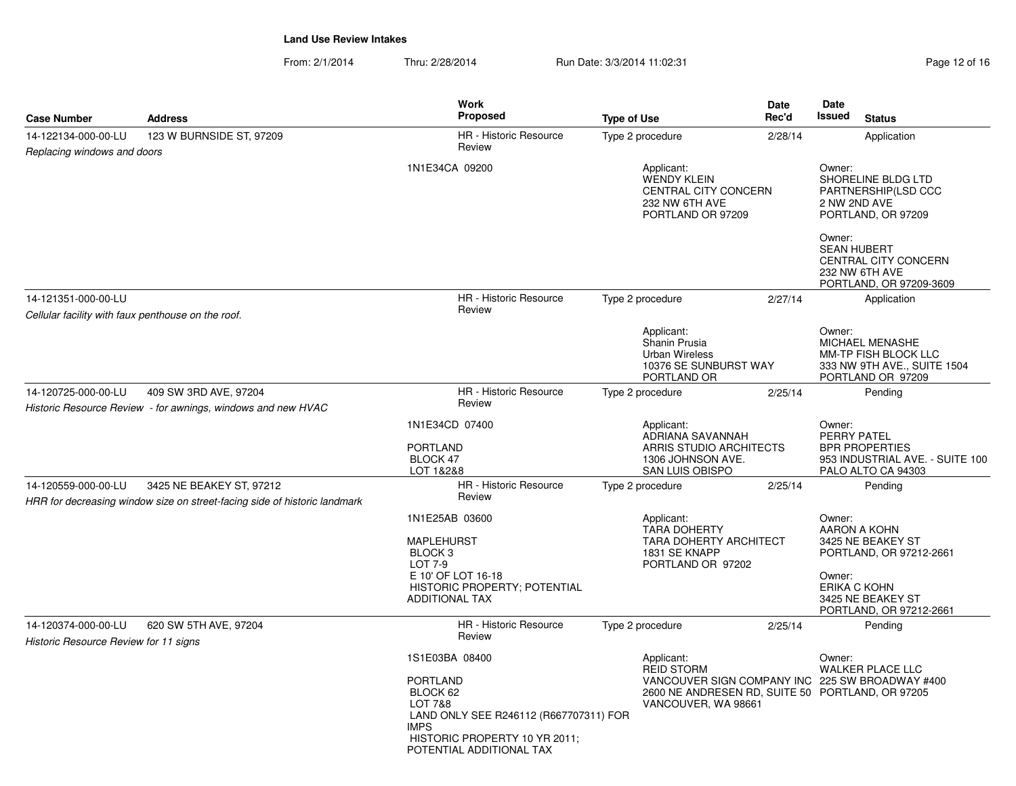| <b>Case Number</b>                                                                                           | <b>Address</b>                                                                                        | <b>Work</b><br><b>Proposed</b>                                                                                                                                                            | <b>Type of Use</b>                                                                                | Date<br>Rec'd | <b>Date</b><br>Issued<br><b>Status</b>                                                                                                                  |  |
|--------------------------------------------------------------------------------------------------------------|-------------------------------------------------------------------------------------------------------|-------------------------------------------------------------------------------------------------------------------------------------------------------------------------------------------|---------------------------------------------------------------------------------------------------|---------------|---------------------------------------------------------------------------------------------------------------------------------------------------------|--|
| 14-122134-000-00-LU<br>Replacing windows and doors                                                           | 123 W BURNSIDE ST, 97209                                                                              | <b>HR</b> - Historic Resource<br>Review                                                                                                                                                   | Type 2 procedure                                                                                  | 2/28/14       | Application                                                                                                                                             |  |
|                                                                                                              |                                                                                                       | 1N1E34CA 09200                                                                                                                                                                            | Applicant:<br><b>WENDY KLEIN</b><br>CENTRAL CITY CONCERN<br>232 NW 6TH AVE<br>PORTLAND OR 97209   |               | Owner:<br>SHORELINE BLDG LTD<br>PARTNERSHIP(LSD CCC<br>2 NW 2ND AVE<br>PORTLAND, OR 97209<br>Owner:                                                     |  |
|                                                                                                              |                                                                                                       |                                                                                                                                                                                           |                                                                                                   |               | <b>SEAN HUBERT</b><br>CENTRAL CITY CONCERN<br>232 NW 6TH AVE<br>PORTLAND, OR 97209-3609                                                                 |  |
| 14-121351-000-00-LU<br>Cellular facility with faux penthouse on the roof.                                    |                                                                                                       | <b>HR</b> - Historic Resource<br>Review                                                                                                                                                   | Type 2 procedure                                                                                  | 2/27/14       | Application                                                                                                                                             |  |
|                                                                                                              |                                                                                                       |                                                                                                                                                                                           | Applicant:<br>Shanin Prusia<br><b>Urban Wireless</b><br>10376 SE SUNBURST WAY<br>PORTLAND OR      |               | Owner:<br>MICHAEL MENASHE<br>MM-TP FISH BLOCK LLC<br>333 NW 9TH AVE., SUITE 1504<br>PORTLAND OR 97209                                                   |  |
| 14-120725-000-00-LU<br>409 SW 3RD AVE, 97204<br>Historic Resource Review - for awnings, windows and new HVAC |                                                                                                       | HR - Historic Resource<br>Review                                                                                                                                                          | Type 2 procedure                                                                                  | 2/25/14       | Pending                                                                                                                                                 |  |
|                                                                                                              |                                                                                                       | 1N1E34CD 07400<br><b>PORTLAND</b><br>BLOCK 47<br>LOT 1&2&8                                                                                                                                | Applicant:<br>ADRIANA SAVANNAH<br>ARRIS STUDIO ARCHITECTS<br>1306 JOHNSON AVE.<br>SAN LUIS OBISPO |               | Owner:<br>PERRY PATEL<br><b>BPR PROPERTIES</b><br>953 INDUSTRIAL AVE. - SUITE 100<br>PALO ALTO CA 94303                                                 |  |
| 14-120559-000-00-LU                                                                                          | 3425 NE BEAKEY ST, 97212<br>HRR for decreasing window size on street-facing side of historic landmark | <b>HR</b> - Historic Resource<br>Review                                                                                                                                                   | Type 2 procedure                                                                                  | 2/25/14       | Pending                                                                                                                                                 |  |
|                                                                                                              |                                                                                                       | 1N1E25AB 03600<br><b>MAPLEHURST</b><br>BLOCK <sub>3</sub><br><b>LOT 7-9</b><br>E 10' OF LOT 16-18<br>HISTORIC PROPERTY; POTENTIAL<br><b>ADDITIONAL TAX</b>                                | Applicant:<br><b>TARA DOHERTY</b><br>TARA DOHERTY ARCHITECT<br>1831 SE KNAPP<br>PORTLAND OR 97202 |               | Owner:<br>AARON A KOHN<br>3425 NE BEAKEY ST<br>PORTLAND, OR 97212-2661<br>Owner:<br><b>ERIKA C KOHN</b><br>3425 NE BEAKEY ST<br>PORTLAND, OR 97212-2661 |  |
| 14-120374-000-00-LU                                                                                          | 620 SW 5TH AVE, 97204                                                                                 | <b>HR</b> - Historic Resource<br>Review                                                                                                                                                   | Type 2 procedure                                                                                  | 2/25/14       | Pending                                                                                                                                                 |  |
| Historic Resource Review for 11 signs                                                                        |                                                                                                       | 1S1E03BA 08400<br><b>PORTLAND</b><br>BLOCK 62<br><b>LOT 7&amp;8</b><br>LAND ONLY SEE R246112 (R667707311) FOR<br><b>IMPS</b><br>HISTORIC PROPERTY 10 YR 2011;<br>POTENTIAL ADDITIONAL TAX | Applicant:<br><b>REID STORM</b><br>VANCOUVER, WA 98661                                            |               | Owner:<br><b>WALKER PLACE LLC</b><br>VANCOUVER SIGN COMPANY INC 225 SW BROADWAY #400<br>2600 NE ANDRESEN RD, SUITE 50 PORTLAND, OR 97205                |  |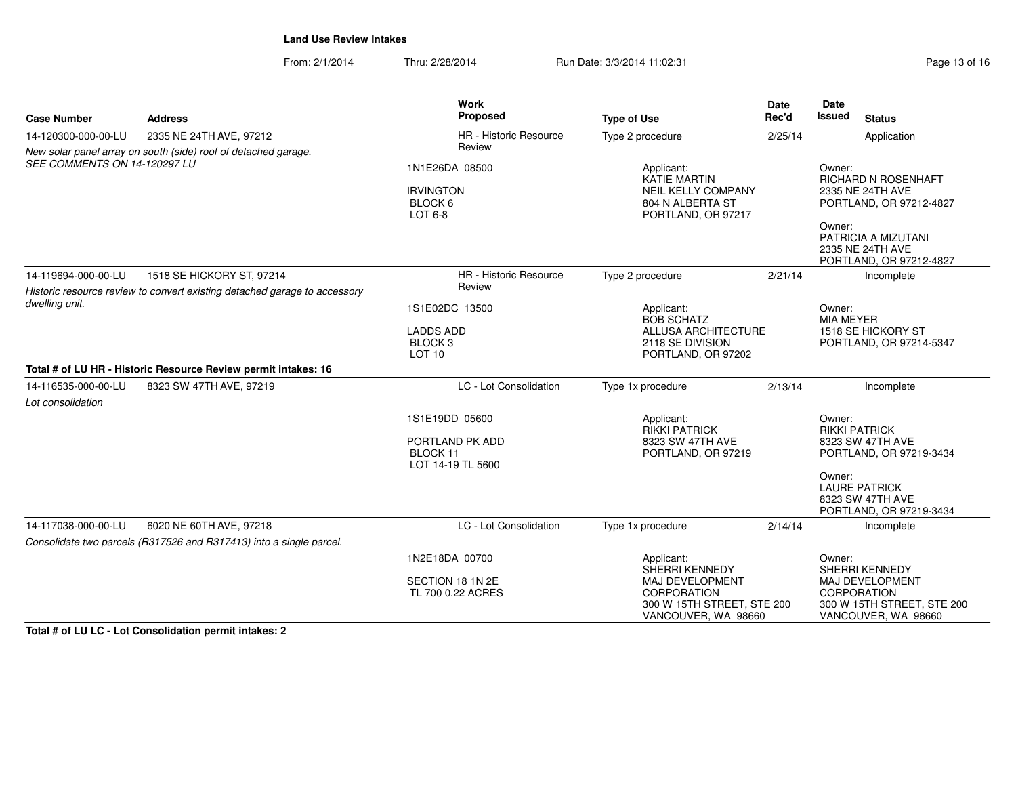From: 2/1/2014Thru: 2/28/2014 Run Date: 3/3/2014 11:02:31

| Page 13 of 16 |
|---------------|
|---------------|

| <b>Case Number</b>                       | <b>Address</b>                                                                            | <b>Work</b><br>Proposed                                            | <b>Type of Use</b>                                                                                       | <b>Date</b><br>Rec'd       | <b>Date</b><br><b>Issued</b><br><b>Status</b>                                                                                                                  |  |
|------------------------------------------|-------------------------------------------------------------------------------------------|--------------------------------------------------------------------|----------------------------------------------------------------------------------------------------------|----------------------------|----------------------------------------------------------------------------------------------------------------------------------------------------------------|--|
| 14-120300-000-00-LU                      | 2335 NE 24TH AVE, 97212<br>New solar panel array on south (side) roof of detached garage. | HR - Historic Resource<br>Review                                   | Type 2 procedure                                                                                         | 2/25/14                    | Application                                                                                                                                                    |  |
| SEE COMMENTS ON 14-120297 LU             |                                                                                           | 1N1E26DA 08500<br><b>IRVINGTON</b><br>BLOCK 6<br>LOT 6-8           | Applicant:<br><b>KATIE MARTIN</b><br><b>NEIL KELLY COMPANY</b><br>804 N ALBERTA ST<br>PORTLAND, OR 97217 |                            | Owner:<br>RICHARD N ROSENHAFT<br>2335 NE 24TH AVE<br>PORTLAND, OR 97212-4827<br>Owner:<br>PATRICIA A MIZUTANI<br>2335 NE 24TH AVE<br>PORTLAND, OR 97212-4827   |  |
| 14-119694-000-00-LU                      | 1518 SE HICKORY ST, 97214                                                                 | <b>HR</b> - Historic Resource                                      | Type 2 procedure                                                                                         | 2/21/14                    | Incomplete                                                                                                                                                     |  |
| dwelling unit.                           | Historic resource review to convert existing detached garage to accessory                 | Review<br>1S1E02DC 13500                                           | Applicant:<br><b>BOB SCHATZ</b>                                                                          | Owner:<br><b>MIA MEYER</b> |                                                                                                                                                                |  |
|                                          |                                                                                           | <b>LADDS ADD</b><br>BLOCK <sub>3</sub><br>LOT <sub>10</sub>        | <b>ALLUSA ARCHITECTURE</b><br>2118 SE DIVISION<br>PORTLAND, OR 97202                                     |                            | 1518 SE HICKORY ST<br>PORTLAND, OR 97214-5347                                                                                                                  |  |
|                                          | Total # of LU HR - Historic Resource Review permit intakes: 16                            |                                                                    |                                                                                                          |                            |                                                                                                                                                                |  |
| 14-116535-000-00-LU<br>Lot consolidation | 8323 SW 47TH AVE, 97219                                                                   | LC - Lot Consolidation                                             | Type 1x procedure                                                                                        | 2/13/14                    | Incomplete                                                                                                                                                     |  |
|                                          |                                                                                           | 1S1E19DD 05600<br>PORTLAND PK ADD<br>BLOCK 11<br>LOT 14-19 TL 5600 | Applicant:<br><b>RIKKI PATRICK</b><br>8323 SW 47TH AVE<br>PORTLAND, OR 97219                             |                            | Owner:<br><b>RIKKI PATRICK</b><br>8323 SW 47TH AVE<br>PORTLAND, OR 97219-3434<br>Owner:<br><b>LAURE PATRICK</b><br>8323 SW 47TH AVE<br>PORTLAND, OR 97219-3434 |  |
| 14-117038-000-00-LU                      | 6020 NE 60TH AVE, 97218                                                                   | LC - Lot Consolidation                                             | Type 1x procedure                                                                                        | 2/14/14                    | Incomplete                                                                                                                                                     |  |
|                                          | Consolidate two parcels (R317526 and R317413) into a single parcel.                       |                                                                    |                                                                                                          |                            |                                                                                                                                                                |  |
|                                          |                                                                                           | 1N2E18DA 00700                                                     | Applicant:<br><b>SHERRI KENNEDY</b>                                                                      |                            | Owner:<br>SHERRI KENNEDY                                                                                                                                       |  |
|                                          |                                                                                           | SECTION 18 1N 2E<br>TL 700 0.22 ACRES                              | MAJ DEVELOPMENT<br>CORPORATION<br>300 W 15TH STREET, STE 200<br>VANCOUVER, WA 98660                      |                            | MAJ DEVELOPMENT<br><b>CORPORATION</b><br>300 W 15TH STREET, STE 200<br>VANCOUVER, WA 98660                                                                     |  |

**Total # of LU LC - Lot Consolidation permit intakes: 2**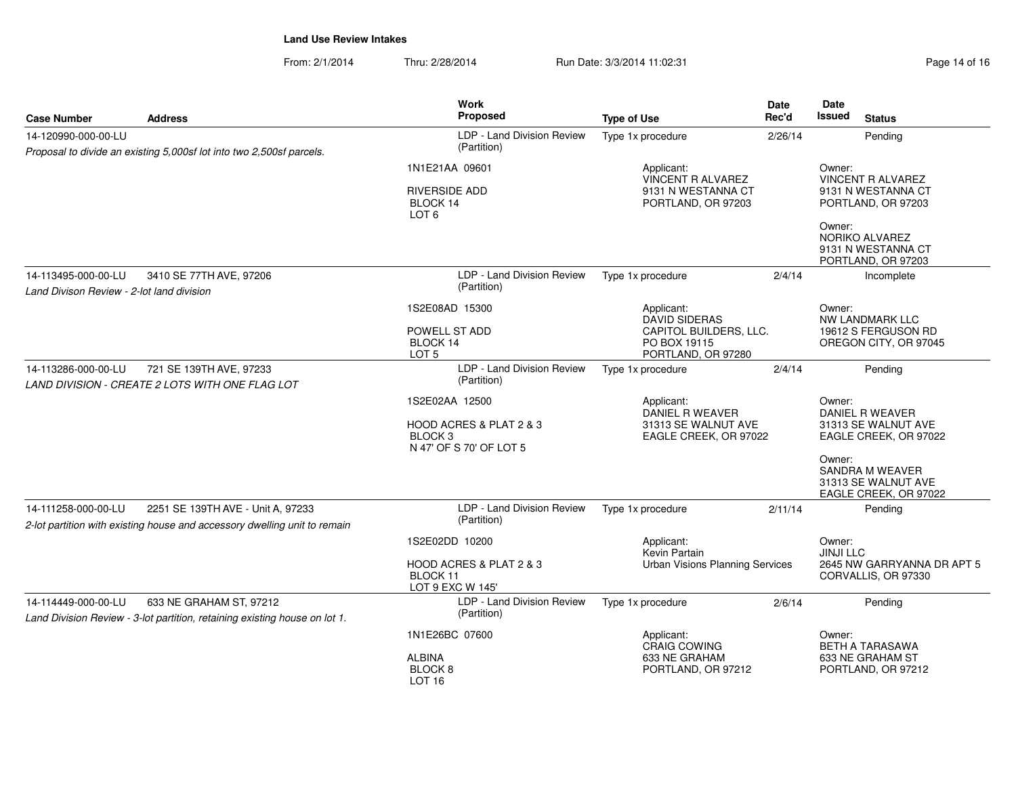| <b>Case Number</b>                                               | <b>Address</b>                                                                                                 | Work<br><b>Proposed</b>                                                         | <b>Type of Use</b>                                                                                 | <b>Date</b><br>Rec'd | Date<br>Issued                                                  | <b>Status</b>                                                          |
|------------------------------------------------------------------|----------------------------------------------------------------------------------------------------------------|---------------------------------------------------------------------------------|----------------------------------------------------------------------------------------------------|----------------------|-----------------------------------------------------------------|------------------------------------------------------------------------|
| 14-120990-000-00-LU                                              |                                                                                                                | LDP - Land Division Review                                                      | Type 1x procedure                                                                                  | 2/26/14              |                                                                 | Pending                                                                |
|                                                                  | Proposal to divide an existing 5,000sf lot into two 2,500sf parcels.                                           | (Partition)                                                                     |                                                                                                    |                      |                                                                 |                                                                        |
|                                                                  |                                                                                                                | 1N1E21AA 09601                                                                  | Applicant:<br>VINCENT R ALVAREZ                                                                    |                      | Owner:                                                          | <b>VINCENT R ALVAREZ</b>                                               |
|                                                                  |                                                                                                                | <b>RIVERSIDE ADD</b><br>BLOCK 14<br>LOT <sub>6</sub>                            | 9131 N WESTANNA CT<br>PORTLAND, OR 97203                                                           |                      |                                                                 | 9131 N WESTANNA CT<br>PORTLAND, OR 97203                               |
|                                                                  |                                                                                                                |                                                                                 |                                                                                                    |                      | Owner:                                                          | NORIKO ALVAREZ<br>9131 N WESTANNA CT<br>PORTLAND, OR 97203             |
| 14-113495-000-00-LU<br>Land Divison Review - 2-lot land division | 3410 SE 77TH AVE, 97206                                                                                        | LDP - Land Division Review<br>(Partition)                                       | Type 1x procedure                                                                                  | 2/4/14               |                                                                 | Incomplete                                                             |
|                                                                  |                                                                                                                | 1S2E08AD 15300<br>POWELL ST ADD<br>BLOCK 14<br>LOT <sub>5</sub>                 | Applicant:<br><b>DAVID SIDERAS</b><br>CAPITOL BUILDERS, LLC.<br>PO BOX 19115<br>PORTLAND, OR 97280 |                      | Owner:                                                          | NW LANDMARK LLC<br>19612 S FERGUSON RD<br>OREGON CITY, OR 97045        |
| 14-113286-000-00-LU                                              | 721 SE 139TH AVE, 97233<br>LAND DIVISION - CREATE 2 LOTS WITH ONE FLAG LOT                                     | LDP - Land Division Review<br>(Partition)                                       | Type 1x procedure                                                                                  | 2/4/14               |                                                                 | Pending                                                                |
|                                                                  |                                                                                                                | 1S2E02AA 12500<br>HOOD ACRES & PLAT 2 & 3<br>BLOCK 3<br>N 47' OF S 70' OF LOT 5 | Applicant:<br>DANIEL R WEAVER<br>31313 SE WALNUT AVE<br>EAGLE CREEK, OR 97022                      | Owner:<br>Owner:     | DANIEL R WEAVER<br>31313 SE WALNUT AVE<br>EAGLE CREEK, OR 97022 |                                                                        |
|                                                                  |                                                                                                                |                                                                                 |                                                                                                    |                      |                                                                 | <b>SANDRA M WEAVER</b><br>31313 SE WALNUT AVE<br>EAGLE CREEK, OR 97022 |
| 14-111258-000-00-LU                                              | 2251 SE 139TH AVE - Unit A, 97233<br>2-lot partition with existing house and accessory dwelling unit to remain | LDP - Land Division Review<br>(Partition)                                       | Type 1x procedure                                                                                  | 2/11/14              |                                                                 | Pending                                                                |
|                                                                  |                                                                                                                | 1S2E02DD 10200                                                                  | Applicant:<br>Kevin Partain                                                                        |                      | Owner:<br><b>JINJI LLC</b>                                      |                                                                        |
|                                                                  |                                                                                                                | HOOD ACRES & PLAT 2 & 3<br>BLOCK <sub>11</sub><br>LOT 9 EXC W 145'              | <b>Urban Visions Planning Services</b>                                                             |                      | 2645 NW GARRYANNA DR APT 5<br>CORVALLIS, OR 97330               |                                                                        |
| 14-114449-000-00-LU                                              | 633 NE GRAHAM ST. 97212<br>Land Division Review - 3-lot partition, retaining existing house on lot 1.          | LDP - Land Division Review<br>(Partition)                                       | Type 1x procedure                                                                                  | 2/6/14               |                                                                 | Pending                                                                |
|                                                                  |                                                                                                                | 1N1E26BC 07600                                                                  | Applicant:<br>CRAIG COWING                                                                         |                      | Owner:                                                          | BETH A TARASAWA                                                        |
|                                                                  |                                                                                                                | <b>ALBINA</b><br>BLOCK <sub>8</sub><br><b>LOT 16</b>                            | 633 NE GRAHAM<br>633 NE GRAHAM ST<br>PORTLAND, OR 97212<br>PORTLAND, OR 97212                      |                      |                                                                 |                                                                        |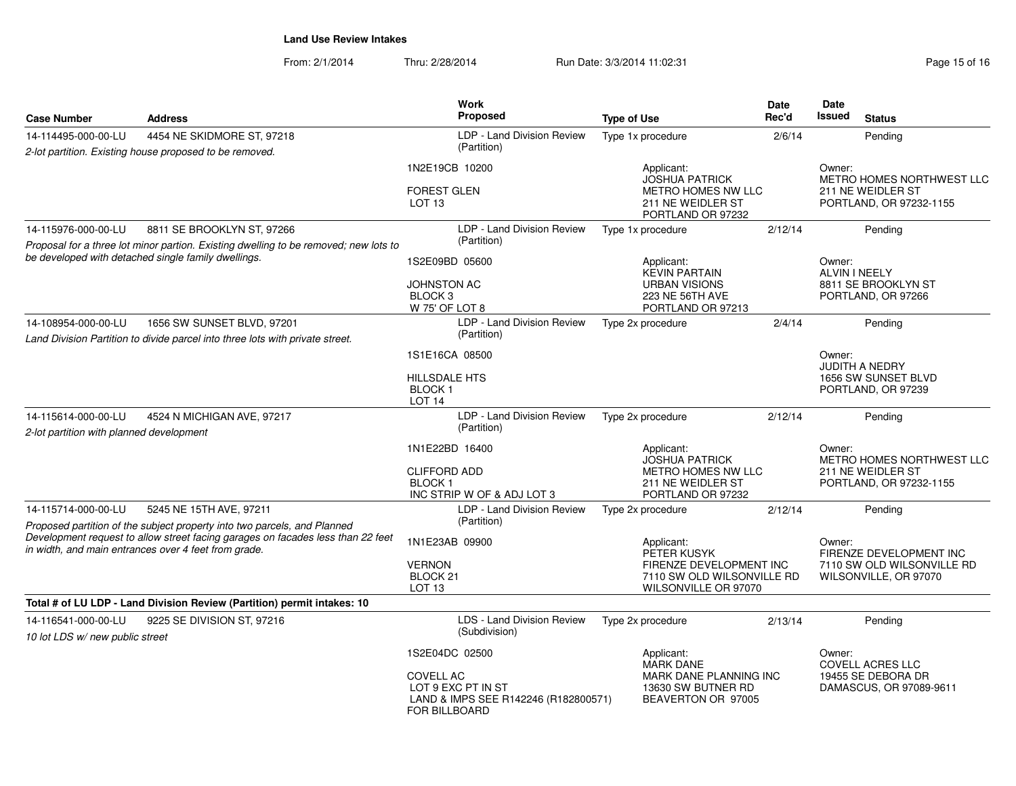| <b>Case Number</b>                                                                                                                      | <b>Address</b>                                                                                              | <b>Work</b><br>Proposed                                                                                 | <b>Type of Use</b>                                                 | Date<br>Rec'd                     | Date<br>Issued                                | <b>Status</b>                                       |
|-----------------------------------------------------------------------------------------------------------------------------------------|-------------------------------------------------------------------------------------------------------------|---------------------------------------------------------------------------------------------------------|--------------------------------------------------------------------|-----------------------------------|-----------------------------------------------|-----------------------------------------------------|
| 14-114495-000-00-LU                                                                                                                     | 4454 NE SKIDMORE ST, 97218                                                                                  | LDP - Land Division Review                                                                              | Type 1x procedure                                                  | 2/6/14                            |                                               | Pending                                             |
|                                                                                                                                         | 2-lot partition. Existing house proposed to be removed.                                                     | (Partition)                                                                                             |                                                                    |                                   |                                               |                                                     |
|                                                                                                                                         |                                                                                                             | 1N2E19CB 10200                                                                                          | Applicant:<br><b>JOSHUA PATRICK</b>                                |                                   | Owner:                                        | METRO HOMES NORTHWEST LLC                           |
|                                                                                                                                         |                                                                                                             | <b>FOREST GLEN</b><br>METRO HOMES NW LLC<br>LOT <sub>13</sub><br>211 NE WEIDLER ST<br>PORTLAND OR 97232 |                                                                    |                                   | 211 NE WEIDLER ST<br>PORTLAND, OR 97232-1155  |                                                     |
| 14-115976-000-00-LU                                                                                                                     | 8811 SE BROOKLYN ST, 97266                                                                                  | LDP - Land Division Review                                                                              | Type 1x procedure                                                  | 2/12/14                           |                                               | Pending                                             |
|                                                                                                                                         | Proposal for a three lot minor partion. Existing dwelling to be removed; new lots to                        | (Partition)                                                                                             |                                                                    |                                   |                                               |                                                     |
|                                                                                                                                         | be developed with detached single family dwellings.                                                         | 1S2E09BD 05600                                                                                          | Applicant:<br><b>KEVIN PARTAIN</b>                                 |                                   | Owner:<br><b>ALVIN I NEELY</b>                |                                                     |
|                                                                                                                                         |                                                                                                             | <b>JOHNSTON AC</b><br>BLOCK <sub>3</sub><br>W 75' OF LOT 8                                              | <b>URBAN VISIONS</b><br>223 NE 56TH AVE<br>PORTLAND OR 97213       |                                   |                                               | 8811 SE BROOKLYN ST<br>PORTLAND, OR 97266           |
| 14-108954-000-00-LU                                                                                                                     | 1656 SW SUNSET BLVD, 97201<br>Land Division Partition to divide parcel into three lots with private street. | LDP - Land Division Review<br>(Partition)                                                               | Type 2x procedure                                                  | 2/4/14                            |                                               | Pending                                             |
|                                                                                                                                         |                                                                                                             | 1S1E16CA 08500                                                                                          |                                                                    |                                   | Owner:                                        | <b>JUDITH A NEDRY</b>                               |
|                                                                                                                                         |                                                                                                             | <b>HILLSDALE HTS</b><br><b>BLOCK1</b><br>LOT <sub>14</sub>                                              |                                                                    |                                   |                                               | 1656 SW SUNSET BLVD<br>PORTLAND, OR 97239           |
| 14-115614-000-00-LU                                                                                                                     | 4524 N MICHIGAN AVE, 97217                                                                                  | LDP - Land Division Review                                                                              | Type 2x procedure                                                  | 2/12/14                           |                                               | Pending                                             |
| 2-lot partition with planned development                                                                                                |                                                                                                             | (Partition)                                                                                             |                                                                    |                                   |                                               |                                                     |
|                                                                                                                                         |                                                                                                             | 1N1E22BD 16400                                                                                          | Applicant:<br><b>JOSHUA PATRICK</b>                                |                                   |                                               | METRO HOMES NORTHWEST LLC                           |
|                                                                                                                                         |                                                                                                             | <b>CLIFFORD ADD</b>                                                                                     | METRO HOMES NW LLC                                                 |                                   | 211 NE WEIDLER ST                             |                                                     |
|                                                                                                                                         |                                                                                                             | <b>BLOCK1</b><br>INC STRIP W OF & ADJ LOT 3                                                             | 211 NE WEIDLER ST<br>PORTLAND OR 97232                             |                                   | PORTLAND, OR 97232-1155                       |                                                     |
| 14-115714-000-00-LU                                                                                                                     | 5245 NE 15TH AVE, 97211                                                                                     | LDP - Land Division Review                                                                              | Type 2x procedure                                                  | 2/12/14                           |                                               | Pending                                             |
|                                                                                                                                         | Proposed partition of the subject property into two parcels, and Planned                                    | (Partition)                                                                                             |                                                                    |                                   |                                               |                                                     |
| Development request to allow street facing garages on facades less than 22 feet<br>in width, and main entrances over 4 feet from grade. |                                                                                                             | 1N1E23AB 09900                                                                                          | Applicant:<br>PETER KUSYK                                          | Owner:<br>FIRENZE DEVELOPMENT INC |                                               |                                                     |
|                                                                                                                                         |                                                                                                             | <b>VERNON</b><br>BLOCK <sub>21</sub>                                                                    | FIRENZE DEVELOPMENT INC<br>7110 SW OLD WILSONVILLE RD              |                                   |                                               | 7110 SW OLD WILSONVILLE RD<br>WILSONVILLE, OR 97070 |
|                                                                                                                                         |                                                                                                             | LOT <sub>13</sub>                                                                                       | WILSONVILLE OR 97070                                               |                                   |                                               |                                                     |
|                                                                                                                                         | Total # of LU LDP - Land Division Review (Partition) permit intakes: 10                                     |                                                                                                         |                                                                    |                                   |                                               |                                                     |
| 14-116541-000-00-LU<br>10 lot LDS w/new public street                                                                                   | 9225 SE DIVISION ST, 97216                                                                                  | LDS - Land Division Review<br>(Subdivision)                                                             | Type 2x procedure                                                  | 2/13/14                           |                                               | Pending                                             |
|                                                                                                                                         |                                                                                                             | 1S2E04DC 02500                                                                                          | Applicant:<br><b>MARK DANE</b>                                     |                                   | Owner:                                        | COVELL ACRES LLC                                    |
|                                                                                                                                         |                                                                                                             | <b>COVELL AC</b><br>LOT 9 EXC PT IN ST<br>LAND & IMPS SEE R142246 (R182800571)<br>FOR BILLBOARD         | MARK DANE PLANNING INC<br>13630 SW BUTNER RD<br>BEAVERTON OR 97005 |                                   | 19455 SE DEBORA DR<br>DAMASCUS, OR 97089-9611 |                                                     |